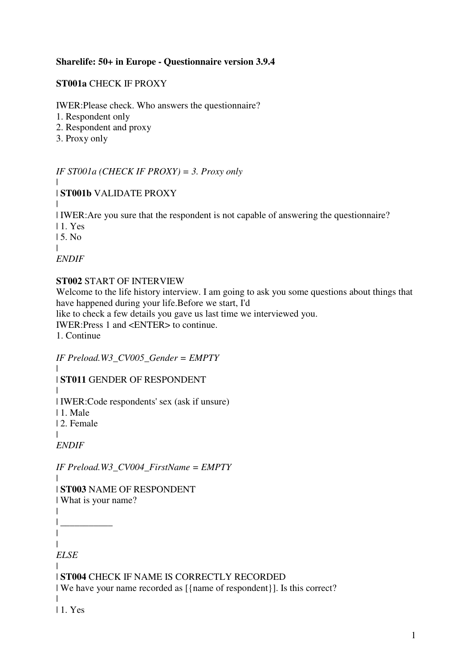### **Sharelife: 50+ in Europe - Questionnaire version 3.9.4**

### **ST001a** CHECK IF PROXY

IWER:Please check. Who answers the questionnaire?

- 1. Respondent only
- 2. Respondent and proxy
- 3. Proxy only

*IF ST001a (CHECK IF PROXY) = 3. Proxy only*

#### | | **ST001b** VALIDATE PROXY

| | IWER:Are you sure that the respondent is not capable of answering the questionnaire?

| 1. Yes

 $15$ . No.

| *ENDIF*

#### **ST002** START OF INTERVIEW

Welcome to the life history interview. I am going to ask you some questions about things that have happened during your life.Before we start, I'd

like to check a few details you gave us last time we interviewed you.

IWER:Press 1 and <ENTER> to continue.

1. Continue

*IF Preload.W3\_CV005\_Gender = EMPTY*

|

| **ST011** GENDER OF RESPONDENT

| | IWER:Code respondents' sex (ask if unsure)

| 1. Male

| 2. Female

|

*ENDIF*

*IF Preload.W3\_CV004\_FirstName = EMPTY*

|

# | **ST003** NAME OF RESPONDENT

| What is your name?

 $\blacksquare$  $| \_$ 

| |

*ELSE*

#### | | **ST004** CHECK IF NAME IS CORRECTLY RECORDED

| We have your name recorded as [{name of respondent}]. Is this correct?

| 1. Yes

|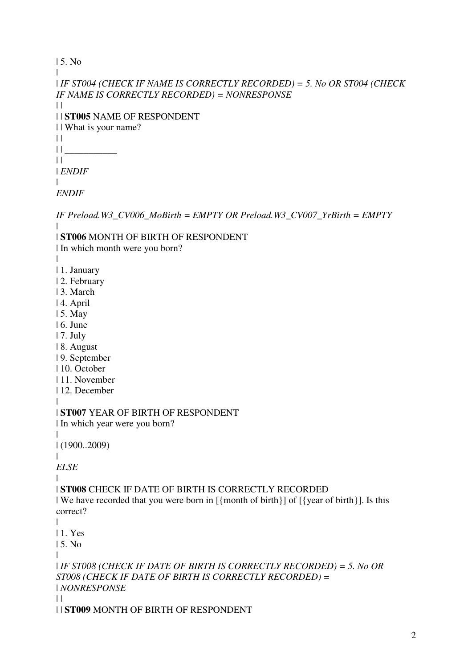```
| 5. No 
| 
| IF ST004 (CHECK IF NAME IS CORRECTLY RECORDED) = 5. No OR ST004 (CHECK 
IF NAME IS CORRECTLY RECORDED) = NONRESPONSE
| || | ST005 NAME OF RESPONDENT 
| | What is your name? 
| |\prod_{i=1}^n\|| ENDIF
\blacksquareENDIF
IF Preload.W3_CV006_MoBirth = EMPTY OR Preload.W3_CV007_YrBirth = EMPTY
| 
| ST006 MONTH OF BIRTH OF RESPONDENT 
| In which month were you born? 
| 
| 1. January 
| 2. February 
| 3. March 
| 4. April 
| 5. May 
| 6. June 
| 7. July 
| 8. August 
| 9. September 
| 10. October 
| 11. November 
| 12. December 
| 
| ST007 YEAR OF BIRTH OF RESPONDENT 
| In which year were you born? 
| 
| (1900..2009) 
\blacksquareELSE
| 
| ST008 CHECK IF DATE OF BIRTH IS CORRECTLY RECORDED 
| We have recorded that you were born in [{month of birth}] of [{year of birth}]. Is this 
correct?
```

```
|
```
| 1. Yes

| 5. No

| *IF ST008 (CHECK IF DATE OF BIRTH IS CORRECTLY RECORDED) = 5. No OR ST008 (CHECK IF DATE OF BIRTH IS CORRECTLY RECORDED) =*  | *NONRESPONSE*

 $\perp$ 

 $\perp$ 

| | **ST009** MONTH OF BIRTH OF RESPONDENT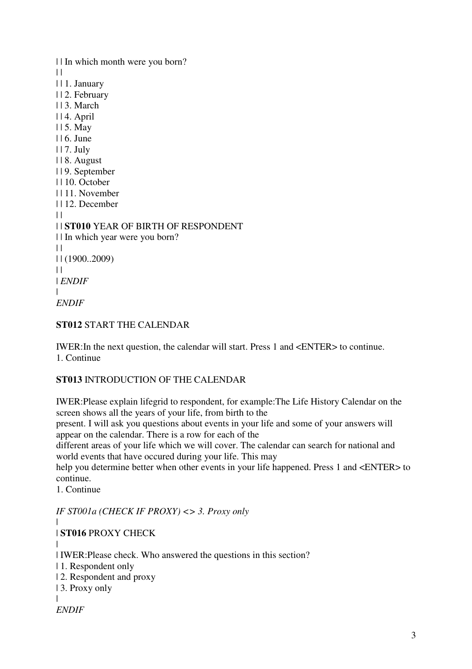| | In which month were you born?  $\perp$ | | 1. January | | 2. February | | 3. March | | 4. April | | 5. May | | 6. June | | 7. July | | 8. August | | 9. September | | 10. October | | 11. November | | 12. December  $| |$ | | **ST010** YEAR OF BIRTH OF RESPONDENT | | In which year were you born?  $\Box$ | | (1900..2009)  $\perp$ | *ENDIF* | *ENDIF*

## **ST012** START THE CALENDAR

IWER:In the next question, the calendar will start. Press 1 and <ENTER> to continue. 1. Continue

## **ST013** INTRODUCTION OF THE CALENDAR

IWER:Please explain lifegrid to respondent, for example:The Life History Calendar on the screen shows all the years of your life, from birth to the

present. I will ask you questions about events in your life and some of your answers will appear on the calendar. There is a row for each of the

different areas of your life which we will cover. The calendar can search for national and world events that have occured during your life. This may

help you determine better when other events in your life happened. Press 1 and <ENTER> to continue.

1. Continue

*IF ST001a (CHECK IF PROXY) <> 3. Proxy only*

| | **ST016** PROXY CHECK

| | IWER:Please check. Who answered the questions in this section?

| 1. Respondent only

- | 2. Respondent and proxy
- | 3. Proxy only

```
ENDIF
```
|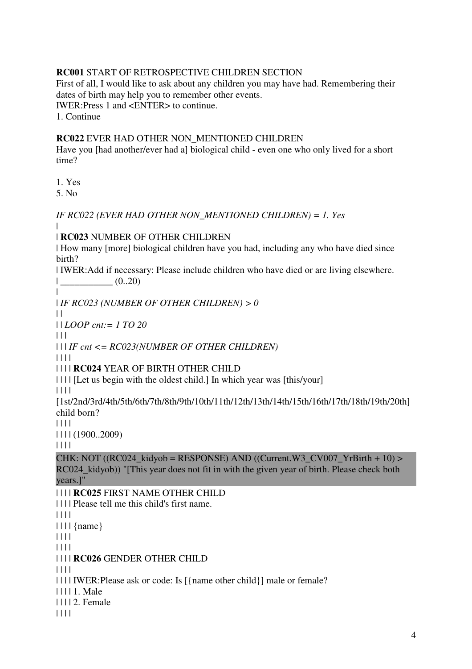#### **RC001** START OF RETROSPECTIVE CHILDREN SECTION

First of all, I would like to ask about any children you may have had. Remembering their dates of birth may help you to remember other events. IWER:Press 1 and <ENTER> to continue.

1. Continue

#### **RC022** EVER HAD OTHER NON\_MENTIONED CHILDREN

Have you [had another/ever had a] biological child - even one who only lived for a short time?

1. Yes

5. No

*IF RC022 (EVER HAD OTHER NON\_MENTIONED CHILDREN) = 1. Yes*

| | **RC023** NUMBER OF OTHER CHILDREN

| How many [more] biological children have you had, including any who have died since birth?

| IWER:Add if necessary: Please include children who have died or are living elsewhere. | \_\_\_\_\_\_\_\_\_\_\_ (0..20)

| *IF RC023 (NUMBER OF OTHER CHILDREN) > 0*

 $\mathbf{||}$ 

|

| | *LOOP cnt:= 1 TO 20*

 $| 11$ 

| | | *IF cnt <= RC023(NUMBER OF OTHER CHILDREN)*

| | | |

| | | | **RC024** YEAR OF BIRTH OTHER CHILD

| | | | [Let us begin with the oldest child.] In which year was [this/your]

| | | |

[1st/2nd/3rd/4th/5th/6th/7th/8th/9th/10th/11th/12th/13th/14th/15th/16th/17th/18th/19th/20th] child born?

| | | |

| | | | (1900..2009)

| | | |

CHK: NOT ((RC024\_kidyob = RESPONSE) AND ((Current.W3\_CV007\_YrBirth + 10) > RC024\_kidyob)) "[This year does not fit in with the given year of birth. Please check both years.]"

## | | | | **RC025** FIRST NAME OTHER CHILD

| | | | Please tell me this child's first name.  $|| || ||$  $|| \cdot ||$  {name} | | | | | | | | | | | | **RC026** GENDER OTHER CHILD | | | | | | | | IWER:Please ask or code: Is [{name other child}] male or female? | | | | 1. Male

| | | | 2. Female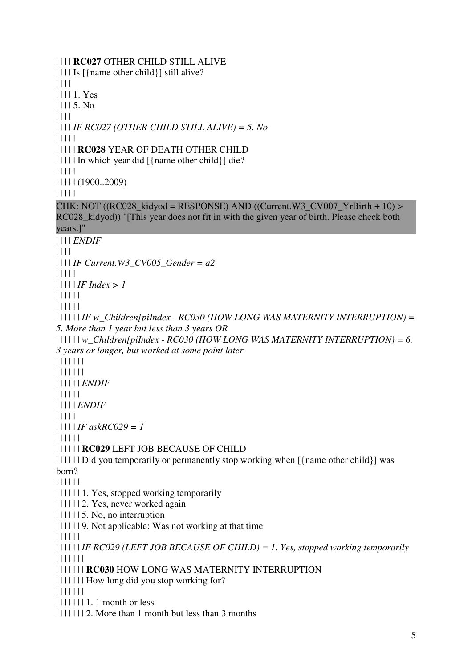| | | | **RC027** OTHER CHILD STILL ALIVE | | | | Is [{name other child}] still alive? | | | | | | | | 1. Yes | | | | 5. No | | | | | | | | *IF RC027 (OTHER CHILD STILL ALIVE) = 5. No* | | | | | | | | | | **RC028** YEAR OF DEATH OTHER CHILD | | | | | In which year did [{name other child}] die? | | | | | | | | | | (1900..2009) | | | | | CHK: NOT ((RC028 kidyod = RESPONSE) AND ((Current.W3 CV007 YrBirth + 10) > RC028\_kidyod)) "[This year does not fit in with the given year of birth. Please check both years.]" | | | | *ENDIF* | | | | | | | | *IF Current.W3\_CV005\_Gender = a2* | | | | | | | | | | *IF Index > 1* | | | | | | | | | | | | | | | | | | *IF w\_Children[piIndex - RC030 (HOW LONG WAS MATERNITY INTERRUPTION) = 5. More than 1 year but less than 3 years OR*  | | | | | | *w\_Children[piIndex - RC030 (HOW LONG WAS MATERNITY INTERRUPTION) = 6. 3 years or longer, but worked at some point later*  | | | | | | | | | | | | | | | | | | | | *ENDIF* | | | | | | | | | | | *ENDIF* | | | | | | | | | | *IF askRC029 = 1* | | | | | | | | | | | | **RC029** LEFT JOB BECAUSE OF CHILD | | | | | | Did you temporarily or permanently stop working when [{name other child}] was born? | | | | | | | | | | | | 1. Yes, stopped working temporarily | | | | | | 2. Yes, never worked again | | | | | | 5. No, no interruption | | | | | | 9. Not applicable: Was not working at that time | | | | | | | | | | | | *IF RC029 (LEFT JOB BECAUSE OF CHILD) = 1. Yes, stopped working temporarily* | | | | | | | | | | | | | | **RC030** HOW LONG WAS MATERNITY INTERRUPTION | | | | | | | How long did you stop working for? | | | | | | | | | | | | | | 1. 1 month or less | | | | | | | 2. More than 1 month but less than 3 months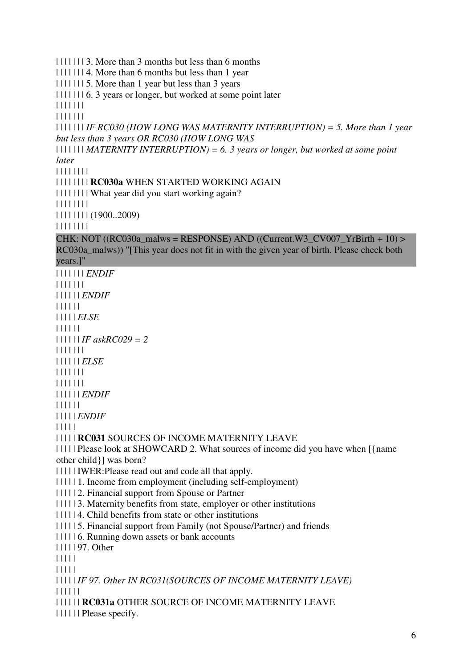| | | | | | | 3. More than 3 months but less than 6 months

| | | | | | | 4. More than 6 months but less than 1 year

| | | | | | | 5. More than 1 year but less than 3 years

| | | | | | | 6. 3 years or longer, but worked at some point later

| | | | | | |

| | | | | | |

| | | | | | | *IF RC030 (HOW LONG WAS MATERNITY INTERRUPTION) = 5. More than 1 year but less than 3 years OR RC030 (HOW LONG WAS* 

| | | | | | | *MATERNITY INTERRUPTION) = 6. 3 years or longer, but worked at some point later* 

| | | | | | | |

| | | | | | | | **RC030a** WHEN STARTED WORKING AGAIN

| | | | | | | | What year did you start working again?

| | | | | | | |

| | | | | | | | (1900..2009)

| | | | | | | |

CHK: NOT ((RC030a\_malws = RESPONSE) AND ((Current.W3\_CV007\_YrBirth + 10) > RC030a malws)) "[This year does not fit in with the given year of birth. Please check both years.]"

| | | | | | | *ENDIF* | | | | | | | | | | | | | *ENDIF* | | | | | | | | | | | *ELSE* | | | | | | | | | | | | *IF askRC029 = 2* | | | | | | | | | | | | | *ELSE* | | | | | | | | | | | | | | | | | | | | *ENDIF* | | | | | | | | | | | *ENDIF* | | | | | | | | | | **RC031** SOURCES OF INCOME MATERNITY LEAVE | | | | | Please look at SHOWCARD 2. What sources of income did you have when [{name other child}] was born? | | | | | IWER:Please read out and code all that apply. | | | | | 1. Income from employment (including self-employment) | | | | | 2. Financial support from Spouse or Partner | | | | | 3. Maternity benefits from state, employer or other institutions | | | | | 4. Child benefits from state or other institutions | | | | | 5. Financial support from Family (not Spouse/Partner) and friends | | | | | 6. Running down assets or bank accounts | | | | | 97. Other | | | | | | | | | | | | | | | *IF 97. Other IN RC031(SOURCES OF INCOME MATERNITY LEAVE)* | | | | | | | | | | | | **RC031a** OTHER SOURCE OF INCOME MATERNITY LEAVE

| | | | | | Please specify.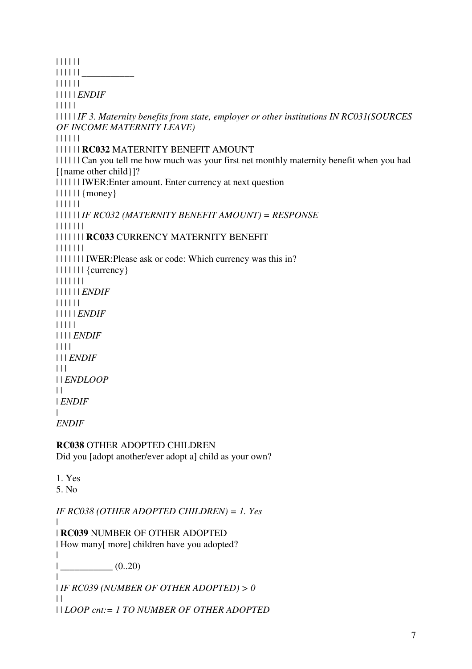| | | | | |  $|| || || || ||$ | | | | | | | | | | | *ENDIF* | | | | | | | | | | *IF 3. Maternity benefits from state, employer or other institutions IN RC031(SOURCES OF INCOME MATERNITY LEAVE)* | | | | | | | | | | | | **RC032** MATERNITY BENEFIT AMOUNT | | | | | | Can you tell me how much was your first net monthly maternity benefit when you had [{name other child}]? | | | | | | IWER:Enter amount. Enter currency at next question  $\left| \right| \left| \right| \left| \right|$  {money} | | | | | | | | | | | | *IF RC032 (MATERNITY BENEFIT AMOUNT) = RESPONSE* | | | | | | | | | | | | | | **RC033** CURRENCY MATERNITY BENEFIT | | | | | | | | | | | | | | IWER:Please ask or code: Which currency was this in? | | | | | | | {currency} | | | | | | | | | | | | | *ENDIF* | | | | | | | | | | | *ENDIF* | | | | | | | | | *ENDIF* | | | | | | | *ENDIF*  $| 11$ | | *ENDLOOP*  $\|$ | *ENDIF* | *ENDIF* **RC038** OTHER ADOPTED CHILDREN Did you [adopt another/ever adopt a] child as your own? 1. Yes 5. No *IF RC038 (OTHER ADOPTED CHILDREN) = 1. Yes* | | **RC039** NUMBER OF OTHER ADOPTED | How many[ more] children have you adopted?  $\blacksquare$  $|$   $(0..20)$  $\blacksquare$ | *IF RC039 (NUMBER OF OTHER ADOPTED) > 0*  $\perp$ | | *LOOP cnt:= 1 TO NUMBER OF OTHER ADOPTED*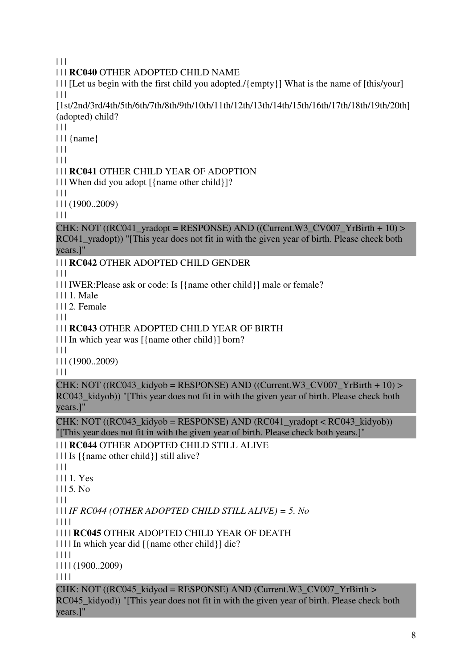$| 11$ 

## | | | **RC040** OTHER ADOPTED CHILD NAME

| | | [Let us begin with the first child you adopted./{empty}] What is the name of [this/your]  $| 11$ 

[1st/2nd/3rd/4th/5th/6th/7th/8th/9th/10th/11th/12th/13th/14th/15th/16th/17th/18th/19th/20th] (adopted) child?

 $| 11$ 

 $|| \cdot ||$  {name}

 $\Box$ 

 $| 11$ 

## | | | **RC041** OTHER CHILD YEAR OF ADOPTION

| | | When did you adopt [{name other child}]?

 $\Box$ 

| | | (1900..2009)

 $| 11$ 

CHK: NOT ((RC041\_vradopt = RESPONSE) AND ((Current.W3\_CV007\_YrBirth + 10) > RC041 yradopt)) "[This year does not fit in with the given year of birth. Please check both years.]"

## | | | **RC042** OTHER ADOPTED CHILD GENDER

 $| 11$ 

| | | IWER:Please ask or code: Is [{name other child}] male or female?

| | | 1. Male

| | | 2. Female

 $| 11$ 

## | | | **RC043** OTHER ADOPTED CHILD YEAR OF BIRTH

| | | In which year was [{name other child}] born?

 $\Box$ 

| | | (1900..2009)

 $| 11$ 

CHK: NOT ((RC043\_kidyob = RESPONSE) AND ((Current.W3\_CV007\_YrBirth + 10) > RC043 kidyob)) "[This year does not fit in with the given year of birth. Please check both years.]"

CHK: NOT  $((RC043 \text{ kidyob} = RESPONSE)$  AND  $(RCO41_Yradopt < RC043_kidyob))$ "[This year does not fit in with the given year of birth. Please check both years.]"

## | | | **RC044** OTHER ADOPTED CHILD STILL ALIVE

| | | Is [{name other child}] still alive?

 $| 11$ 

| | | 1. Yes

 $1115.$  No

 $\Box$ 

| | | *IF RC044 (OTHER ADOPTED CHILD STILL ALIVE) = 5. No*

| | | |

| | | | **RC045** OTHER ADOPTED CHILD YEAR OF DEATH

| | | | In which year did [{name other child}] die?

 $|| || ||$ 

| | | | (1900..2009)

| | | |

CHK: NOT ((RC045\_kidyod = RESPONSE) AND (Current.W3\_CV007\_YrBirth > RC045 kidyod)) "[This year does not fit in with the given year of birth. Please check both years.]"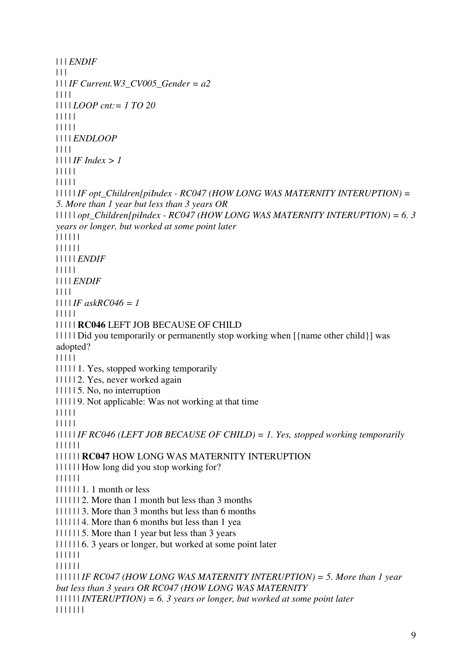```
| | | ENDIF
\Box| | | IF Current.W3_CV005_Gender = a2
| | | | 
| | | | LOOP cnt:= 1 TO 20
| | | | | 
| | | | | 
| | | | ENDLOOP
| | | | 
| | | | IF Index > 1
| | | | | 
| | | | | 
| | | | | IF opt_Children[piIndex - RC047 (HOW LONG WAS MATERNITY INTERUPTION) = 
5. More than 1 year but less than 3 years OR 
| | | | | opt_Children[piIndex - RC047 (HOW LONG WAS MATERNITY INTERUPTION) = 6. 3 
years or longer, but worked at some point later 
| | | | | | 
| | | | | | 
| | | | | ENDIF
| | | | | 
| | | | ENDIF
| | | | 
| | | | IF askRC046 = 1
| | | | | 
| | | | | RC046 LEFT JOB BECAUSE OF CHILD 
| | | | | Did you temporarily or permanently stop working when [{name other child}] was 
adopted? 
| | | | | 
| | | | | 1. Yes, stopped working temporarily 
| | | | | 2. Yes, never worked again 
| | | | | 5. No, no interruption 
| | | | | 9. Not applicable: Was not working at that time 
| | | | | 
| | | | | 
| | | | | IF RC046 (LEFT JOB BECAUSE OF CHILD) = 1. Yes, stopped working temporarily
| | | | | | 
| | | | | | RC047 HOW LONG WAS MATERNITY INTERUPTION 
| | | | | | How long did you stop working for? 
| | | | | | 
|| \cdot || || \cdot || \cdot || \cdot || month or less
| | | | | | 2. More than 1 month but less than 3 months 
| | | | | | 3. More than 3 months but less than 6 months 
| | | | | | 4. More than 6 months but less than 1 yea 
| | | | | | 5. More than 1 year but less than 3 years 
| | | | | | 6. 3 years or longer, but worked at some point later 
| | | | | | 
| | | | | | 
| | | | | | IF RC047 (HOW LONG WAS MATERNITY INTERUPTION) = 5. More than 1 year 
but less than 3 years OR RC047 (HOW LONG WAS MATERNITY 
| | | | | | INTERUPTION) = 6. 3 years or longer, but worked at some point later 
| | | | | | |
```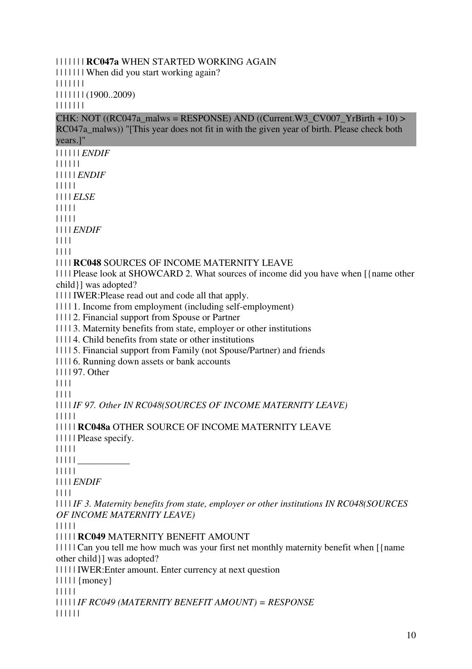#### | | | | | | | **RC047a** WHEN STARTED WORKING AGAIN

| | | | | | | When did you start working again?

| | | | | | |

| | | | | | | (1900..2009)

| | | | | | |

CHK: NOT ((RC047a\_malws = RESPONSE) AND ((Current.W3\_CV007\_YrBirth + 10) > RC047a malws)) "[This year does not fit in with the given year of birth. Please check both years.]"

| | | | | | *ENDIF* | | | | | | | | | | | *ENDIF* | | | | | | | | | *ELSE* | | | | | | | | | |

| | | | *ENDIF*

| | | |

| | | |

| | | | **RC048** SOURCES OF INCOME MATERNITY LEAVE

| | | | Please look at SHOWCARD 2. What sources of income did you have when [{name other child}] was adopted?

| | | | IWER:Please read out and code all that apply.

| | | | 1. Income from employment (including self-employment)

| | | | 2. Financial support from Spouse or Partner

| | | | 3. Maternity benefits from state, employer or other institutions

| | | | 4. Child benefits from state or other institutions

| | | | 5. Financial support from Family (not Spouse/Partner) and friends

| | | | 6. Running down assets or bank accounts

| | | | 97. Other

| | | |

| | | |

| | | | *IF 97. Other IN RC048(SOURCES OF INCOME MATERNITY LEAVE)* | | | | |

| | | | | **RC048a** OTHER SOURCE OF INCOME MATERNITY LEAVE

| | | | | Please specify.

| | | | |

 $|| || || ||$ 

| | | | |

| | | | *ENDIF*

| | | |

| | | | *IF 3. Maternity benefits from state, employer or other institutions IN RC048(SOURCES OF INCOME MATERNITY LEAVE)*

| | | | |

| | | | | **RC049** MATERNITY BENEFIT AMOUNT

| | | | | Can you tell me how much was your first net monthly maternity benefit when [{name other child}] was adopted?

| | | | | IWER:Enter amount. Enter currency at next question

 $|| \t|| \t{money}$ 

| | | | |

| | | | | *IF RC049 (MATERNITY BENEFIT AMOUNT) = RESPONSE*

| | | | | |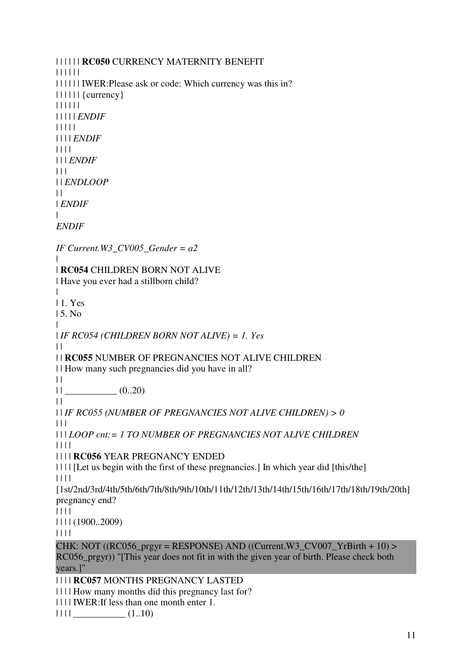| | | | | | **RC050** CURRENCY MATERNITY BENEFIT | | | | | | | | | | | | IWER:Please ask or code: Which currency was this in? | | | | | | {currency} | | | | | | | | | | | *ENDIF* | | | | | | | | | *ENDIF* | | | | | | | *ENDIF*  $| 11$ | | *ENDLOOP*  $\|$ | *ENDIF*  $\blacksquare$ *ENDIF IF Current.W3\_CV005\_Gender = a2* | | **RC054** CHILDREN BORN NOT ALIVE | Have you ever had a stillborn child? | | 1. Yes | 5. No | | *IF RC054 (CHILDREN BORN NOT ALIVE) = 1. Yes*  $\|$ | | **RC055** NUMBER OF PREGNANCIES NOT ALIVE CHILDREN | | How many such pregnancies did you have in all?  $\|$  $||$   $(0..20)$  $\|$ | | *IF RC055 (NUMBER OF PREGNANCIES NOT ALIVE CHILDREN) > 0*  $| 11$ | | | *LOOP cnt:= 1 TO NUMBER OF PREGNANCIES NOT ALIVE CHILDREN* | | | | | | | | **RC056** YEAR PREGNANCY ENDED | | | | [Let us begin with the first of these pregnancies.] In which year did [this/the] | | | | [1st/2nd/3rd/4th/5th/6th/7th/8th/9th/10th/11th/12th/13th/14th/15th/16th/17th/18th/19th/20th] pregnancy end? | | | | | | | | (1900..2009) | | | | CHK: NOT ((RC056\_prgyr = RESPONSE) AND ((Current.W3\_CV007\_YrBirth + 10) > RC056\_prgyr)) "[This year does not fit in with the given year of birth. Please check both years.]" | | | | **RC057** MONTHS PREGNANCY LASTED | | | | How many months did this pregnancy last for? | | | | IWER:If less than one month enter 1.

 $|| \t|| \t(1..10)$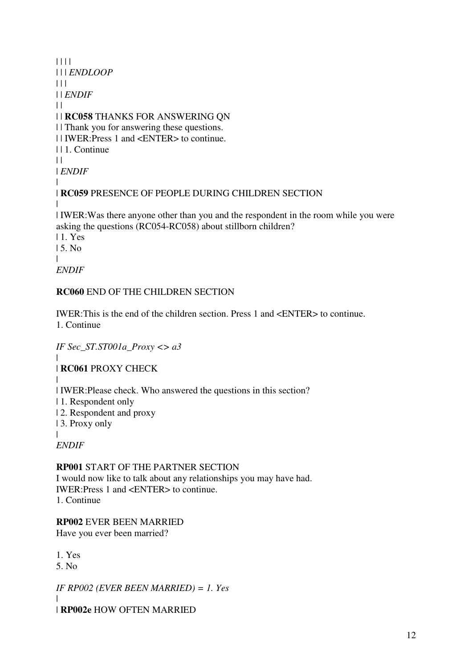$|| || ||$ | | | *ENDLOOP*  $| 11$ | | *ENDIF*  $\|$ | | **RC058** THANKS FOR ANSWERING QN | | Thank you for answering these questions. | | IWER:Press 1 and <ENTER> to continue. | | 1. Continue  $| |$ | *ENDIF* | | **RC059** PRESENCE OF PEOPLE DURING CHILDREN SECTION |

| IWER:Was there anyone other than you and the respondent in the room while you were asking the questions (RC054-RC058) about stillborn children?

| 1. Yes

| 5. No

| *ENDIF*

## **RC060** END OF THE CHILDREN SECTION

IWER:This is the end of the children section. Press 1 and <ENTER> to continue. 1. Continue

*IF Sec\_ST.ST001a\_Proxy <> a3*

 $\blacksquare$ | **RC061** PROXY CHECK

| | IWER:Please check. Who answered the questions in this section?

| 1. Respondent only

| 2. Respondent and proxy

| 3. Proxy only

|

*ENDIF*

## **RP001** START OF THE PARTNER SECTION

I would now like to talk about any relationships you may have had. IWER:Press 1 and <ENTER> to continue. 1. Continue

**RP002** EVER BEEN MARRIED

Have you ever been married?

1. Yes

5. No

*IF RP002 (EVER BEEN MARRIED) = 1. Yes*

| | **RP002e** HOW OFTEN MARRIED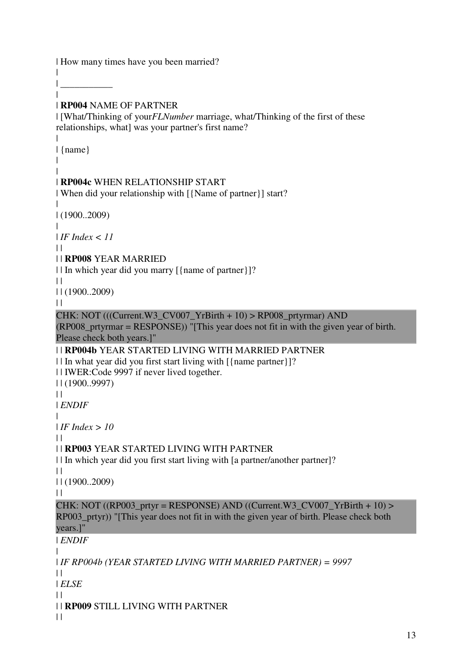| How many times have you been married?

| \_\_\_\_\_\_\_\_\_\_\_

 $\blacksquare$ 

|

| | **RP004** NAME OF PARTNER

| [What/Thinking of your*FLNumber* marriage, what/Thinking of the first of these relationships, what] was your partner's first name?

```
| {name} 
| 
| 
| RP004c WHEN RELATIONSHIP START 
| When did your relationship with [{Name of partner}] start? 
| 
| (1900..2009) 
| 
| IF Index < 11
\perp| | RP008 YEAR MARRIED 
| | In which year did you marry [{name of partner}]? 
\perp| | (1900..2009) 
\perpCHK: NOT (((Current.W3_CV007_YrBirth + 10) > RP008_prtyrmar) AND 
(RP008_prtyrmar = RESPONSE)) "[This year does not fit in with the given year of birth. 
Please check both years.]" 
| | RP004b YEAR STARTED LIVING WITH MARRIED PARTNER 
| | In what year did you first start living with \frac{1}{2} [\frac{1}{2}]?
| | IWER:Code 9997 if never lived together. 
| | (1900..9997) 
\|| ENDIF
| 
| IF Index > 10
| || | RP003 YEAR STARTED LIVING WITH PARTNER 
| | In which year did you first start living with [a partner/another partner]? 
\perp| | (1900..2009) 
\|CHK: NOT ((RP003_prtyr = RESPONSE) AND ((Current.W3_CV007_YrBirth + 10) >
RP003_prtyr)) "[This year does not fit in with the given year of birth. Please check both 
years.]" 
| ENDIF
| 
| IF RP004b (YEAR STARTED LIVING WITH MARRIED PARTNER) = 9997
| || ELSE
| \cdot || | RP009 STILL LIVING WITH PARTNER 
\Box
```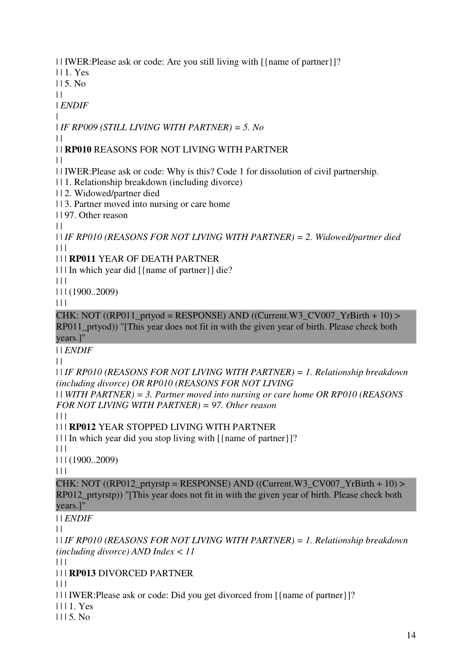| | IWER:Please ask or code: Are you still living with [{name of partner}]?

| | 1. Yes

 $115.$  No

 $| |$ | *ENDIF*

|

| *IF RP009 (STILL LIVING WITH PARTNER) = 5. No*

## | | **RP010** REASONS FOR NOT LIVING WITH PARTNER

 $\|$ 

 $\perp$ 

| | IWER:Please ask or code: Why is this? Code 1 for dissolution of civil partnership.

| | 1. Relationship breakdown (including divorce)

| | 2. Widowed/partner died

| | 3. Partner moved into nursing or care home

| | 97. Other reason

 $\|$ 

| | *IF RP010 (REASONS FOR NOT LIVING WITH PARTNER) = 2. Widowed/partner died*  $| 11$ 

| | | **RP011** YEAR OF DEATH PARTNER

| | | In which year did [{name of partner}] die?

 $| | | |$ 

| | | (1900..2009)

 $\Box$ 

CHK: NOT  $((RP011\_prtyod = RESPONSE)$  AND  $((Current.W3\_CVO07\_YrBirth + 10)$ RP011\_prtyod)) "[This year does not fit in with the given year of birth. Please check both years.]"

| | *ENDIF*

 $| |$ 

| | *IF RP010 (REASONS FOR NOT LIVING WITH PARTNER) = 1. Relationship breakdown (including divorce) OR RP010 (REASONS FOR NOT LIVING* 

| | *WITH PARTNER) = 3. Partner moved into nursing or care home OR RP010 (REASONS FOR NOT LIVING WITH PARTNER) = 97. Other reason*

 $| 11$ 

| | | **RP012** YEAR STOPPED LIVING WITH PARTNER

| | | In which year did you stop living with [{name of partner}]?

 $|| ||$ 

| | | (1900..2009)

 $| 11$ 

CHK: NOT ((RP012\_prtyrstp = RESPONSE) AND ((Current.W3\_CV007\_YrBirth + 10) > RP012 prtyrstp)) "[This year does not fit in with the given year of birth. Please check both years.]"

| | *ENDIF*

 $\perp$ 

| | *IF RP010 (REASONS FOR NOT LIVING WITH PARTNER) = 1. Relationship breakdown (including divorce) AND Index < 11*

 $\Box$ 

| | | **RP013** DIVORCED PARTNER

 $\Box$ 

- | | | IWER:Please ask or code: Did you get divorced from [{name of partner}]?
- | | | 1. Yes
- $1115. No$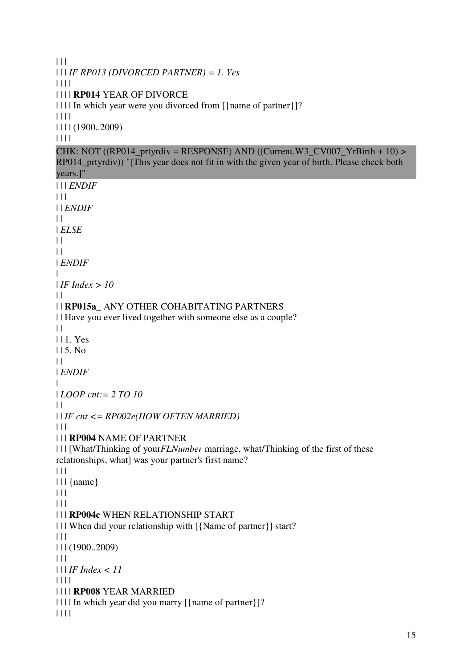```
|| ||| | | IF RP013 (DIVORCED PARTNER) = 1. Yes
| | | | 
| | | | RP014 YEAR OF DIVORCE 
| | | | In which year were you divorced from \frac{2}{3} [ \frac{2}{3}]?
| | | | 
| | | | (1900..2009) 
| | | | 
CHK: NOT ((RP014_prtyrdiv = RESPONSE) AND ((Current.W3_CV007_YrBirth + 10) >
RP014 prtyrdiv)) "[This year does not fit in with the given year of birth. Please check both
years.]" 
| | | ENDIF
| 11| | ENDIF
| || ELSE
\|\|| ENDIF
| 
| IF Index > 10
\perp| | RP015a_ ANY OTHER COHABITATING PARTNERS 
| | Have you ever lived together with someone else as a couple? 
\|| | 1. Yes 
115. No
\|| ENDIF
| 
| LOOP cnt:= 2 TO 10
| || | IF cnt <= RP002e(HOW OFTEN MARRIED)
| | | 
| | | RP004 NAME OF PARTNER 
| | | [What/Thinking of yourFLNumber marriage, what/Thinking of the first of these 
relationships, what] was your partner's first name?
|  |  |  || | | {name}
| 11|| ||| | | RP004c WHEN RELATIONSHIP START 
| | | When did your relationship with [{Name of partner}] start? 
\Box| | | (1900..2009) 
| 11 || | | IF Index < 11
| | | | 
| | | | RP008 YEAR MARRIED 
| | | | In which year did you marry [{name of partner}]? 
| | | |
```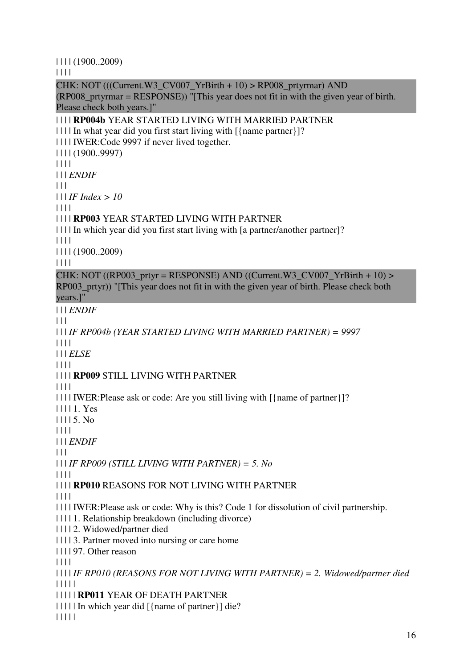| | | | (1900..2009)

| | | |

CHK: NOT (((Current.W3\_CV007\_YrBirth + 10) > RP008\_prtyrmar) AND (RP008\_prtyrmar = RESPONSE)) "[This year does not fit in with the given year of birth. Please check both years.]" | | | | **RP004b** YEAR STARTED LIVING WITH MARRIED PARTNER | | | | In what year did you first start living with [{name partner}]? | | | | IWER:Code 9997 if never lived together. | | | | (1900..9997) | | | | | | | *ENDIF*  $| 11 |$ | | | *IF Index > 10* | | | | | | | | **RP003** YEAR STARTED LIVING WITH PARTNER | | | | In which year did you first start living with [a partner/another partner]? | | | | | | | | (1900..2009) | | | | CHK: NOT ((RP003\_prtyr = RESPONSE) AND ((Current.W3\_CV007\_YrBirth + 10) > RP003\_prtyr)) "[This year does not fit in with the given year of birth. Please check both years.]" | | | *ENDIF*  $| | | |$ | | | *IF RP004b (YEAR STARTED LIVING WITH MARRIED PARTNER) = 9997* | | | | | | | *ELSE* | | | | | | | | **RP009** STILL LIVING WITH PARTNER | | | | | | | | IWER:Please ask or code: Are you still living with [{name of partner}]? | | | | 1. Yes | | | | 5. No | | | | | | | *ENDIF*  $\Box$ | | | *IF RP009 (STILL LIVING WITH PARTNER) = 5. No* | | | | | | | | **RP010** REASONS FOR NOT LIVING WITH PARTNER | | | | | | | | IWER:Please ask or code: Why is this? Code 1 for dissolution of civil partnership. | | | | 1. Relationship breakdown (including divorce) | | | | 2. Widowed/partner died | | | | 3. Partner moved into nursing or care home | | | | 97. Other reason | | | | | | | | *IF RP010 (REASONS FOR NOT LIVING WITH PARTNER) = 2. Widowed/partner died* | | | | | | | | | | **RP011** YEAR OF DEATH PARTNER | | | | | In which year did [{name of partner}] die? | | | | |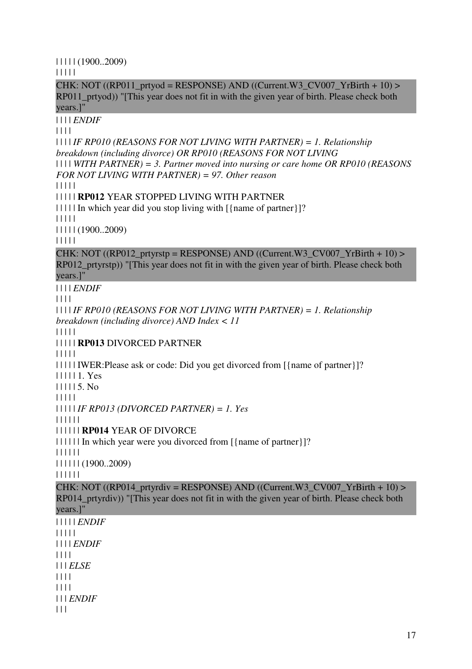| | | | | (1900..2009)

| | | | |

CHK: NOT ((RP011\_prtyod = RESPONSE) AND ((Current.W3\_CV007\_YrBirth + 10) > RP011\_prtyod)) "[This year does not fit in with the given year of birth. Please check both years.]"

| | | | *ENDIF*

| | | |

| | | | *IF RP010 (REASONS FOR NOT LIVING WITH PARTNER) = 1. Relationship breakdown (including divorce) OR RP010 (REASONS FOR NOT LIVING* 

| | | | *WITH PARTNER) = 3. Partner moved into nursing or care home OR RP010 (REASONS FOR NOT LIVING WITH PARTNER) = 97. Other reason*

| | | | |

| | | | | **RP012** YEAR STOPPED LIVING WITH PARTNER

| | | | | In which year did you stop living with [{name of partner}]?

| | | | |

| | | | | (1900..2009)

| | | | |

CHK: NOT ((RP012\_prtyrstp = RESPONSE) AND ((Current.W3\_CV007\_YrBirth + 10) > RP012 prtyrstp)) "[This year does not fit in with the given year of birth. Please check both years.]"

| | | | *ENDIF*

| | | |

| | | | *IF RP010 (REASONS FOR NOT LIVING WITH PARTNER) = 1. Relationship breakdown (including divorce) AND Index < 11*

| | | | |

| | | | | **RP013** DIVORCED PARTNER

| | | | |

| | | | | IWER:Please ask or code: Did you get divorced from [{name of partner}]?

| | | | | 1. Yes

| | | | | 5. No

| | | | |

| | | | | *IF RP013 (DIVORCED PARTNER) = 1. Yes*

| | | | | |

| | | | | | **RP014** YEAR OF DIVORCE

| | | | | | In which year were you divorced from [{name of partner}]?

| | | | | |

| | | | | | (1900..2009)

| | | | | |

CHK: NOT ((RP014 prtyrdiv = RESPONSE) AND ((Current.W3 CV007 YrBirth + 10) > RP014\_prtyrdiv)) "[This year does not fit in with the given year of birth. Please check both years.]"

| | | | | *ENDIF* | | | | | | | | | *ENDIF* | | | | | | | *ELSE* | | | | | | | | | | | *ENDIF*

 $| 11$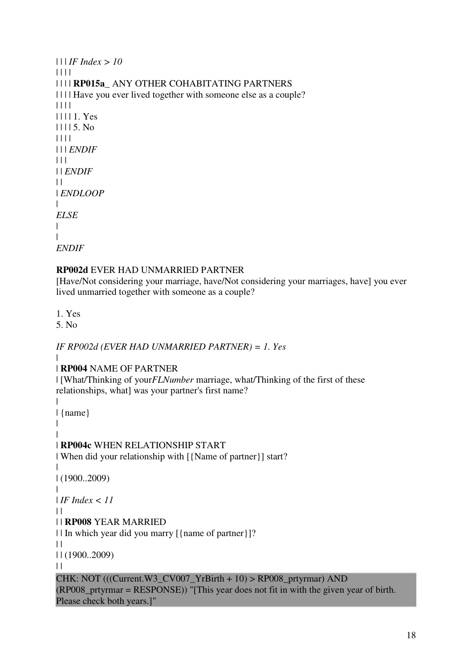```
| | | IF Index > 10
| | | | 
| | | | RP015a_ ANY OTHER COHABITATING PARTNERS 
| | | | Have you ever lived together with someone else as a couple? 
| | | | 
| | | | 1. Yes 
| | | | 5. No 
| | | | 
| | | ENDIF
| 11| | ENDIF
\perp| ENDLOOP
| 
ELSE
| 
| 
ENDIF
```
#### **RP002d** EVER HAD UNMARRIED PARTNER

[Have/Not considering your marriage, have/Not considering your marriages, have] you ever lived unmarried together with someone as a couple?

1. Yes

5. No

|

#### *IF RP002d (EVER HAD UNMARRIED PARTNER) = 1. Yes*

 $\blacksquare$ | **RP004** NAME OF PARTNER

| [What/Thinking of your*FLNumber* marriage, what/Thinking of the first of these relationships, what] was your partner's first name?

```
| {name} 
| 
| 
| RP004c WHEN RELATIONSHIP START 
| When did your relationship with [{Name of partner}] start? 
| 
| (1900..2009) 
| 
| IF Index < 11
| || | RP008 YEAR MARRIED 
| | In which year did you marry [{name of partner}]? 
\perp| | (1900..2009) 
| |CHK: NOT (((Current.W3_CVO07_YrBith + 10) > RP008_prrlyrmar) AND
(RP008_prtyrmar = RESPONSE)) "[This year does not fit in with the given year of birth. 
Please check both years.]"
```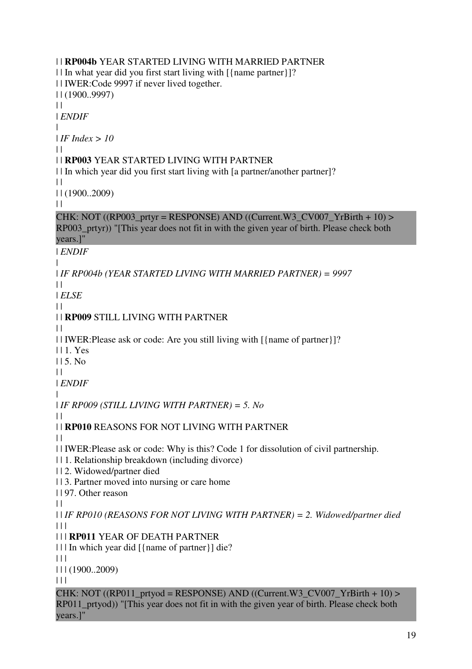| | **RP004b** YEAR STARTED LIVING WITH MARRIED PARTNER | | In what year did you first start living with [{name partner}]? | | IWER:Code 9997 if never lived together. | | (1900..9997)  $\|$ | *ENDIF* | | *IF Index > 10*  $\perp$ | | **RP003** YEAR STARTED LIVING WITH PARTNER | | In which year did you first start living with [a partner/another partner]?  $\|$ | | (1900..2009)  $| |$ CHK: NOT  $((RP003\_prtyr = RESPONSE)$  AND  $((Current.W3\_CV007\_YrBirth + 10)$ RP003\_prtyr)) "[This year does not fit in with the given year of birth. Please check both years.]" | *ENDIF* | | *IF RP004b (YEAR STARTED LIVING WITH MARRIED PARTNER) = 9997*  $\perp$ | *ELSE*  $\perp$ | | **RP009** STILL LIVING WITH PARTNER | | | | IWER:Please ask or code: Are you still living with [{name of partner}]? | | 1. Yes  $115.$  No  $\|$ | *ENDIF* | | *IF RP009 (STILL LIVING WITH PARTNER) = 5. No*  $\perp$ | | **RP010** REASONS FOR NOT LIVING WITH PARTNER  $| |$ | | IWER:Please ask or code: Why is this? Code 1 for dissolution of civil partnership. | | 1. Relationship breakdown (including divorce) | | 2. Widowed/partner died | | 3. Partner moved into nursing or care home | | 97. Other reason  $\|$ | | *IF RP010 (REASONS FOR NOT LIVING WITH PARTNER) = 2. Widowed/partner died*  $| | | |$ | | | **RP011** YEAR OF DEATH PARTNER | | | In which year did [{name of partner}] die?  $\Box$ | | | (1900..2009)  $| 11$ CHK: NOT ((RP011\_prtyod = RESPONSE) AND ((Current.W3\_CV007\_YrBirth + 10) > RP011 prtyod)) "[This year does not fit in with the given year of birth. Please check both years.]"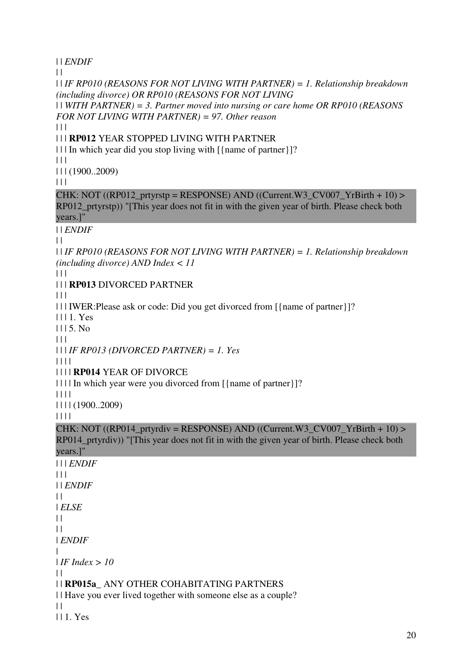| | *ENDIF*  $\perp$ | | *IF RP010 (REASONS FOR NOT LIVING WITH PARTNER) = 1. Relationship breakdown (including divorce) OR RP010 (REASONS FOR NOT LIVING*  | | *WITH PARTNER) = 3. Partner moved into nursing or care home OR RP010 (REASONS FOR NOT LIVING WITH PARTNER) = 97. Other reason*  $| 11$ | | | **RP012** YEAR STOPPED LIVING WITH PARTNER | | | In which year did you stop living with [{name of partner}]?  $\Box$ | | | (1900..2009)  $| 11$  $CHK: NOT ((RP012\_prtyrstp = RESPONSE) AND ((Current.W3_CVO07_YrBirth + 10) >$ RP012\_prtyrstp)) "[This year does not fit in with the given year of birth. Please check both years.]" | | *ENDIF*  $| |$ | | *IF RP010 (REASONS FOR NOT LIVING WITH PARTNER) = 1. Relationship breakdown (including divorce) AND Index < 11*  $\begin{array}{c} \hline \end{array}$ | | | **RP013** DIVORCED PARTNER  $| 11$ | | | IWER:Please ask or code: Did you get divorced from [{name of partner}]? | | | 1. Yes  $1115$ . No.  $\Box$ | | | *IF RP013 (DIVORCED PARTNER) = 1. Yes* | | | | | | | | **RP014** YEAR OF DIVORCE | | | | In which year were you divorced from [{name of partner}]? | | | | | | | | (1900..2009) | | | | CHK: NOT ((RP014 prtyrdiv = RESPONSE) AND ((Current.W3 CV007 YrBirth + 10) > RP014 prtyrdiv)) "[This year does not fit in with the given year of birth. Please check both years.]" | | | *ENDIF*  $| 11$ | | *ENDIF*  $\|$ | *ELSE*  $| |$  $\|$ | *ENDIF* | | *IF Index > 10*  $| |$ | | **RP015a\_** ANY OTHER COHABITATING PARTNERS | | Have you ever lived together with someone else as a couple?  $\Box$ | | 1. Yes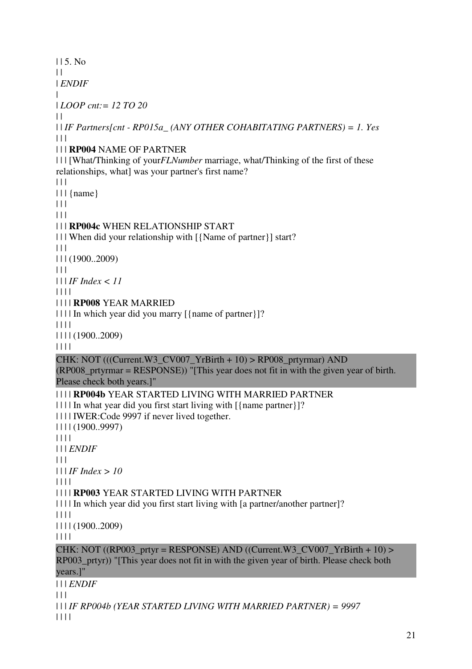| | 5. No  $\perp$ | *ENDIF* | | *LOOP cnt:= 12 TO 20*  $\perp$ | | *IF Partners[cnt - RP015a\_ (ANY OTHER COHABITATING PARTNERS) = 1. Yes*  $| 11$ | | | **RP004** NAME OF PARTNER | | | [What/Thinking of your*FLNumber* marriage, what/Thinking of the first of these relationships, what] was your partner's first name?  $\Box$  $|| \cdot ||$  {name}  $| 11$  $| | | |$ | | | **RP004c** WHEN RELATIONSHIP START | | | When did your relationship with [{Name of partner}] start?  $\Box$ | | | (1900..2009)  $| | | |$ | | | *IF Index < 11* | | | | | | | | **RP008** YEAR MARRIED | | | | In which year did you marry [{name of partner}]? | | | | | | | | (1900..2009) | | | | CHK: NOT (((Current.W3\_CV007\_YrBirth + 10) > RP008\_prtyrmar) AND (RP008\_prtyrmar = RESPONSE)) "[This year does not fit in with the given year of birth. Please check both years.]" | | | | **RP004b** YEAR STARTED LIVING WITH MARRIED PARTNER | | | | In what year did you first start living with [{name partner}]? | | | | IWER:Code 9997 if never lived together. | | | | (1900..9997) | | | | | | | *ENDIF*  $| 11$ | | | *IF Index > 10* | | | | | | | | **RP003** YEAR STARTED LIVING WITH PARTNER | | | | In which year did you first start living with [a partner/another partner]?  $|| || ||$ | | | | (1900..2009) | | | | CHK: NOT ((RP003\_prtyr = RESPONSE) AND ((Current.W3\_CV007\_YrBirth + 10) > RP003 prtyr)) "[This year does not fit in with the given year of birth. Please check both years.]" | | | *ENDIF*  $|| ||$ | | | *IF RP004b (YEAR STARTED LIVING WITH MARRIED PARTNER) = 9997*

| | | |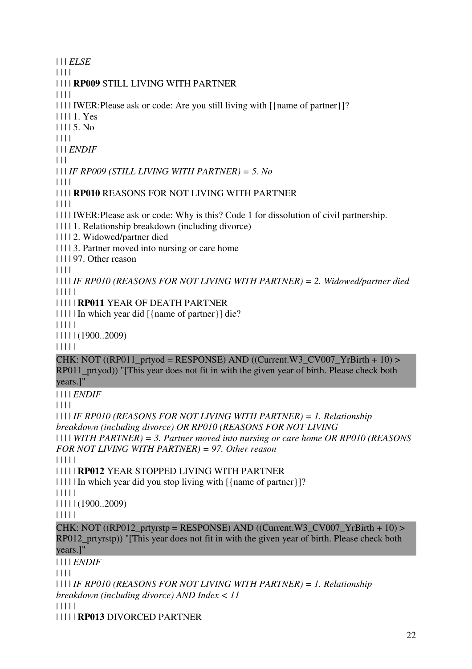| | | *ELSE* | | | | | | | | **RP009** STILL LIVING WITH PARTNER | | | | | | | | IWER:Please ask or code: Are you still living with [{name of partner}]? | | | | 1. Yes | | | | 5. No | | | | | | | *ENDIF*  $\Box$ | | | *IF RP009 (STILL LIVING WITH PARTNER) = 5. No* | | | | | | | | **RP010** REASONS FOR NOT LIVING WITH PARTNER | | | | | | | | IWER:Please ask or code: Why is this? Code 1 for dissolution of civil partnership. | | | | 1. Relationship breakdown (including divorce) | | | | 2. Widowed/partner died | | | | 3. Partner moved into nursing or care home | | | | 97. Other reason | | | | | | | | *IF RP010 (REASONS FOR NOT LIVING WITH PARTNER) = 2. Widowed/partner died* | | | | | | | | | | **RP011** YEAR OF DEATH PARTNER | | | | | In which year did [{name of partner}] die? | | | | | | | | | | (1900..2009) | | | | | CHK: NOT  $((RP011\_prtyod = RESPONSE)$  AND  $((Current.W3\_CVO07\_YrBirth + 10)$ RP011 prtyod)) "[This year does not fit in with the given year of birth. Please check both years.]" | | | | *ENDIF* | | | | | | | | *IF RP010 (REASONS FOR NOT LIVING WITH PARTNER) = 1. Relationship breakdown (including divorce) OR RP010 (REASONS FOR NOT LIVING*  | | | | *WITH PARTNER) = 3. Partner moved into nursing or care home OR RP010 (REASONS FOR NOT LIVING WITH PARTNER) = 97. Other reason* | | | | | | | | | | **RP012** YEAR STOPPED LIVING WITH PARTNER | | | | | In which year did you stop living with [{name of partner}]? | | | | | | | | | | (1900..2009) | | | | | CHK: NOT ((RP012\_prtyrstp = RESPONSE) AND ((Current.W3\_CV007\_YrBirth + 10) > RP012\_prtyrstp)) "[This year does not fit in with the given year of birth. Please check both years.]" | | | | *ENDIF* | | | | | | | | *IF RP010 (REASONS FOR NOT LIVING WITH PARTNER) = 1. Relationship breakdown (including divorce) AND Index < 11* | | | | | | | | | | **RP013** DIVORCED PARTNER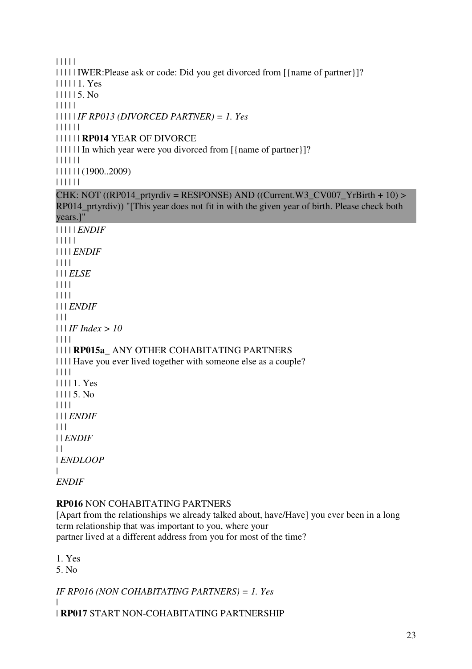| | | | | | | | | | IWER:Please ask or code: Did you get divorced from [{name of partner}]? | | | | | 1. Yes | | | | | 5. No | | | | | | | | | | *IF RP013 (DIVORCED PARTNER) = 1. Yes* | | | | | | | | | | | | **RP014** YEAR OF DIVORCE | | | | | | In which year were you divorced from [{name of partner}]? | | | | | | | | | | | | (1900..2009) | | | | | |  $CHK: NOT ((RP014\_prtyrdiv = RESPONSE) AND ((Current.W3_CVO07_YrBirth + 10) >$ RP014\_prtyrdiv)) "[This year does not fit in with the given year of birth. Please check both years.]" | | | | | *ENDIF* | | | | | | | | | *ENDIF* | | | | | | | *ELSE* | | | | | | | | | | | *ENDIF*  $| 11$ | | | *IF Index > 10* | | | | | | | | **RP015a\_** ANY OTHER COHABITATING PARTNERS | | | | Have you ever lived together with someone else as a couple? | | | | | | | | 1. Yes | | | | 5. No | | | | | | | *ENDIF* | | | | | *ENDIF*  $| |$ | *ENDLOOP* | *ENDIF*

#### **RP016** NON COHABITATING PARTNERS

[Apart from the relationships we already talked about, have/Have] you ever been in a long term relationship that was important to you, where your partner lived at a different address from you for most of the time?

1. Yes

5. No

*IF RP016 (NON COHABITATING PARTNERS) = 1. Yes*

| | **RP017** START NON-COHABITATING PARTNERSHIP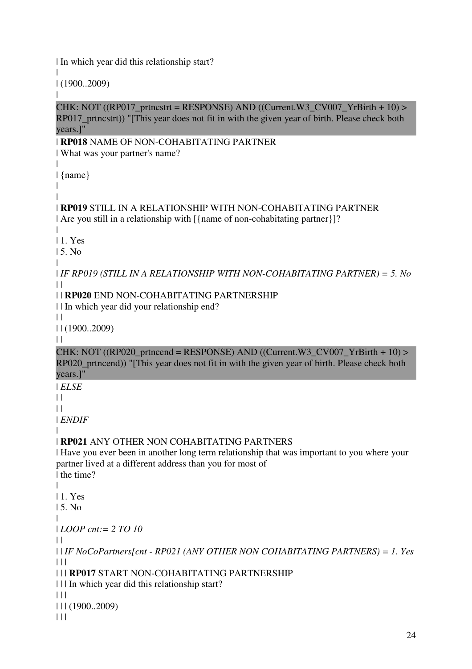| In which year did this relationship start?

| | (1900..2009)

CHK: NOT ((RP017 prtncstrt = RESPONSE) AND ((Current.W3 CV007 YrBirth + 10) > RP017 prtncstrt)) "[This year does not fit in with the given year of birth. Please check both years.]"

#### | **RP018** NAME OF NON-COHABITATING PARTNER

| What was your partner's name?

| {name}

| |

|

|

#### | **RP019** STILL IN A RELATIONSHIP WITH NON-COHABITATING PARTNER | Are you still in a relationship with [{name of non-cohabitating partner}]?

| | 1. Yes

| 5. No

|

| *IF RP019 (STILL IN A RELATIONSHIP WITH NON-COHABITATING PARTNER) = 5. No*  $\perp$ 

### | | **RP020** END NON-COHABITATING PARTNERSHIP

| | In which year did your relationship end?

 $| |$ 

| | (1900..2009)

 $\|$ 

CHK: NOT ((RP020\_prtncend = RESPONSE) AND ((Current.W3\_CV007\_YrBirth + 10) > RP020 prtncend)) "[This year does not fit in with the given year of birth. Please check both years.]"

| *ELSE*

 $\|$ 

 $\|$ 

| *ENDIF*

|

## | **RP021** ANY OTHER NON COHABITATING PARTNERS

| Have you ever been in another long term relationship that was important to you where your partner lived at a different address than you for most of | the time?

| | 1. Yes

| 5. No

|

| *LOOP cnt:= 2 TO 10*

 $\blacksquare$ 

| | *IF NoCoPartners[cnt - RP021 (ANY OTHER NON COHABITATING PARTNERS) = 1. Yes*  $\Box$ 

## | | | **RP017** START NON-COHABITATING PARTNERSHIP

| | | In which year did this relationship start?

 $| 11$ 

| | | (1900..2009)

 $| 11$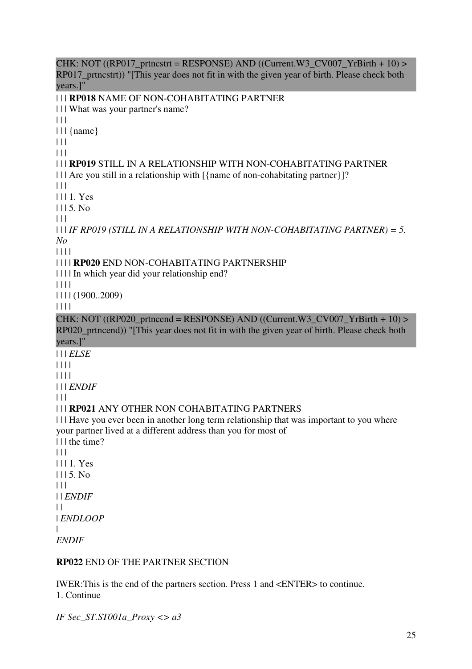$CHK: NOT ((RP017\_ptrncstr = RESPONSE) AND ((Current.W3_CVO07_YrBrit + 10) >$ RP017 prtncstrt)) "[This year does not fit in with the given year of birth. Please check both years.]" | | | **RP018** NAME OF NON-COHABITATING PARTNER | | | What was your partner's name?  $\Box$ | | | {name}  $|| ||$  $|| ||$ | | | **RP019** STILL IN A RELATIONSHIP WITH NON-COHABITATING PARTNER | | | | Are you still in a relationship with  $\frac{1}{2}$  and  $\frac{1}{2}$  and  $\frac{1}{2}$  and  $\frac{1}{2}$  arther  $\frac{1}{2}$  and  $\frac{1}{2}$  $\Box$ | | | 1. Yes  $1115$ . No.  $| | | |$ | | | *IF RP019 (STILL IN A RELATIONSHIP WITH NON-COHABITATING PARTNER) = 5. No* | | | | | | | | **RP020** END NON-COHABITATING PARTNERSHIP | | | | In which year did your relationship end? | | | | | | | | (1900..2009) | | | | CHK: NOT ((RP020\_prtncend = RESPONSE) AND ((Current.W3\_CV007\_YrBirth + 10) > RP020\_prtncend)) "[This year does not fit in with the given year of birth. Please check both years.]" | | | *ELSE* | | | | | | | | | | | *ENDIF*  $| 11$ | | | **RP021** ANY OTHER NON COHABITATING PARTNERS | | | Have you ever been in another long term relationship that was important to you where your partner lived at a different address than you for most of | | | the time?  $| 11$ | | | 1. Yes  $1115. No$  $| 11$ | | *ENDIF*  $\perp$ | *ENDLOOP* | *ENDIF*

#### **RP022** END OF THE PARTNER SECTION

IWER:This is the end of the partners section. Press 1 and <ENTER> to continue. 1. Continue

*IF Sec\_ST.ST001a\_Proxy <> a3*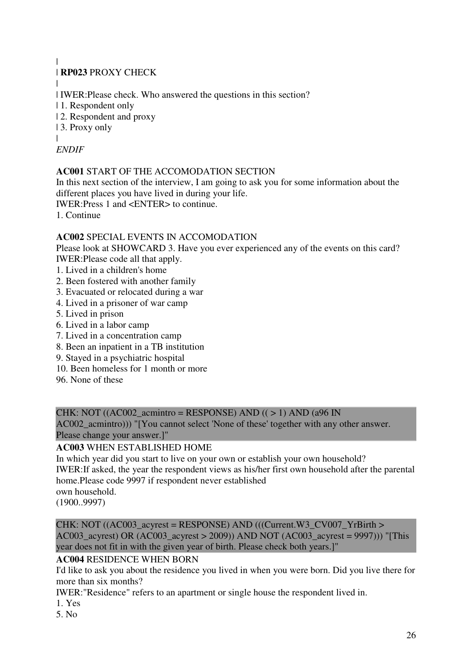## | **RP023** PROXY CHECK

| | IWER:Please check. Who answered the questions in this section?

- | 1. Respondent only
- | 2. Respondent and proxy
- | 3. Proxy only

#### |

### *ENDIF*

|

#### **AC001** START OF THE ACCOMODATION SECTION

In this next section of the interview, I am going to ask you for some information about the different places you have lived in during your life.

IWER:Press 1 and <ENTER> to continue.

1. Continue

### **AC002** SPECIAL EVENTS IN ACCOMODATION

Please look at SHOWCARD 3. Have you ever experienced any of the events on this card? IWER:Please code all that apply.

- 1. Lived in a children's home
- 2. Been fostered with another family
- 3. Evacuated or relocated during a war
- 4. Lived in a prisoner of war camp
- 5. Lived in prison
- 6. Lived in a labor camp
- 7. Lived in a concentration camp
- 8. Been an inpatient in a TB institution
- 9. Stayed in a psychiatric hospital
- 10. Been homeless for 1 month or more
- 96. None of these

#### CHK: NOT ((AC002 acmintro = RESPONSE) AND ( $($  > 1) AND (a96 IN

AC002 acmintro))) "[You cannot select 'None of these' together with any other answer. Please change your answer.]"

### **AC003** WHEN ESTABLISHED HOME

In which year did you start to live on your own or establish your own household?

IWER:If asked, the year the respondent views as his/her first own household after the parental home.Please code 9997 if respondent never established

own household.

(1900..9997)

CHK: NOT ((AC003\_acyrest = RESPONSE) AND (((Current.W3\_CV007\_YrBirth > AC003 acyrest) OR (AC003 acyrest > 2009)) AND NOT (AC003 acyrest = 9997))) "[This year does not fit in with the given year of birth. Please check both years.]"

#### **AC004** RESIDENCE WHEN BORN

I'd like to ask you about the residence you lived in when you were born. Did you live there for more than six months?

IWER:"Residence" refers to an apartment or single house the respondent lived in.

- 1. Yes
- 5. No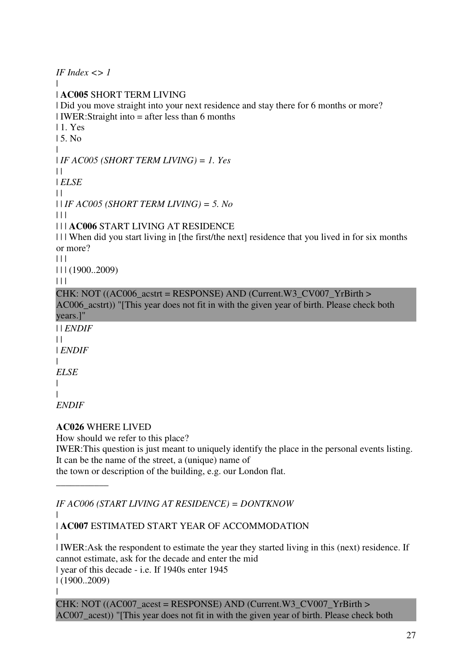*IF Index <> 1* | | **AC005** SHORT TERM LIVING | Did you move straight into your next residence and stay there for 6 months or more? | IWER:Straight into = after less than 6 months | 1. Yes | 5. No | | *IF AC005 (SHORT TERM LIVING) = 1. Yes*  $\perp$ | *ELSE*  $\|$ | | *IF AC005 (SHORT TERM LIVING) = 5. No*  $| 11 |$ | | | **AC006** START LIVING AT RESIDENCE | | | When did you start living in [the first/the next] residence that you lived in for six months or more?  $| | |$ | | | (1900..2009)  $\Box$ CHK: NOT  $((AC006 \text{ acstrt} = RESPONSE)$  AND  $(Current.W3CV007YrBirth >$ AC006 acstrt)) "[This year does not fit in with the given year of birth. Please check both years.]" | | *ENDIF*  $\|$ | *ENDIF* | *ELSE* | | *ENDIF* **AC026** WHERE LIVED

How should we refer to this place?

IWER:This question is just meant to uniquely identify the place in the personal events listing. It can be the name of the street, a (unique) name of

the town or description of the building, e.g. our London flat.

*IF AC006 (START LIVING AT RESIDENCE) = DONTKNOW*

| | **AC007** ESTIMATED START YEAR OF ACCOMMODATION

| | IWER:Ask the respondent to estimate the year they started living in this (next) residence. If cannot estimate, ask for the decade and enter the mid | year of this decade - i.e. If 1940s enter 1945 | (1900..2009)

|

\_\_\_\_\_\_\_\_\_\_\_

CHK: NOT ( $(AC007 \text{ acest} = RESPONSE)$  AND  $(Current.W3CV007YrBirth >$ AC007 acest)) "[This year does not fit in with the given year of birth. Please check both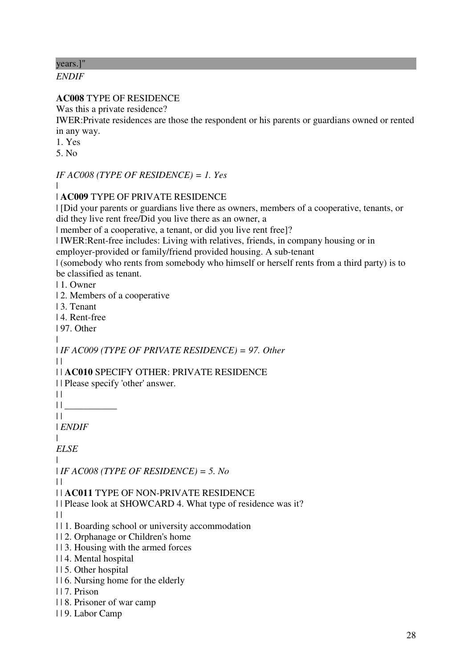years.]"

*ENDIF*

### **AC008** TYPE OF RESIDENCE

Was this a private residence?

IWER:Private residences are those the respondent or his parents or guardians owned or rented in any way.

1. Yes

5. No

*IF AC008 (TYPE OF RESIDENCE) = 1. Yes*

|

| **AC009** TYPE OF PRIVATE RESIDENCE

| [Did your parents or guardians live there as owners, members of a cooperative, tenants, or did they live rent free/Did you live there as an owner, a

| member of a cooperative, a tenant, or did you live rent free]?

| IWER:Rent-free includes: Living with relatives, friends, in company housing or in

employer-provided or family/friend provided housing. A sub-tenant

| (somebody who rents from somebody who himself or herself rents from a third party) is to be classified as tenant.

| 1. Owner

| 2. Members of a cooperative

| 3. Tenant

| 4. Rent-free

| 97. Other

|

| *IF AC009 (TYPE OF PRIVATE RESIDENCE) = 97. Other*

 $\Box$ | | **AC010** SPECIFY OTHER: PRIVATE RESIDENCE

| | Please specify 'other' answer.

 $\|$ 

 $||$ 

 $| |$ 

| *ENDIF*

|

*ELSE* |

| *IF AC008 (TYPE OF RESIDENCE) = 5. No*

 $\perp$ 

| | **AC011** TYPE OF NON-PRIVATE RESIDENCE

| | Please look at SHOWCARD 4. What type of residence was it?

 $\perp$ 

| | 1. Boarding school or university accommodation

- | | 2. Orphanage or Children's home
- | | 3. Housing with the armed forces
- | | 4. Mental hospital
- | | 5. Other hospital
- | | 6. Nursing home for the elderly
- | | 7. Prison
- | | 8. Prisoner of war camp
- | | 9. Labor Camp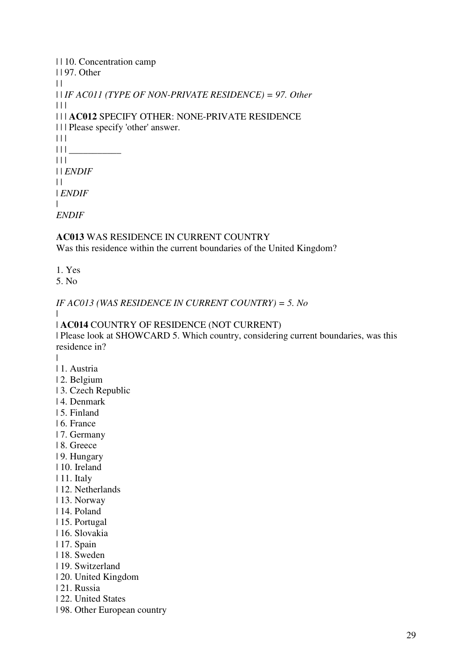| 110. Concentration camp                                     |
|-------------------------------------------------------------|
| $1197.$ Other                                               |
| $\perp$                                                     |
| $\Box$ IF AC011 (TYPE OF NON-PRIVATE RESIDENCE) = 97. Other |
| $\perp$                                                     |
| <b>III AC012 SPECIFY OTHER: NONE-PRIVATE RESIDENCE</b>      |
| III Please specify 'other' answer.                          |
| $\perp$                                                     |
| $\perp$                                                     |
| $\perp$                                                     |
| $\Box$ <i>ENDIF</i>                                         |
| $\perp$                                                     |
| ENDIF                                                       |
|                                                             |
| <i>ENDIF</i>                                                |

# **AC013** WAS RESIDENCE IN CURRENT COUNTRY

Was this residence within the current boundaries of the United Kingdom?

- 1. Yes
- 5. No

*IF AC013 (WAS RESIDENCE IN CURRENT COUNTRY) = 5. No*

| **AC014** COUNTRY OF RESIDENCE (NOT CURRENT)

| Please look at SHOWCARD 5. Which country, considering current boundaries, was this residence in?

|

 $\blacksquare$ 

- | 1. Austria
- | 2. Belgium
- | 3. Czech Republic
- | 4. Denmark
- | 5. Finland
- | 6. France
- | 7. Germany
- | 8. Greece
- | 9. Hungary
- | 10. Ireland
- | 11. Italy
- | 12. Netherlands
- | 13. Norway
- | 14. Poland
- | 15. Portugal
- | 16. Slovakia
- | 17. Spain
- | 18. Sweden
- | 19. Switzerland
- | 20. United Kingdom
- | 21. Russia
- | 22. United States
- | 98. Other European country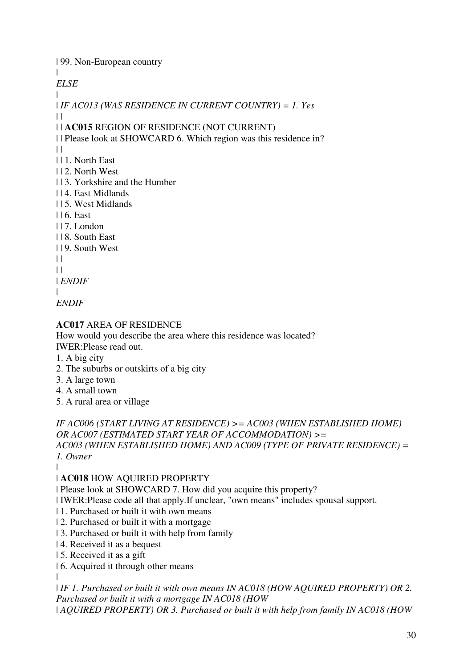| 99. Non-European country

 $\blacksquare$ 

*ELSE*

| | *IF AC013 (WAS RESIDENCE IN CURRENT COUNTRY) = 1. Yes*

 $\Box$ 

| | **AC015** REGION OF RESIDENCE (NOT CURRENT)

| | Please look at SHOWCARD 6. Which region was this residence in?

- $\perp$
- | | 1. North East
- | | 2. North West
- | | 3. Yorkshire and the Humber
- | | 4. East Midlands
- | | 5. West Midlands
- | | 6. East
- $117.$  London
- | | 8. South East
- | | 9. South West
- $\perp$
- $\perp$

| *ENDIF*

| *ENDIF*

## **AC017** AREA OF RESIDENCE

How would you describe the area where this residence was located?

IWER:Please read out.

- 1. A big city
- 2. The suburbs or outskirts of a big city
- 3. A large town
- 4. A small town
- 5. A rural area or village

*IF AC006 (START LIVING AT RESIDENCE) >= AC003 (WHEN ESTABLISHED HOME) OR AC007 (ESTIMATED START YEAR OF ACCOMMODATION) >= AC003 (WHEN ESTABLISHED HOME) AND AC009 (TYPE OF PRIVATE RESIDENCE) = 1. Owner*

|

# | **AC018** HOW AQUIRED PROPERTY

| Please look at SHOWCARD 7. How did you acquire this property?

- | IWER:Please code all that apply.If unclear, "own means" includes spousal support.
- | 1. Purchased or built it with own means
- | 2. Purchased or built it with a mortgage
- | 3. Purchased or built it with help from family
- | 4. Received it as a bequest
- | 5. Received it as a gift
- | 6. Acquired it through other means

|

| *IF 1. Purchased or built it with own means IN AC018 (HOW AQUIRED PROPERTY) OR 2. Purchased or built it with a mortgage IN AC018 (HOW*

| *AQUIRED PROPERTY) OR 3. Purchased or built it with help from family IN AC018 (HOW*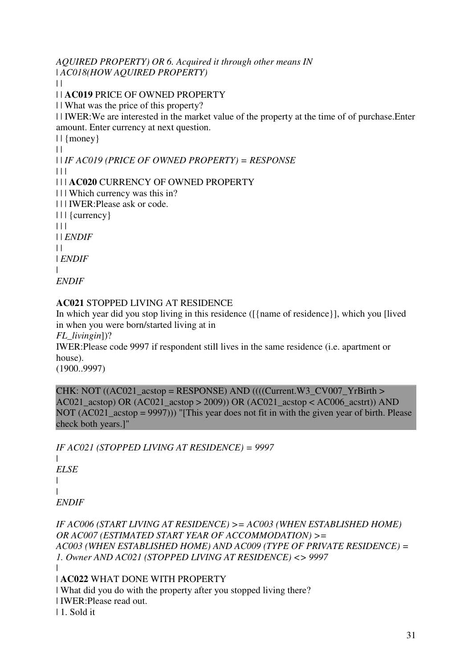*AQUIRED PROPERTY) OR 6. Acquired it through other means IN*  | *AC018(HOW AQUIRED PROPERTY)*

 $\|$ 

| | **AC019** PRICE OF OWNED PROPERTY

| | What was the price of this property?

| | IWER:We are interested in the market value of the property at the time of of purchase.Enter amount. Enter currency at next question.

 $||$  {money}

 $\|$ 

| | *IF AC019 (PRICE OF OWNED PROPERTY) = RESPONSE*

 $\Box$ 

| | | **AC020** CURRENCY OF OWNED PROPERTY

| | | Which currency was this in?

| | | IWER:Please ask or code.

| | | {currency}

 $| 11$ 

| | *ENDIF*

 $| |$ 

| *ENDIF*

|

*ENDIF*

## **AC021** STOPPED LIVING AT RESIDENCE

In which year did you stop living in this residence ([{name of residence}], which you [lived in when you were born/started living at in

*FL\_livingin*])?

IWER:Please code 9997 if respondent still lives in the same residence (i.e. apartment or house).

(1900..9997)

CHK: NOT ( $(AC021 \text{ acts} = RESPONSE)$  AND ((((Current.W3 CV007 YrBirth > AC021\_acstop) OR (AC021\_acstop > 2009)) OR (AC021\_acstop < AC006\_acstrt)) AND NOT (AC021 acstop = 9997))) "[This year does not fit in with the given year of birth. Please check both years.]"

*IF AC021 (STOPPED LIVING AT RESIDENCE) = 9997*

| *ELSE* | | *ENDIF*

*IF AC006 (START LIVING AT RESIDENCE) >= AC003 (WHEN ESTABLISHED HOME) OR AC007 (ESTIMATED START YEAR OF ACCOMMODATION) >= AC003 (WHEN ESTABLISHED HOME) AND AC009 (TYPE OF PRIVATE RESIDENCE) = 1. Owner AND AC021 (STOPPED LIVING AT RESIDENCE) <> 9997* |

## | **AC022** WHAT DONE WITH PROPERTY

| What did you do with the property after you stopped living there? | IWER:Please read out.

| 1. Sold it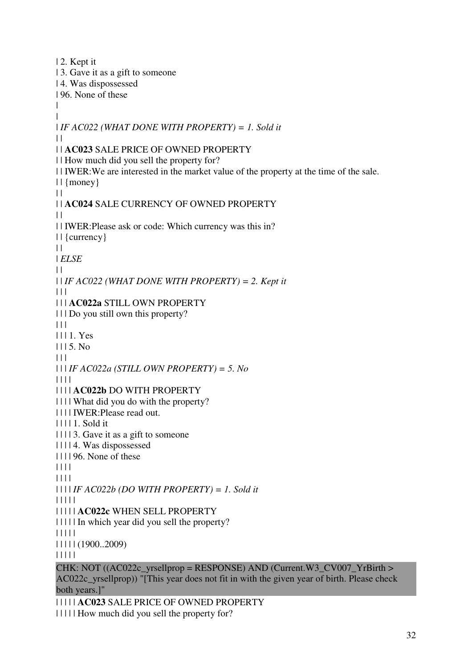| 2. Kept it | 3. Gave it as a gift to someone | 4. Was dispossessed | 96. None of these | | | *IF AC022 (WHAT DONE WITH PROPERTY) = 1. Sold it*  $\perp$ | | **AC023** SALE PRICE OF OWNED PROPERTY | | How much did you sell the property for? | | IWER:We are interested in the market value of the property at the time of the sale.  $||$  {money}  $\|$ | | **AC024** SALE CURRENCY OF OWNED PROPERTY  $\perp$ | | IWER:Please ask or code: Which currency was this in? | | {currency}  $\|$ | *ELSE*  $\perp$ | | *IF AC022 (WHAT DONE WITH PROPERTY) = 2. Kept it*  $| 11$ | | | **AC022a** STILL OWN PROPERTY | | | Do you still own this property?  $\begin{array}{c|c} \hline \end{array}$ | | | 1. Yes  $1115$ . No.  $\Box$ | | | *IF AC022a (STILL OWN PROPERTY) = 5. No* | | | | | | | | **AC022b** DO WITH PROPERTY | | | | What did you do with the property? | | | | IWER:Please read out. | | | | 1. Sold it | | | | 3. Gave it as a gift to someone | | | | 4. Was dispossessed | | | | 96. None of these | | | | | | | | | | | | *IF AC022b (DO WITH PROPERTY) = 1. Sold it* | | | | | | | | | | **AC022c** WHEN SELL PROPERTY | | | | | In which year did you sell the property? | | | | | | | | | | (1900..2009) | | | | | CHK: NOT  $((AC022c<sub>-</sub>yrselprop = RESPONSE)$  AND  $(Current.W3<sub>-</sub>CV007<sub>-</sub>YrBirth >$ AC022c\_yrsellprop)) "[This year does not fit in with the given year of birth. Please check both years.]"

| | | | | **AC023** SALE PRICE OF OWNED PROPERTY | | | | | How much did you sell the property for?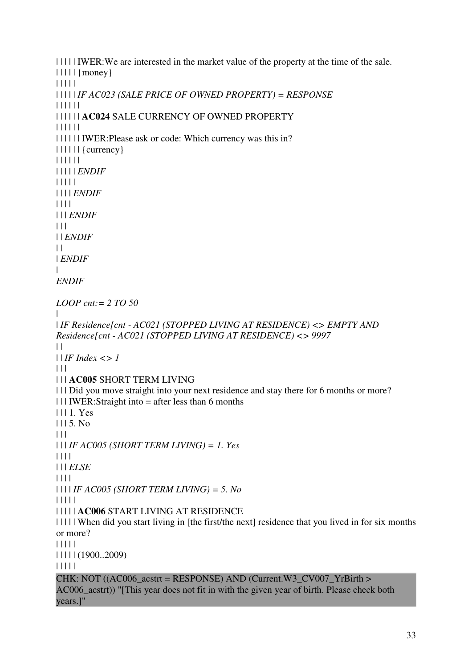| | | | | IWER:We are interested in the market value of the property at the time of the sale.  $|| \ || ||$  {money} | | | | | | | | | | *IF AC023 (SALE PRICE OF OWNED PROPERTY) = RESPONSE* | | | | | | | | | | | | **AC024** SALE CURRENCY OF OWNED PROPERTY | | | | | | | | | | | | IWER:Please ask or code: Which currency was this in? | | | | | | {currency} | | | | | | | | | | | *ENDIF* | | | | | | | | | *ENDIF* | | | | | | | *ENDIF*  $| 11$ | | *ENDIF*  $| |$ | *ENDIF* | *ENDIF LOOP cnt:= 2 TO 50* | | *IF Residence[cnt - AC021 (STOPPED LIVING AT RESIDENCE) <> EMPTY AND Residence[cnt - AC021 (STOPPED LIVING AT RESIDENCE) <> 9997*  $| |$ | | *IF Index <> 1*  $| 11$ | | | **AC005** SHORT TERM LIVING | | | Did you move straight into your next residence and stay there for 6 months or more?  $|| ||$  IWER:Straight into = after less than 6 months | | | 1. Yes | | | 5. No  $\Box$ | | | *IF AC005 (SHORT TERM LIVING) = 1. Yes* | | | | | | | *ELSE* | | | | | | | | *IF AC005 (SHORT TERM LIVING) = 5. No* | | | | | | | | | | **AC006** START LIVING AT RESIDENCE | | | | | When did you start living in [the first/the next] residence that you lived in for six months or more? | | | | | | | | | | (1900..2009) | | | | | CHK: NOT  $((AC006 \text{ acstrt} = RESPONSE)$  AND  $(Current.W3CV007YrBirth >$ AC006\_acstrt)) "[This year does not fit in with the given year of birth. Please check both years.]"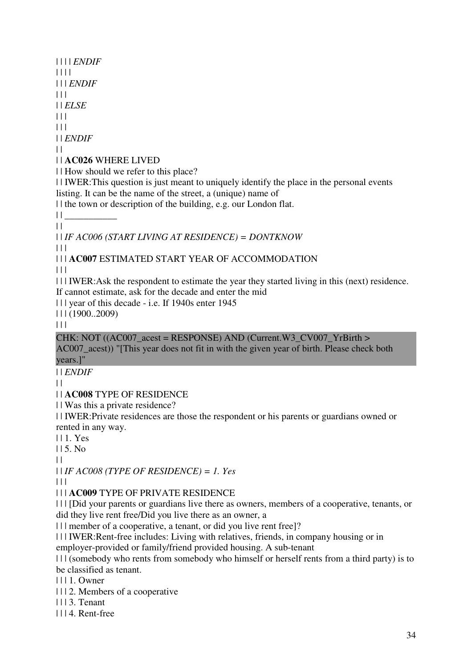| | | | *ENDIF* | | | | | | | *ENDIF*  $| 11$ | | *ELSE*  $| 11$  $| 11$ | | *ENDIF*  $\perp$ | | **AC026** WHERE LIVED | | How should we refer to this place? | | IWER:This question is just meant to uniquely identify the place in the personal events listing. It can be the name of the street, a (unique) name of | | the town or description of the building, e.g. our London flat.  $|| \cdot ||$  $\|$ | | *IF AC006 (START LIVING AT RESIDENCE) = DONTKNOW*  $\Box$ | | | **AC007** ESTIMATED START YEAR OF ACCOMMODATION  $| | | |$ | | | IWER:Ask the respondent to estimate the year they started living in this (next) residence. If cannot estimate, ask for the decade and enter the mid | | | year of this decade - i.e. If 1940s enter 1945  $| 11 (1900..2009)$  $|| ||$ CHK: NOT  $((AC007 \text{ acest} = RESPONSE)$  AND  $(Current.W3CV007YrBirth >$ AC007 acest)) "[This year does not fit in with the given year of birth. Please check both years.]" | | *ENDIF*  $\perp$ | | **AC008** TYPE OF RESIDENCE | | Was this a private residence? | | IWER:Private residences are those the respondent or his parents or guardians owned or rented in any way. | | 1. Yes  $115$ . No.  $\|$ | | *IF AC008 (TYPE OF RESIDENCE) = 1. Yes*  $| 11$ | | | **AC009** TYPE OF PRIVATE RESIDENCE | | | [Did your parents or guardians live there as owners, members of a cooperative, tenants, or did they live rent free/Did you live there as an owner, a | | | member of a cooperative, a tenant, or did you live rent free]? | | | IWER:Rent-free includes: Living with relatives, friends, in company housing or in

employer-provided or family/friend provided housing. A sub-tenant

| | | (somebody who rents from somebody who himself or herself rents from a third party) is to be classified as tenant.

| | | 1. Owner

| | | 2. Members of a cooperative

| | | 3. Tenant

| | | 4. Rent-free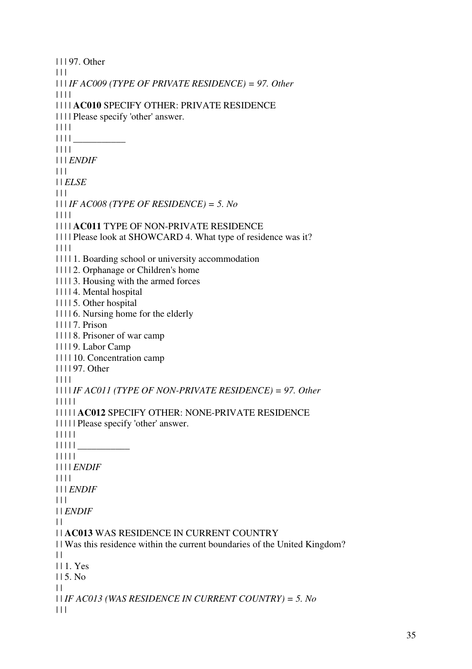| | | 97. Other  $\Box$ | | | *IF AC009 (TYPE OF PRIVATE RESIDENCE) = 97. Other* | | | | | | | | **AC010** SPECIFY OTHER: PRIVATE RESIDENCE | | | | Please specify 'other' answer. | | | |  $|| || ||$ | | | | | | | *ENDIF*  $| 11$ | | *ELSE*  $\Box$ | | | *IF AC008 (TYPE OF RESIDENCE) = 5. No* | | | | | | | | **AC011** TYPE OF NON-PRIVATE RESIDENCE | | | | Please look at SHOWCARD 4. What type of residence was it? | | | | | | | | 1. Boarding school or university accommodation | | | | 2. Orphanage or Children's home | | | | 3. Housing with the armed forces | | | | 4. Mental hospital | | | | 5. Other hospital | | | | 6. Nursing home for the elderly | | | | 7. Prison | | | | 8. Prisoner of war camp | | | | 9. Labor Camp | | | | 10. Concentration camp | | | | 97. Other | | | | | | | | *IF AC011 (TYPE OF NON-PRIVATE RESIDENCE) = 97. Other* | | | | | | | | | | **AC012** SPECIFY OTHER: NONE-PRIVATE RESIDENCE | | | | | Please specify 'other' answer. | | | | |  $|| || || ||$   $\qquad \qquad \qquad$ | | | | | | | | | *ENDIF* | | | | | | | *ENDIF*  $| 11$ | | *ENDIF*  $| |$ | | **AC013** WAS RESIDENCE IN CURRENT COUNTRY | | Was this residence within the current boundaries of the United Kingdom?  $| |$ | | 1. Yes | | 5. No  $| |$ | | *IF AC013 (WAS RESIDENCE IN CURRENT COUNTRY) = 5. No*  $| 11$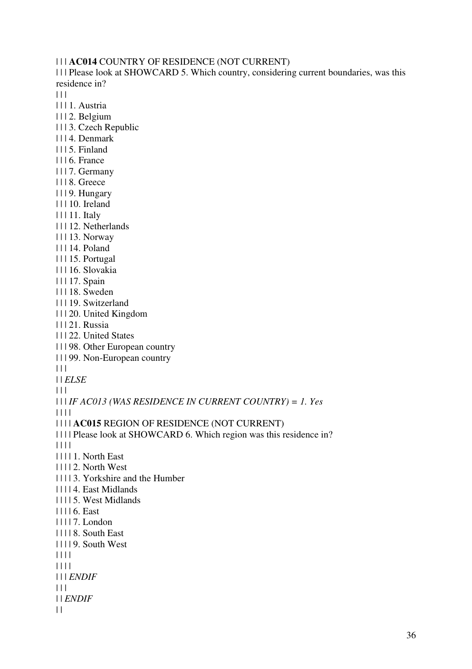| | | **AC014** COUNTRY OF RESIDENCE (NOT CURRENT)

| | | Please look at SHOWCARD 5. Which country, considering current boundaries, was this residence in?

 $| 11$ 

- | | | 1. Austria
- | | | 2. Belgium
- | | | 3. Czech Republic
- | | | 4. Denmark
- | | | 5. Finland
- | | | 6. France
- | | | 7. Germany
- | | | 8. Greece
- | | | 9. Hungary
- | | | 10. Ireland
- | | | 11. Italy
- | | | 12. Netherlands
- | | | 13. Norway
- | | | 14. Poland
- | | | 15. Portugal
- | | | 16. Slovakia
- | | | 17. Spain
- | | | 18. Sweden
- | | | 19. Switzerland
- | | | 20. United Kingdom
- | | | 21. Russia
- | | | 22. United States
- | | | 98. Other European country
- | | | 99. Non-European country
- $| 11$
- | | *ELSE*
- $| 11$

| | | *IF AC013 (WAS RESIDENCE IN CURRENT COUNTRY) = 1. Yes*

- | | | |
- | | | | **AC015** REGION OF RESIDENCE (NOT CURRENT)
- | | | | Please look at SHOWCARD 6. Which region was this residence in?
- | | | |
- | | | | 1. North East
- | | | | 2. North West
- | | | | 3. Yorkshire and the Humber
- | | | | 4. East Midlands
- | | | | 5. West Midlands
- | | | | 6. East
- | | | | 7. London
- | | | | 8. South East
- | | | | 9. South West
- | | | |
- | | | |
- | | | *ENDIF*
- $| 11$
- | | *ENDIF*
- $| |$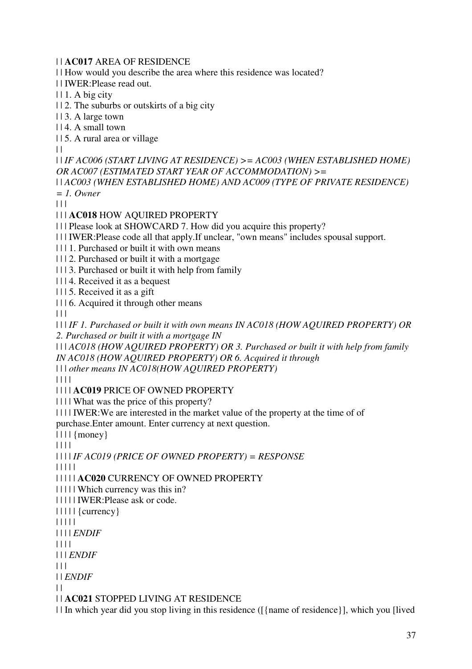| | **AC017** AREA OF RESIDENCE

| | How would you describe the area where this residence was located?

| | IWER:Please read out.

 $|| 1. A \text{ big city}$ 

| | 2. The suburbs or outskirts of a big city

| | 3. A large town

| | 4. A small town

| | 5. A rural area or village

 $\perp$ 

| | *IF AC006 (START LIVING AT RESIDENCE) >= AC003 (WHEN ESTABLISHED HOME) OR AC007 (ESTIMATED START YEAR OF ACCOMMODATION) >=*

| | *AC003 (WHEN ESTABLISHED HOME) AND AC009 (TYPE OF PRIVATE RESIDENCE) = 1. Owner*

 $| 11$ 

| | | **AC018** HOW AQUIRED PROPERTY

| | | Please look at SHOWCARD 7. How did you acquire this property?

| | | IWER:Please code all that apply.If unclear, "own means" includes spousal support.

| | | 1. Purchased or built it with own means

| | | 2. Purchased or built it with a mortgage

| | | 3. Purchased or built it with help from family

| | | 4. Received it as a bequest

| | | 5. Received it as a gift

| | | 6. Acquired it through other means

 $\Box$ 

| | | *IF 1. Purchased or built it with own means IN AC018 (HOW AQUIRED PROPERTY) OR 2. Purchased or built it with a mortgage IN* 

| | | *AC018 (HOW AQUIRED PROPERTY) OR 3. Purchased or built it with help from family IN AC018 (HOW AQUIRED PROPERTY) OR 6. Acquired it through* 

| | | *other means IN AC018(HOW AQUIRED PROPERTY)*

| | | |

| | | | **AC019** PRICE OF OWNED PROPERTY

| | | | What was the price of this property?

| | | | IWER:We are interested in the market value of the property at the time of of purchase.Enter amount. Enter currency at next question.

 $|| \t||$  {money}

| | | |

| | | | *IF AC019 (PRICE OF OWNED PROPERTY) = RESPONSE*

| | | | |

| | | | | **AC020** CURRENCY OF OWNED PROPERTY

| | | | | Which currency was this in?

| | | | | IWER:Please ask or code.

| | | | | {currency}

| | | | |

| | | | *ENDIF*

| | | |

| | | *ENDIF*

 $| 11 |$ 

| | *ENDIF*

 $\|$ 

| | **AC021** STOPPED LIVING AT RESIDENCE

| | In which year did you stop living in this residence ([{name of residence}], which you [lived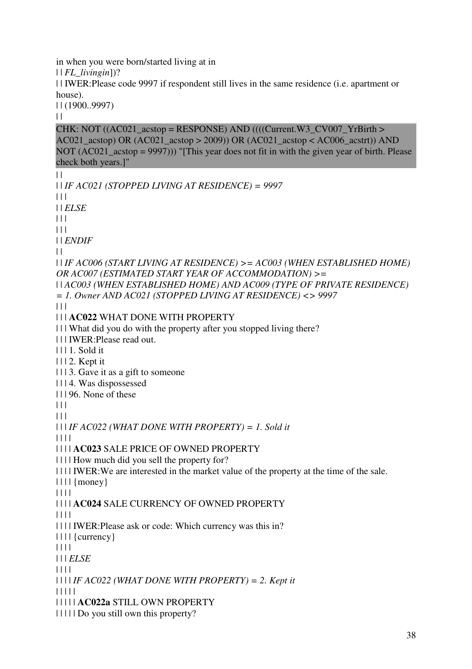in when you were born/started living at in

| | *FL\_livingin*])?

| | IWER:Please code 9997 if respondent still lives in the same residence (i.e. apartment or house).

| | (1900..9997)

 $\|$ 

 $\|$ 

CHK: NOT  $((AC021 \text{ acts} = RESPONSE)$  AND  $(((Current.W3 \text{ C}V007 \text{ YrBirth} >$ AC021  $\arctan(AC021 \arctan(AC021) - 2009)$  OR (AC021  $\arctan(AC006 \arctan(AC01)$  AND NOT (AC021\_acstop = 9997))) "[This year does not fit in with the given year of birth. Please check both years.]"

| | *IF AC021 (STOPPED LIVING AT RESIDENCE) = 9997*  $| 11$ | | *ELSE*  $| 11$  $| 11$ | | *ENDIF*  $\perp$ | | *IF AC006 (START LIVING AT RESIDENCE) >= AC003 (WHEN ESTABLISHED HOME) OR AC007 (ESTIMATED START YEAR OF ACCOMMODATION) >=* | | *AC003 (WHEN ESTABLISHED HOME) AND AC009 (TYPE OF PRIVATE RESIDENCE) = 1. Owner AND AC021 (STOPPED LIVING AT RESIDENCE) <> 9997*  $| 11$ | | | **AC022** WHAT DONE WITH PROPERTY | | | What did you do with the property after you stopped living there? | | | IWER:Please read out. | | | 1. Sold it | | | 2. Kept it | | | 3. Gave it as a gift to someone | | | 4. Was dispossessed | | | 96. None of these  $|| ||$  $| | | |$ | | | *IF AC022 (WHAT DONE WITH PROPERTY) = 1. Sold it* | | | | | | | | **AC023** SALE PRICE OF OWNED PROPERTY | | | | How much did you sell the property for? | | | | IWER:We are interested in the market value of the property at the time of the sale.  $|| \t||$  {money} | | | | | | | | **AC024** SALE CURRENCY OF OWNED PROPERTY | | | | | | | | IWER:Please ask or code: Which currency was this in?  $|| \t||$  {currency} | | | | | | | *ELSE* | | | | | | | | *IF AC022 (WHAT DONE WITH PROPERTY) = 2. Kept it* | | | | | | | | | | **AC022a** STILL OWN PROPERTY | | | | | Do you still own this property?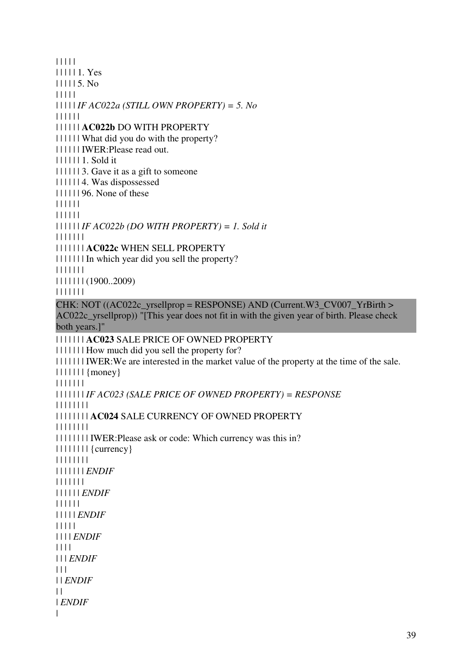| | | | | | | | | | 1. Yes  $\vert \vert \vert \vert \vert \vert 5$ . No | | | | | | | | | | *IF AC022a (STILL OWN PROPERTY) = 5. No* | | | | | | | | | | | | **AC022b** DO WITH PROPERTY | | | | | | What did you do with the property? | | | | | | IWER:Please read out. | | | | | | 1. Sold it | | | | | | 3. Gave it as a gift to someone | | | | | | 4. Was dispossessed | | | | | | 96. None of these | | | | | | | | | | | | | | | | | | *IF AC022b (DO WITH PROPERTY) = 1. Sold it* | | | | | | | | | | | | | | **AC022c** WHEN SELL PROPERTY | | | | | | | In which year did you sell the property? | | | | | | | | | | | | | | (1900..2009) | | | | | | | CHK: NOT ( $(AC022c$  yrsellprop = RESPONSE) AND (Current.W3 CV007 YrBirth > AC022c\_yrsellprop)) "[This year does not fit in with the given year of birth. Please check both years.]" | | | | | | | **AC023** SALE PRICE OF OWNED PROPERTY | | | | | | | How much did you sell the property for? | | | | | | | IWER:We are interested in the market value of the property at the time of the sale. | | | | | | | {money} | | | | | | | | | | | | | | *IF AC023 (SALE PRICE OF OWNED PROPERTY) = RESPONSE* | | | | | | | | | | | | | | | | **AC024** SALE CURRENCY OF OWNED PROPERTY | | | | | | | | | | | | | | | | IWER:Please ask or code: Which currency was this in? | | | | | | | | {currency} | | | | | | | | | | | | | | | *ENDIF* | | | | | | | | | | | | | *ENDIF* | | | | | | | | | | | *ENDIF* | | | | | | | | | *ENDIF* | | | | | | | *ENDIF*  $| 11$ | | *ENDIF*  $\|$ | *ENDIF* |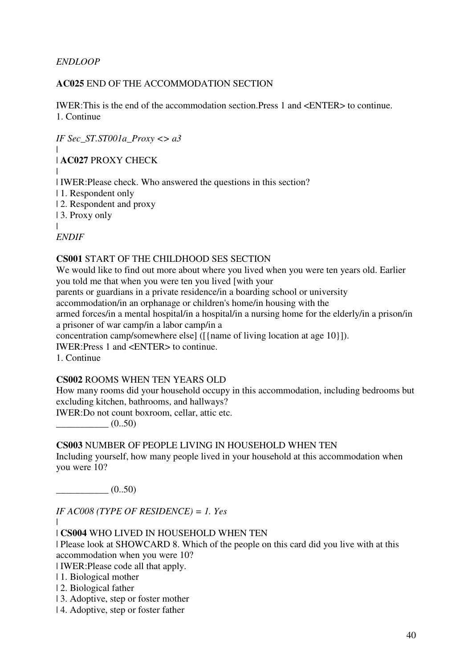### *ENDLOOP*

### **AC025** END OF THE ACCOMMODATION SECTION

IWER:This is the end of the accommodation section.Press 1 and <ENTER> to continue. 1. Continue

*IF Sec\_ST.ST001a\_Proxy <> a3* |

| **AC027** PROXY CHECK

|

| IWER:Please check. Who answered the questions in this section?

| 1. Respondent only

| 2. Respondent and proxy

| 3. Proxy only

|

*ENDIF*

#### **CS001** START OF THE CHILDHOOD SES SECTION

We would like to find out more about where you lived when you were ten years old. Earlier you told me that when you were ten you lived [with your parents or guardians in a private residence/in a boarding school or university accommodation/in an orphanage or children's home/in housing with the armed forces/in a mental hospital/in a hospital/in a nursing home for the elderly/in a prison/in

a prisoner of war camp/in a labor camp/in a

concentration camp/somewhere else] ([{name of living location at age 10}]).

IWER:Press 1 and <ENTER> to continue.

1. Continue

# **CS002** ROOMS WHEN TEN YEARS OLD

How many rooms did your household occupy in this accommodation, including bedrooms but excluding kitchen, bathrooms, and hallways?

IWER:Do not count boxroom, cellar, attic etc.

 $(0..50)$ 

# **CS003** NUMBER OF PEOPLE LIVING IN HOUSEHOLD WHEN TEN

Including yourself, how many people lived in your household at this accommodation when you were 10?

 $(0..50)$ 

|

*IF AC008 (TYPE OF RESIDENCE) = 1. Yes*

| **CS004** WHO LIVED IN HOUSEHOLD WHEN TEN

| Please look at SHOWCARD 8. Which of the people on this card did you live with at this accommodation when you were 10?

| IWER:Please code all that apply.

| 1. Biological mother

| 2. Biological father

| 3. Adoptive, step or foster mother

| 4. Adoptive, step or foster father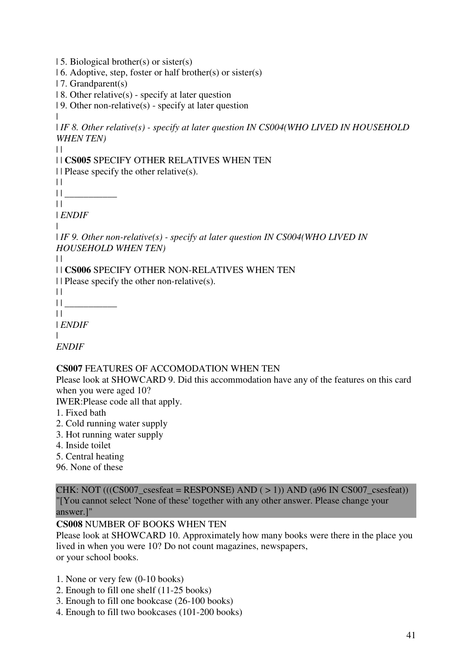| 5. Biological brother(s) or sister(s)

- | 6. Adoptive, step, foster or half brother(s) or sister(s)
- | 7. Grandparent(s)
- $| 8$ . Other relative(s) specify at later question
- | 9. Other non-relative(s) specify at later question
- |

| *IF 8. Other relative(s) - specify at later question IN CS004(WHO LIVED IN HOUSEHOLD WHEN TEN)*

 $\perp$ 

# | | **CS005** SPECIFY OTHER RELATIVES WHEN TEN

 $||$  Please specify the other relative(s).

 $| |$ 

| | \_\_\_\_\_\_\_\_\_\_\_

 $||$ | *ENDIF*

|

| *IF 9. Other non-relative(s) - specify at later question IN CS004(WHO LIVED IN HOUSEHOLD WHEN TEN)*

 $| |$ 

| | **CS006** SPECIFY OTHER NON-RELATIVES WHEN TEN

 $\Box$  Please specify the other non-relative(s).

 $| 1 | \underline{\hspace{1cm}}$ 

 $\|$ | *ENDIF*

 $\blacksquare$ 

*ENDIF*

# **CS007** FEATURES OF ACCOMODATION WHEN TEN

Please look at SHOWCARD 9. Did this accommodation have any of the features on this card when you were aged 10?

IWER:Please code all that apply.

- 1. Fixed bath
- 2. Cold running water supply
- 3. Hot running water supply
- 4. Inside toilet
- 5. Central heating

96. None of these

CHK: NOT  $(((CS007 \text{ csesfeat} = RESPONSE) AND (> 1)) AND (a96 IN CS007 \text{ csesfeat}))$ "[You cannot select 'None of these' together with any other answer. Please change your answer.]"

# **CS008** NUMBER OF BOOKS WHEN TEN

Please look at SHOWCARD 10. Approximately how many books were there in the place you lived in when you were 10? Do not count magazines, newspapers, or your school books.

1. None or very few (0-10 books)

- 2. Enough to fill one shelf (11-25 books)
- 3. Enough to fill one bookcase (26-100 books)
- 4. Enough to fill two bookcases (101-200 books)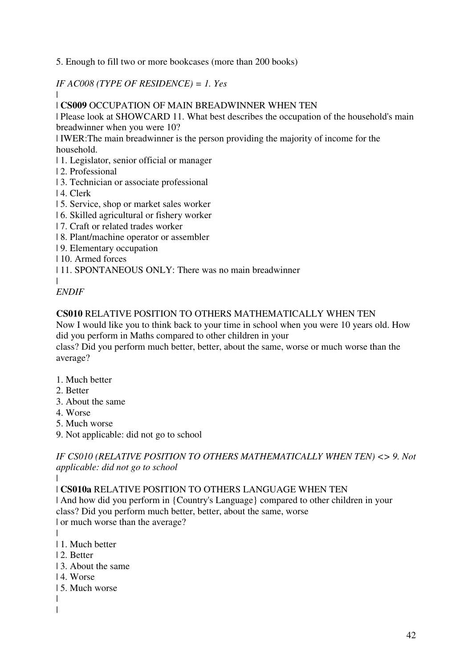5. Enough to fill two or more bookcases (more than 200 books)

*IF AC008 (TYPE OF RESIDENCE) = 1. Yes*

| **CS009** OCCUPATION OF MAIN BREADWINNER WHEN TEN

| Please look at SHOWCARD 11. What best describes the occupation of the household's main breadwinner when you were 10?

| IWER:The main breadwinner is the person providing the majority of income for the household.

| 1. Legislator, senior official or manager

- | 2. Professional
- | 3. Technician or associate professional
- | 4. Clerk

|

- | 5. Service, shop or market sales worker
- | 6. Skilled agricultural or fishery worker
- | 7. Craft or related trades worker
- | 8. Plant/machine operator or assembler
- | 9. Elementary occupation
- | 10. Armed forces

| 11. SPONTANEOUS ONLY: There was no main breadwinner

| *ENDIF*

### **CS010** RELATIVE POSITION TO OTHERS MATHEMATICALLY WHEN TEN

Now I would like you to think back to your time in school when you were 10 years old. How did you perform in Maths compared to other children in your

class? Did you perform much better, better, about the same, worse or much worse than the average?

- 1. Much better
- 2. Better
- 3. About the same
- 4. Worse
- 5. Much worse
- 9. Not applicable: did not go to school

*IF CS010 (RELATIVE POSITION TO OTHERS MATHEMATICALLY WHEN TEN) <> 9. Not applicable: did not go to school*

| | **CS010a** RELATIVE POSITION TO OTHERS LANGUAGE WHEN TEN

| And how did you perform in {Country's Language} compared to other children in your class? Did you perform much better, better, about the same, worse | or much worse than the average?

- |
- | 1. Much better
- | 2. Better
- | 3. About the same
- | 4. Worse
- | 5. Much worse
- | |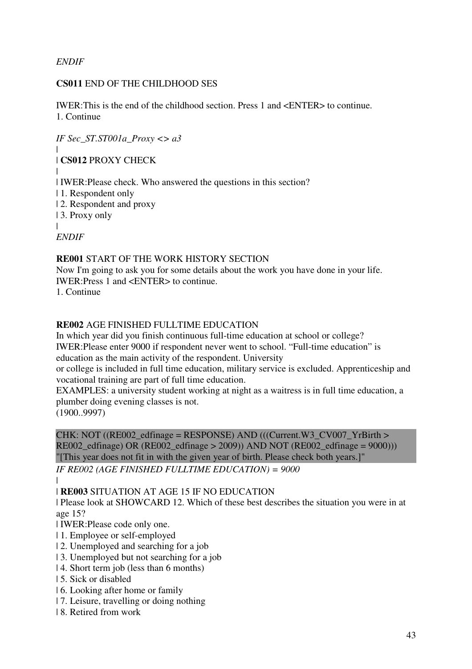*ENDIF*

# **CS011** END OF THE CHILDHOOD SES

IWER:This is the end of the childhood section. Press 1 and <ENTER> to continue. 1. Continue

*IF Sec\_ST.ST001a\_Proxy <> a3* | | **CS012** PROXY CHECK | | IWER:Please check. Who answered the questions in this section? | 1. Respondent only | 2. Respondent and proxy | 3. Proxy only | *ENDIF*

# **RE001** START OF THE WORK HISTORY SECTION

Now I'm going to ask you for some details about the work you have done in your life. IWER:Press 1 and <ENTER> to continue.

1. Continue

# **RE002** AGE FINISHED FULLTIME EDUCATION

In which year did you finish continuous full-time education at school or college? IWER:Please enter 9000 if respondent never went to school. "Full-time education" is education as the main activity of the respondent. University

or college is included in full time education, military service is excluded. Apprenticeship and vocational training are part of full time education.

EXAMPLES: a university student working at night as a waitress is in full time education, a plumber doing evening classes is not.

(1900..9997)

CHK: NOT ((RE002 edfinage = RESPONSE) AND (((Current.W3 CV007 YrBirth > RE002\_edfinage) OR (RE002\_edfinage > 2009)) AND NOT (RE002\_edfinage =  $9000$ ))) "[This year does not fit in with the given year of birth. Please check both years.]"

*IF RE002 (AGE FINISHED FULLTIME EDUCATION) = 9000*

| | **RE003** SITUATION AT AGE 15 IF NO EDUCATION

| Please look at SHOWCARD 12. Which of these best describes the situation you were in at age 15?

| IWER:Please code only one.

- | 1. Employee or self-employed
- | 2. Unemployed and searching for a job
- | 3. Unemployed but not searching for a job
- | 4. Short term job (less than 6 months)
- | 5. Sick or disabled
- | 6. Looking after home or family
- | 7. Leisure, travelling or doing nothing
- | 8. Retired from work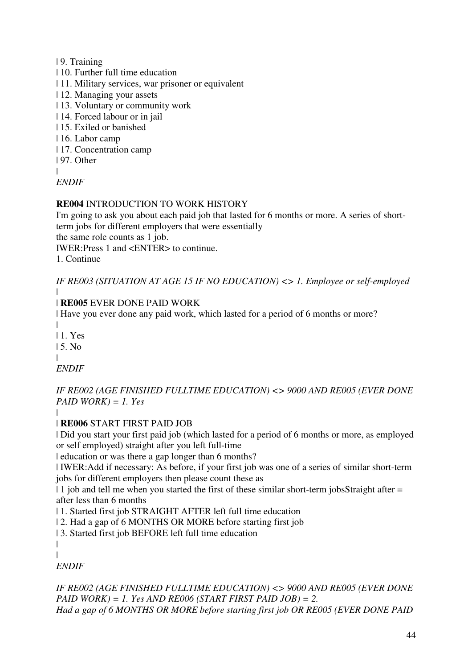| 9. Training

- | 10. Further full time education
- | 11. Military services, war prisoner or equivalent
- | 12. Managing your assets
- | 13. Voluntary or community work
- | 14. Forced labour or in jail
- | 15. Exiled or banished
- | 16. Labor camp
- | 17. Concentration camp
- | 97. Other

|

*ENDIF*

# **RE004** INTRODUCTION TO WORK HISTORY

I'm going to ask you about each paid job that lasted for 6 months or more. A series of shortterm jobs for different employers that were essentially

the same role counts as 1 job.

IWER:Press 1 and <ENTER> to continue.

1. Continue

*IF RE003 (SITUATION AT AGE 15 IF NO EDUCATION) <> 1. Employee or self-employed*

# | **RE005** EVER DONE PAID WORK

| Have you ever done any paid work, which lasted for a period of 6 months or more?

|

|

| 1. Yes  $15$ . No.

|

|

*ENDIF*

*IF RE002 (AGE FINISHED FULLTIME EDUCATION) <> 9000 AND RE005 (EVER DONE PAID WORK) = 1. Yes*

# | **RE006** START FIRST PAID JOB

| Did you start your first paid job (which lasted for a period of 6 months or more, as employed or self employed) straight after you left full-time

| education or was there a gap longer than 6 months?

| IWER:Add if necessary: As before, if your first job was one of a series of similar short-term jobs for different employers then please count these as

| 1 job and tell me when you started the first of these similar short-term jobsStraight after = after less than 6 months

| 1. Started first job STRAIGHT AFTER left full time education

| 2. Had a gap of 6 MONTHS OR MORE before starting first job

| 3. Started first job BEFORE left full time education

| |

*ENDIF*

*IF RE002 (AGE FINISHED FULLTIME EDUCATION) <> 9000 AND RE005 (EVER DONE PAID WORK) = 1. Yes AND RE006 (START FIRST PAID JOB) = 2. Had a gap of 6 MONTHS OR MORE before starting first job OR RE005 (EVER DONE PAID*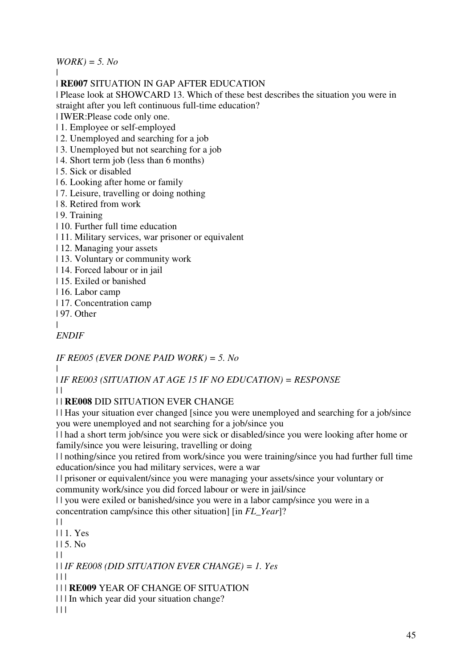*WORK) = 5. No*

|

# | **RE007** SITUATION IN GAP AFTER EDUCATION

| Please look at SHOWCARD 13. Which of these best describes the situation you were in straight after you left continuous full-time education?

| IWER:Please code only one.

| 1. Employee or self-employed

- | 2. Unemployed and searching for a job
- | 3. Unemployed but not searching for a job
- | 4. Short term job (less than 6 months)
- | 5. Sick or disabled
- | 6. Looking after home or family
- | 7. Leisure, travelling or doing nothing
- | 8. Retired from work
- | 9. Training
- | 10. Further full time education
- | 11. Military services, war prisoner or equivalent
- | 12. Managing your assets
- | 13. Voluntary or community work
- | 14. Forced labour or in jail
- | 15. Exiled or banished
- | 16. Labor camp
- | 17. Concentration camp
- | 97. Other
- |

*ENDIF*

*IF RE005 (EVER DONE PAID WORK) = 5. No*

|

| *IF RE003 (SITUATION AT AGE 15 IF NO EDUCATION) = RESPONSE*  $\perp$ 

| | **RE008** DID SITUATION EVER CHANGE

| | Has your situation ever changed [since you were unemployed and searching for a job/since you were unemployed and not searching for a job/since you

| | had a short term job/since you were sick or disabled/since you were looking after home or family/since you were leisuring, travelling or doing

| | nothing/since you retired from work/since you were training/since you had further full time education/since you had military services, were a war

| | prisoner or equivalent/since you were managing your assets/since your voluntary or community work/since you did forced labour or were in jail/since

| | you were exiled or banished/since you were in a labor camp/since you were in a concentration camp/since this other situation] [in *FL\_Year*]?

 $| |$ 

- | | 1. Yes
- $115.$  No
- $\perp$

| | *IF RE008 (DID SITUATION EVER CHANGE) = 1. Yes*

 $| 11$ 

| | | **RE009** YEAR OF CHANGE OF SITUATION

| | | In which year did your situation change?

 $| 11$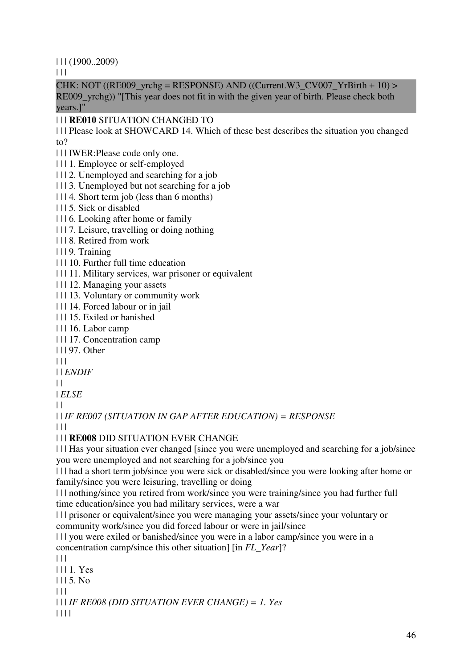$| 11 (1900..2009)$ 

 $\Box$ 

CHK: NOT ((RE009\_yrchg = RESPONSE) AND ((Current.W3\_CV007\_YrBirth + 10) > RE009\_yrchg)) "[This year does not fit in with the given year of birth. Please check both years.]"

# | | | **RE010** SITUATION CHANGED TO

| | | Please look at SHOWCARD 14. Which of these best describes the situation you changed to?

- | | | IWER:Please code only one.
- | | | 1. Employee or self-employed
- | | | 2. Unemployed and searching for a job
- | | | 3. Unemployed but not searching for a job
- | | | 4. Short term job (less than 6 months)
- | | | 5. Sick or disabled
- | | | 6. Looking after home or family
- | | | 7. Leisure, travelling or doing nothing
- | | | 8. Retired from work
- | | | 9. Training
- | | | 10. Further full time education
- | | | 11. Military services, war prisoner or equivalent
- | | | 12. Managing your assets
- | | | 13. Voluntary or community work
- | | | 14. Forced labour or in jail
- | | | 15. Exiled or banished
- | | | 16. Labor camp
- | | | 17. Concentration camp
- | | | 97. Other
- $| 11 |$
- | | *ENDIF*
- $\perp$
- | *ELSE*
- $| |$

| | *IF RE007 (SITUATION IN GAP AFTER EDUCATION) = RESPONSE*

| | |

# | | | **RE008** DID SITUATION EVER CHANGE

| | | Has your situation ever changed [since you were unemployed and searching for a job/since you were unemployed and not searching for a job/since you

| | | had a short term job/since you were sick or disabled/since you were looking after home or family/since you were leisuring, travelling or doing

| | | nothing/since you retired from work/since you were training/since you had further full time education/since you had military services, were a war

| | | prisoner or equivalent/since you were managing your assets/since your voluntary or community work/since you did forced labour or were in jail/since

| | | you were exiled or banished/since you were in a labor camp/since you were in a concentration camp/since this other situation] [in *FL\_Year*]?

 $| 11 |$ 

- | | | 1. Yes
- $1115$ . No.

 $\Box$ 

| | | *IF RE008 (DID SITUATION EVER CHANGE) = 1. Yes*

| | | |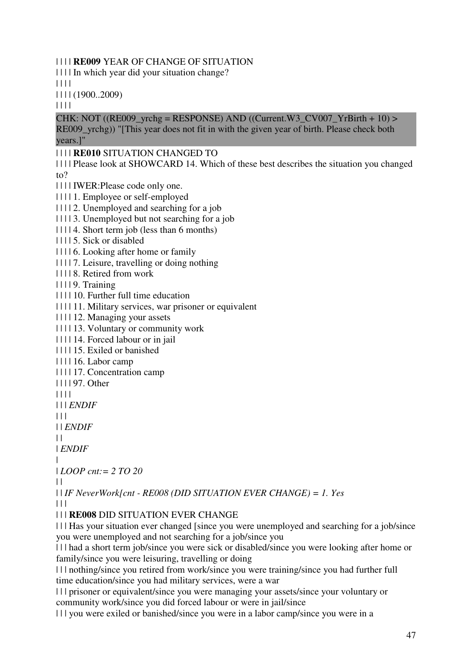| | | | **RE009** YEAR OF CHANGE OF SITUATION

| | | | In which year did your situation change?

| | | |

| | | | (1900..2009)

| | | |

CHK: NOT ((RE009\_vrchg = RESPONSE) AND ((Current.W3\_CV007\_YrBirth + 10) > RE009 vrchg)) "[This year does not fit in with the given year of birth. Please check both years.]"

### | | | | **RE010** SITUATION CHANGED TO

| | | | Please look at SHOWCARD 14. Which of these best describes the situation you changed to?

| | | | IWER:Please code only one.

| | | | 1. Employee or self-employed

| | | | 2. Unemployed and searching for a job

| | | | 3. Unemployed but not searching for a job

| | | | 4. Short term job (less than 6 months)

| | | | 5. Sick or disabled

| | | | 6. Looking after home or family

| | | | 7. Leisure, travelling or doing nothing

| | | | 8. Retired from work

| | | | 9. Training

| | | | 10. Further full time education

| | | | 11. Military services, war prisoner or equivalent

| | | | 12. Managing your assets

| | | | 13. Voluntary or community work

| | | | 14. Forced labour or in jail

| | | | 15. Exiled or banished

| | | | 16. Labor camp

| | | | 17. Concentration camp

| | | | 97. Other

| | | |

| | | *ENDIF*

 $| 11$ 

| | *ENDIF*

 $| |$ 

| *ENDIF*

|

| *LOOP cnt:= 2 TO 20*

 $| \cdot |$ 

| | *IF NeverWork[cnt - RE008 (DID SITUATION EVER CHANGE) = 1. Yes*  $| 11$ 

# | | | **RE008** DID SITUATION EVER CHANGE

| | | Has your situation ever changed [since you were unemployed and searching for a job/since you were unemployed and not searching for a job/since you

| | | had a short term job/since you were sick or disabled/since you were looking after home or family/since you were leisuring, travelling or doing

| | | nothing/since you retired from work/since you were training/since you had further full time education/since you had military services, were a war

| | | prisoner or equivalent/since you were managing your assets/since your voluntary or community work/since you did forced labour or were in jail/since

| | | you were exiled or banished/since you were in a labor camp/since you were in a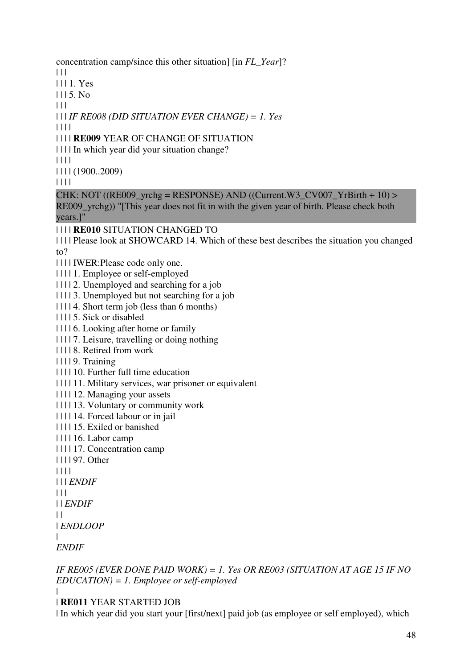concentration camp/since this other situation] [in *FL\_Year*]?

 $\Box$ 

| | | 1. Yes

 $1115$ . No.

 $| 11 |$ 

| | | *IF RE008 (DID SITUATION EVER CHANGE) = 1. Yes*

| | | |

# | | | | **RE009** YEAR OF CHANGE OF SITUATION

| | | | In which year did your situation change?

| | | |

| | | | (1900..2009)

| | | |

# CHK: NOT  $((RE009<sub>Y</sub>rchg = RESPONSE)$  AND  $((Current.W3<sub>C</sub>V007<sub>Y</sub>rBirth + 10)$

RE009\_yrchg)) "[This year does not fit in with the given year of birth. Please check both years.]"

| | | | **RE010** SITUATION CHANGED TO

| | | | Please look at SHOWCARD 14. Which of these best describes the situation you changed to?

- | | | | IWER:Please code only one.
- | | | | 1. Employee or self-employed
- | | | | 2. Unemployed and searching for a job
- | | | | 3. Unemployed but not searching for a job
- | | | | 4. Short term job (less than 6 months)
- | | | | 5. Sick or disabled
- | | | | 6. Looking after home or family

| | | | 7. Leisure, travelling or doing nothing

- | | | | 8. Retired from work
- | | | | 9. Training
- | | | | 10. Further full time education
- | | | | 11. Military services, war prisoner or equivalent
- | | | | 12. Managing your assets
- | | | | 13. Voluntary or community work
- | | | | 14. Forced labour or in jail
- | | | | 15. Exiled or banished
- | | | | 16. Labor camp
- | | | | 17. Concentration camp
- | | | | 97. Other
- | | | |
- | | | *ENDIF*
- $| 11$
- | | *ENDIF*
- | |

```
| ENDLOOP
```
 $\blacksquare$ *ENDIF*

*IF RE005 (EVER DONE PAID WORK) = 1. Yes OR RE003 (SITUATION AT AGE 15 IF NO EDUCATION) = 1. Employee or self-employed*

|

| **RE011** YEAR STARTED JOB

| In which year did you start your [first/next] paid job (as employee or self employed), which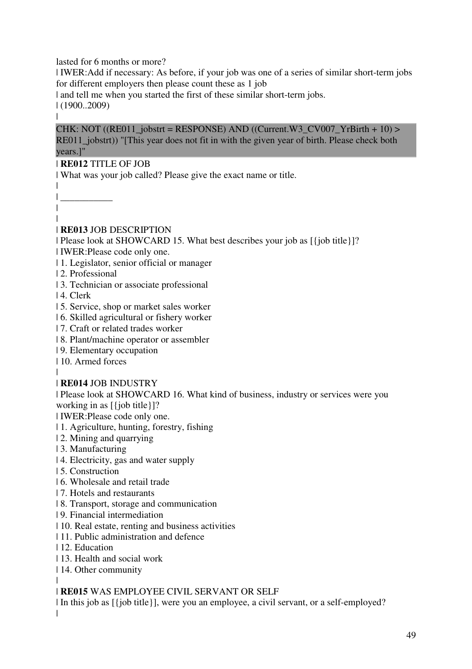lasted for 6 months or more?

| IWER:Add if necessary: As before, if your job was one of a series of similar short-term jobs for different employers then please count these as 1 job

| and tell me when you started the first of these similar short-term jobs.

| (1900..2009)

|

CHK: NOT ((RE011\_jobstrt = RESPONSE) AND ((Current.W3\_CV007\_YrBirth + 10) > RE011 jobstrt)) "[This year does not fit in with the given year of birth. Please check both years.]"

### | **RE012** TITLE OF JOB

| What was your job called? Please give the exact name or title.

| \_\_\_\_\_\_\_\_\_\_\_ | |

|

# | **RE013** JOB DESCRIPTION

| Please look at SHOWCARD 15. What best describes your job as [{job title}]?

- | IWER:Please code only one.
- | 1. Legislator, senior official or manager
- | 2. Professional
- | 3. Technician or associate professional
- | 4. Clerk
- | 5. Service, shop or market sales worker
- | 6. Skilled agricultural or fishery worker
- | 7. Craft or related trades worker
- | 8. Plant/machine operator or assembler
- | 9. Elementary occupation
- | 10. Armed forces
- |

# | **RE014** JOB INDUSTRY

| Please look at SHOWCARD 16. What kind of business, industry or services were you working in as  $\lceil \{\text{job title}\}\rceil$ ?

| IWER:Please code only one.

- | 1. Agriculture, hunting, forestry, fishing
- | 2. Mining and quarrying
- | 3. Manufacturing
- | 4. Electricity, gas and water supply
- | 5. Construction
- | 6. Wholesale and retail trade
- | 7. Hotels and restaurants
- | 8. Transport, storage and communication
- | 9. Financial intermediation
- | 10. Real estate, renting and business activities
- | 11. Public administration and defence
- | 12. Education
- | 13. Health and social work
- | 14. Other community

#### | | **RE015** WAS EMPLOYEE CIVIL SERVANT OR SELF

| In this job as [{job title}], were you an employee, a civil servant, or a self-employed?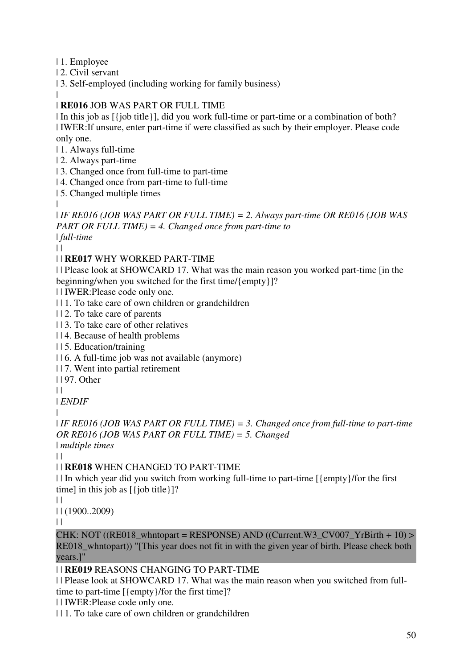| 1. Employee

| 2. Civil servant

| 3. Self-employed (including working for family business)

#### | | **RE016** JOB WAS PART OR FULL TIME

| In this job as [{job title}], did you work full-time or part-time or a combination of both? | IWER:If unsure, enter part-time if were classified as such by their employer. Please code only one.

| 1. Always full-time

| 2. Always part-time

| 3. Changed once from full-time to part-time

| 4. Changed once from part-time to full-time

| 5. Changed multiple times

| *IF RE016 (JOB WAS PART OR FULL TIME) = 2. Always part-time OR RE016 (JOB WAS PART OR FULL TIME) = 4. Changed once from part-time to*  | *full-time*

 $| |$ 

|

# | | **RE017** WHY WORKED PART-TIME

| | Please look at SHOWCARD 17. What was the main reason you worked part-time [in the beginning/when you switched for the first time/{empty}]?

| | IWER:Please code only one.

| | 1. To take care of own children or grandchildren

| | 2. To take care of parents

| | 3. To take care of other relatives

| | 4. Because of health problems

| | 5. Education/training

| | 6. A full-time job was not available (anymore)

| | 7. Went into partial retirement

| | 97. Other

 $\perp$ 

| *ENDIF*

|

| *IF RE016 (JOB WAS PART OR FULL TIME) = 3. Changed once from full-time to part-time OR RE016 (JOB WAS PART OR FULL TIME) = 5. Changed*  | *multiple times*

 $| |$ 

# | | **RE018** WHEN CHANGED TO PART-TIME

| | In which year did you switch from working full-time to part-time [{empty}/for the first time] in this job as [{job title}]?

 $\|$ 

| | (1900..2009)

 $\|$ 

CHK: NOT ((RE018\_whntopart = RESPONSE) AND ((Current.W3\_CV007\_YrBirth + 10) > RE018 whntopart)) "[This year does not fit in with the given year of birth. Please check both years.]"

# | | **RE019** REASONS CHANGING TO PART-TIME

| | Please look at SHOWCARD 17. What was the main reason when you switched from fulltime to part-time [{empty}/for the first time]?

| | IWER:Please code only one.

| | 1. To take care of own children or grandchildren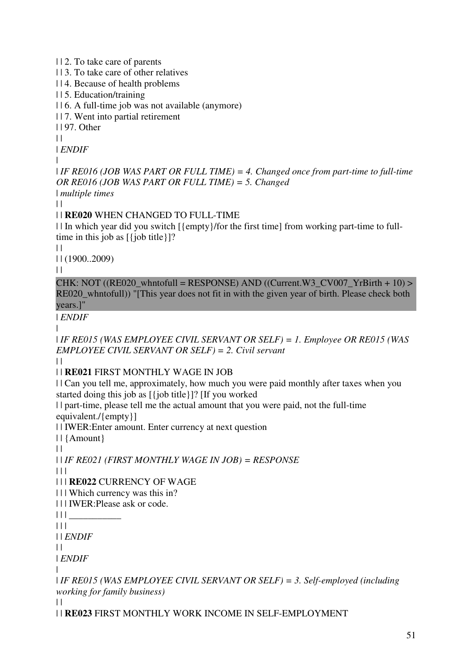| | 2. To take care of parents

| | 3. To take care of other relatives

| | 4. Because of health problems

| | 5. Education/training

| | 6. A full-time job was not available (anymore)

| | 7. Went into partial retirement

| | 97. Other

 $\|$ 

| *ENDIF*

|

| *IF RE016 (JOB WAS PART OR FULL TIME) = 4. Changed once from part-time to full-time OR RE016 (JOB WAS PART OR FULL TIME) = 5. Changed*  | *multiple times*

 $| |$ 

### | | **RE020** WHEN CHANGED TO FULL-TIME

| | In which year did you switch [{empty}/for the first time] from working part-time to fulltime in this job as  $[\{\text{job title}\}]$ ?

 $\mathbf{1}$ 

| | (1900..2009)

 $\perp$ 

CHK: NOT ((RE020\_whntofull = RESPONSE) AND ((Current.W3\_CV007\_YrBirth + 10) > RE020 whntofull)) "[This year does not fit in with the given year of birth. Please check both years.]"

| *ENDIF*

|

| *IF RE015 (WAS EMPLOYEE CIVIL SERVANT OR SELF) = 1. Employee OR RE015 (WAS EMPLOYEE CIVIL SERVANT OR SELF) = 2. Civil servant*

 $\|$ 

#### | | **RE021** FIRST MONTHLY WAGE IN JOB

| | Can you tell me, approximately, how much you were paid monthly after taxes when you started doing this job as [{job title}]? [If you worked

| | part-time, please tell me the actual amount that you were paid, not the full-time equivalent./{empty}]

| | IWER:Enter amount. Enter currency at next question

| | {Amount}

 $\|$ 

| | *IF RE021 (FIRST MONTHLY WAGE IN JOB) = RESPONSE*

| | |

| | | **RE022** CURRENCY OF WAGE

| | | Which currency was this in?

| | | IWER:Please ask or code.

 $|| \ ||$ 

 $| 11$ 

| | *ENDIF*

 $\|$ 

| *ENDIF*

|

| *IF RE015 (WAS EMPLOYEE CIVIL SERVANT OR SELF) = 3. Self-employed (including working for family business)*  $\perp$ 

| | **RE023** FIRST MONTHLY WORK INCOME IN SELF-EMPLOYMENT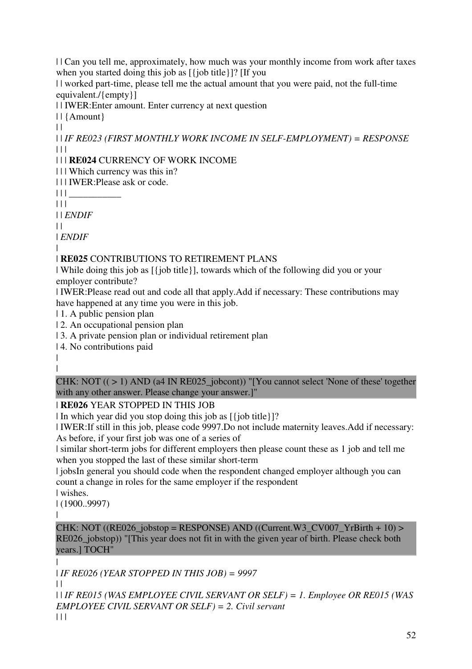| | Can you tell me, approximately, how much was your monthly income from work after taxes when you started doing this job as [{job title}]? [If you

| | worked part-time, please tell me the actual amount that you were paid, not the full-time equivalent./{empty}]

| | IWER:Enter amount. Enter currency at next question

| | {Amount}

 $\|$ 

| | *IF RE023 (FIRST MONTHLY WORK INCOME IN SELF-EMPLOYMENT) = RESPONSE* | | |

| | | **RE024** CURRENCY OF WORK INCOME

| | | Which currency was this in?

| | | IWER:Please ask or code.

 $|| || ||$ 

 $| 11$ 

| | *ENDIF*

 $\|$ 

| *ENDIF*

|

# | **RE025** CONTRIBUTIONS TO RETIREMENT PLANS

| While doing this job as [{job title}], towards which of the following did you or your employer contribute?

| IWER:Please read out and code all that apply.Add if necessary: These contributions may have happened at any time you were in this job.

| 1. A public pension plan

| 2. An occupational pension plan

| 3. A private pension plan or individual retirement plan

| 4. No contributions paid

| |

CHK: NOT (( > 1) AND (a4 IN RE025\_jobcont)) "[You cannot select 'None of these' together with any other answer. Please change your answer.]"

# | **RE026** YEAR STOPPED IN THIS JOB

| In which year did you stop doing this job as [{job title}]?

| IWER:If still in this job, please code 9997.Do not include maternity leaves.Add if necessary: As before, if your first job was one of a series of

| similar short-term jobs for different employers then please count these as 1 job and tell me when you stopped the last of these similar short-term

| jobsIn general you should code when the respondent changed employer although you can count a change in roles for the same employer if the respondent

| wishes.

| (1900..9997)

|

CHK: NOT ((RE026 jobstop = RESPONSE) AND ((Current.W3\_CV007\_YrBirth + 10) > RE026\_jobstop)) "[This year does not fit in with the given year of birth. Please check both years.] TOCH"

|

| *IF RE026 (YEAR STOPPED IN THIS JOB) = 9997*

 $\mathbf{H}$ 

| | *IF RE015 (WAS EMPLOYEE CIVIL SERVANT OR SELF) = 1. Employee OR RE015 (WAS EMPLOYEE CIVIL SERVANT OR SELF) = 2. Civil servant*  $| 11$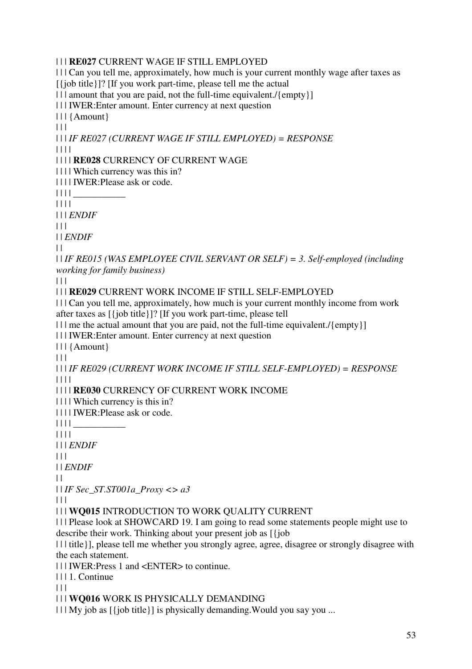### | | | **RE027** CURRENT WAGE IF STILL EMPLOYED

| | | Can you tell me, approximately, how much is your current monthly wage after taxes as [{job title}]? [If you work part-time, please tell me the actual

| | | amount that you are paid, not the full-time equivalent./{empty}]

| | | IWER:Enter amount. Enter currency at next question

| | | {Amount}

 $| 11$ 

| | | *IF RE027 (CURRENT WAGE IF STILL EMPLOYED) = RESPONSE*

| | | |

| | | | **RE028** CURRENCY OF CURRENT WAGE

| | | | Which currency was this in?

| | | | IWER:Please ask or code.

 $|| || ||$ 

| | | |

| | | *ENDIF*

| | |

| | *ENDIF*

 $| |$ 

| | *IF RE015 (WAS EMPLOYEE CIVIL SERVANT OR SELF) = 3. Self-employed (including working for family business)*

| | |

| | | **RE029** CURRENT WORK INCOME IF STILL SELF-EMPLOYED

| | | Can you tell me, approximately, how much is your current monthly income from work after taxes as [{job title}]? [If you work part-time, please tell

| | | | me the actual amount that you are paid, not the full-time equivalent./{empty}]

| | | IWER:Enter amount. Enter currency at next question

| | | {Amount}

 $\Box$ 

| | | *IF RE029 (CURRENT WORK INCOME IF STILL SELF-EMPLOYED) = RESPONSE* | | | |

| | | | **RE030** CURRENCY OF CURRENT WORK INCOME

| | | | Which currency is this in?

| | | | IWER:Please ask or code.

 $|| \ || ||$ 

| | | |

| | | *ENDIF*

 $| 11$ 

| | *ENDIF*

 $\|$ 

| | *IF Sec\_ST.ST001a\_Proxy <> a3*

 $| 11$ 

| | | **WQ015** INTRODUCTION TO WORK QUALITY CURRENT

| | | Please look at SHOWCARD 19. I am going to read some statements people might use to describe their work. Thinking about your present job as [{job

| | | title}], please tell me whether you strongly agree, agree, disagree or strongly disagree with the each statement.

| | | IWER:Press 1 and <ENTER> to continue.

| | | 1. Continue

 $| 11$ 

| | | **WQ016** WORK IS PHYSICALLY DEMANDING

 $|| \cdot ||$  My job as  $[\{\text{job title}\}]$  is physically demanding. Would you say you ...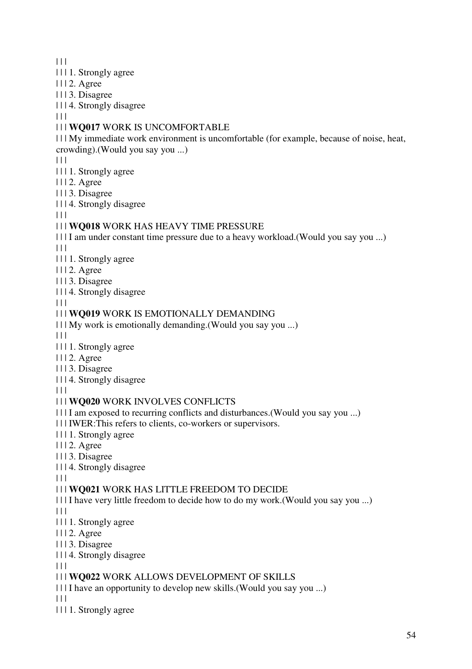$|| ||$ 

- | | | 1. Strongly agree
- | | | 2. Agree
- | | | 3. Disagree
- | | | 4. Strongly disagree

 $| 11$ 

#### | | | **WQ017** WORK IS UNCOMFORTABLE

| | | My immediate work environment is uncomfortable (for example, because of noise, heat, crowding).(Would you say you ...)

 $\Box$ 

- | | | 1. Strongly agree
- | | | 2. Agree
- | | | 3. Disagree
- | | | 4. Strongly disagree

 $\Box$ 

### | | | **WQ018** WORK HAS HEAVY TIME PRESSURE

| | | I am under constant time pressure due to a heavy workload.(Would you say you ...)

 $\Box$ 

- | | | 1. Strongly agree
- | | | 2. Agree
- | | | 3. Disagree
- | | | 4. Strongly disagree

 $| 11$ 

### | | | **WQ019** WORK IS EMOTIONALLY DEMANDING

| | | My work is emotionally demanding.(Would you say you ...)

 $| 11$ 

| | | 1. Strongly agree

| | | 2. Agree

- | | | 3. Disagree
- | | | 4. Strongly disagree

 $| 11$ 

# | | | **WQ020** WORK INVOLVES CONFLICTS

| | | I am exposed to recurring conflicts and disturbances.(Would you say you ...)

| | | IWER:This refers to clients, co-workers or supervisors.

- | | | 1. Strongly agree
- | | | 2. Agree
- | | | 3. Disagree
- | | | 4. Strongly disagree

 $| 11$ 

# | | | **WQ021** WORK HAS LITTLE FREEDOM TO DECIDE

| | | I have very little freedom to decide how to do my work.(Would you say you ...)

 $\Box$ 

- | | | 1. Strongly agree
- | | | 2. Agree
- | | | 3. Disagree
- | | | 4. Strongly disagree

 $\Box$ 

# | | | **WQ022** WORK ALLOWS DEVELOPMENT OF SKILLS

| | | I have an opportunity to develop new skills.(Would you say you ...)

 $\Box$ 

| | | 1. Strongly agree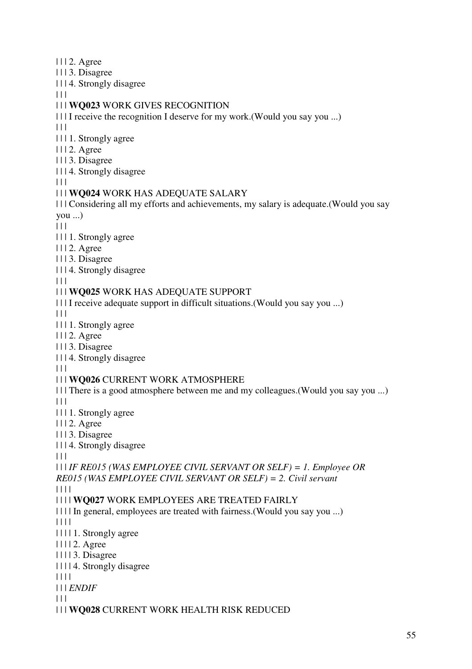- | | | 2. Agree
- | | | 3. Disagree
- | | | 4. Strongly disagree
- $| | | |$

# | | | **WQ023** WORK GIVES RECOGNITION

- | | | I receive the recognition I deserve for my work.(Would you say you ...)
- $| 11$
- | | | 1. Strongly agree
- | | | 2. Agree
- | | | 3. Disagree
- | | | 4. Strongly disagree
- $|| ||$

### | | | **WQ024** WORK HAS ADEQUATE SALARY

| | | Considering all my efforts and achievements, my salary is adequate.(Would you say you ...)

- $\begin{array}{c} \hline \end{array}$
- | | | 1. Strongly agree
- | | | 2. Agree
- | | | 3. Disagree
- | | | 4. Strongly disagree

 $\Box$ 

# | | | **WQ025** WORK HAS ADEQUATE SUPPORT

| | | I receive adequate support in difficult situations.(Would you say you ...)

 $\Box$ 

- | | | 1. Strongly agree
- | | | 2. Agree
- | | | 3. Disagree
- | | | 4. Strongly disagree

 $|| ||$ 

# | | | **WQ026** CURRENT WORK ATMOSPHERE

- | | | There is a good atmosphere between me and my colleagues.(Would you say you ...)  $\Box$
- | | | 1. Strongly agree
- | | | 2. Agree
- | | | 3. Disagree
- | | | 4. Strongly disagree

| | |

# | | | *IF RE015 (WAS EMPLOYEE CIVIL SERVANT OR SELF) = 1. Employee OR RE015 (WAS EMPLOYEE CIVIL SERVANT OR SELF) = 2. Civil servant*

| | | |

# | | | | **WQ027** WORK EMPLOYEES ARE TREATED FAIRLY

| | | | In general, employees are treated with fairness.(Would you say you ...)

| | | |

- | | | | 1. Strongly agree
- | | | | 2. Agree
- | | | | 3. Disagree
- | | | | 4. Strongly disagree

| | | |

| | | *ENDIF*

 $| | | |$ 

| | | **WQ028** CURRENT WORK HEALTH RISK REDUCED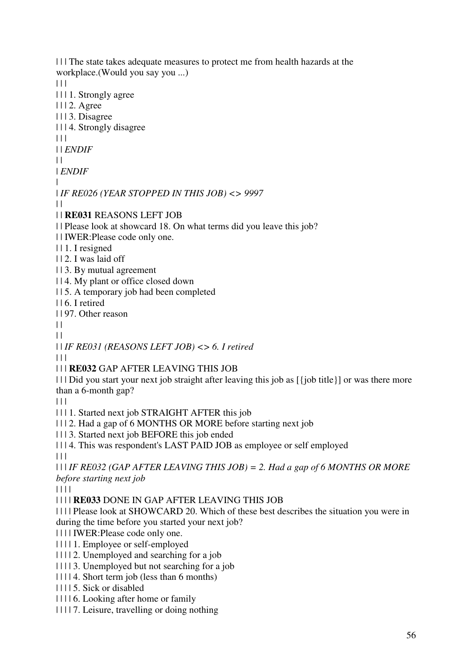| | | The state takes adequate measures to protect me from health hazards at the workplace.(Would you say you ...)  $|| \cdot ||$ | | | 1. Strongly agree | | | 2. Agree | | | 3. Disagree | | | 4. Strongly disagree  $\Box$ | | *ENDIF*  $\perp$ | *ENDIF* | | *IF RE026 (YEAR STOPPED IN THIS JOB) <> 9997*  $\Box$ | | **RE031** REASONS LEFT JOB | | Please look at showcard 18. On what terms did you leave this job? | | IWER:Please code only one. | | 1. I resigned | | 2. I was laid off | | 3. By mutual agreement | | 4. My plant or office closed down | | 5. A temporary job had been completed | | 6. I retired | | 97. Other reason  $\Box$  $\perp$ | | *IF RE031 (REASONS LEFT JOB) <> 6. I retired*  $\Box$ | | | **RE032** GAP AFTER LEAVING THIS JOB | | | Did you start your next job straight after leaving this job as [{job title}] or was there more than a 6-month gap?  $\Box$ | | | 1. Started next job STRAIGHT AFTER this job | | | 2. Had a gap of 6 MONTHS OR MORE before starting next job | | | 3. Started next job BEFORE this job ended | | | 4. This was respondent's LAST PAID JOB as employee or self employed  $\Box$ | | | *IF RE032 (GAP AFTER LEAVING THIS JOB) = 2. Had a gap of 6 MONTHS OR MORE before starting next job* | | | | | | | | **RE033** DONE IN GAP AFTER LEAVING THIS JOB | | | | Please look at SHOWCARD 20. Which of these best describes the situation you were in during the time before you started your next job? | | | | IWER:Please code only one. | | | | 1. Employee or self-employed | | | | 2. Unemployed and searching for a job | | | | 3. Unemployed but not searching for a job | | | | 4. Short term job (less than 6 months) | | | | 5. Sick or disabled | | | | 6. Looking after home or family | | | | 7. Leisure, travelling or doing nothing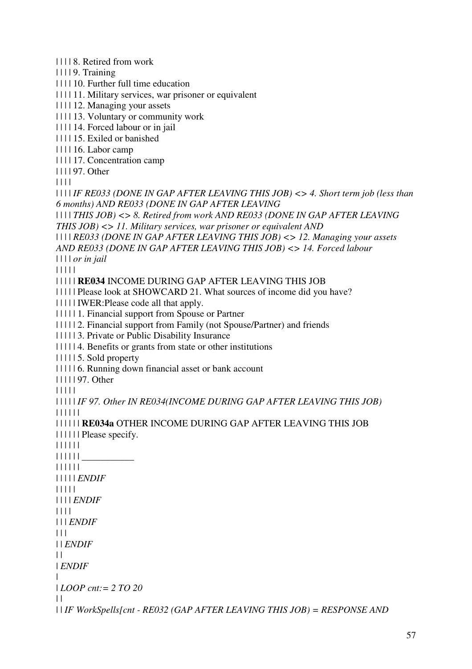| | | | 8. Retired from work

| | | | 9. Training

| | | | 10. Further full time education

- | | | | 11. Military services, war prisoner or equivalent
- | | | | 12. Managing your assets

| | | | 13. Voluntary or community work

- | | | | 14. Forced labour or in jail
- | | | | 15. Exiled or banished
- | | | | 16. Labor camp

| | | | 17. Concentration camp

| | | | 97. Other

| | | |

| | | | *IF RE033 (DONE IN GAP AFTER LEAVING THIS JOB) <> 4. Short term job (less than 6 months) AND RE033 (DONE IN GAP AFTER LEAVING* 

| | | | *THIS JOB) <> 8. Retired from work AND RE033 (DONE IN GAP AFTER LEAVING THIS JOB) <> 11. Military services, war prisoner or equivalent AND* 

| | | | *RE033 (DONE IN GAP AFTER LEAVING THIS JOB) <> 12. Managing your assets AND RE033 (DONE IN GAP AFTER LEAVING THIS JOB) <> 14. Forced labour* 

| | | | *or in jail*

| | | | |

| | | | | **RE034** INCOME DURING GAP AFTER LEAVING THIS JOB

| | | | | Please look at SHOWCARD 21. What sources of income did you have?

| | | | | IWER:Please code all that apply.

| | | | | 1. Financial support from Spouse or Partner

| | | | | 2. Financial support from Family (not Spouse/Partner) and friends

| | | | | 3. Private or Public Disability Insurance

| | | | | 4. Benefits or grants from state or other institutions

| | | | | 5. Sold property

| | | | | 6. Running down financial asset or bank account

| | | | | 97. Other

| | | | |

| | | | | *IF 97. Other IN RE034(INCOME DURING GAP AFTER LEAVING THIS JOB)* | | | | | |

```
| | | | | | RE034a OTHER INCOME DURING GAP AFTER LEAVING THIS JOB 
| | | | | | Please specify. 
| | | | | | 
\begin{array}{c} \textcolor{red}{\textbf{||} \textbf{||} \textbf{||} \textbf{||} \textbf{||} \textbf{||} \textbf{||} \textbf{||} \textbf{||} \textbf{||} \textbf{||} \textbf{||} \textbf{||} \textbf{||} \textbf{||} \textbf{||} \textbf{||} \textbf{||} \textbf{||} \textbf{||} \textbf{||} \textbf{||} \textbf{||} \textbf{||} \textbf{||} \textbf{||} \textbf{||} \textbf{||} \textbf{||} \textbf{||} \textbf{||} \textbf{||} \textbf{||} \textbf{||} \textbf| | | | | | 
| | | | | ENDIF
| | | | | 
| | | | ENDIF
| | | | 
| | | ENDIF
| 11 || | ENDIF
\perp| ENDIF
```
|

| *LOOP cnt:= 2 TO 20*

| |

| | *IF WorkSpells[cnt - RE032 (GAP AFTER LEAVING THIS JOB) = RESPONSE AND*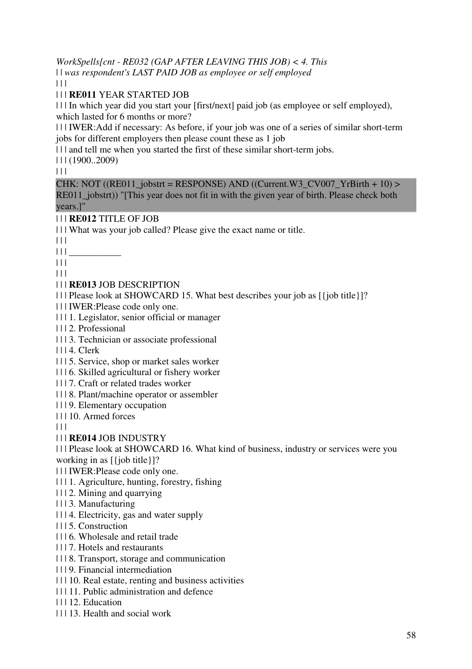*WorkSpells[cnt - RE032 (GAP AFTER LEAVING THIS JOB) < 4. This*  | | *was respondent's LAST PAID JOB as employee or self employed*

 $| 11$ 

| | | **RE011** YEAR STARTED JOB

| | | In which year did you start your [first/next] paid job (as employee or self employed), which lasted for 6 months or more?

| | | IWER:Add if necessary: As before, if your job was one of a series of similar short-term jobs for different employers then please count these as 1 job

| | | and tell me when you started the first of these similar short-term jobs.

| | | (1900..2009)

 $| | | |$ 

CHK: NOT ((RE011\_jobstrt = RESPONSE) AND ((Current.W3\_CV007\_YrBirth + 10) > RE011\_jobstrt)) "[This year does not fit in with the given year of birth. Please check both years.]"

| | | **RE012** TITLE OF JOB

| | | What was your job called? Please give the exact name or title.

 $|| ||$ 

 $\| \|$   $\_$ 

 $| 11 |$ 

 $| 11$ 

| | | **RE013** JOB DESCRIPTION

| | | Please look at SHOWCARD 15. What best describes your job as [{job title}]?

| | | IWER:Please code only one.

| | | 1. Legislator, senior official or manager

| | | 2. Professional

| | | 3. Technician or associate professional

| | | 4. Clerk

| | | 5. Service, shop or market sales worker

| | | 6. Skilled agricultural or fishery worker

| | | 7. Craft or related trades worker

| | | 8. Plant/machine operator or assembler

| | | 9. Elementary occupation

| | | 10. Armed forces

| | |

| | | **RE014** JOB INDUSTRY

| | | Please look at SHOWCARD 16. What kind of business, industry or services were you working in as [{job title}]?

| | | IWER:Please code only one.

| | | 1. Agriculture, hunting, forestry, fishing

| | | 2. Mining and quarrying

| | | 3. Manufacturing

| | | 4. Electricity, gas and water supply

| | | 5. Construction

| | | 6. Wholesale and retail trade

| | | 7. Hotels and restaurants

| | | 8. Transport, storage and communication

| | | 9. Financial intermediation

| | | 10. Real estate, renting and business activities

| | | 11. Public administration and defence

| | | 12. Education

| | | 13. Health and social work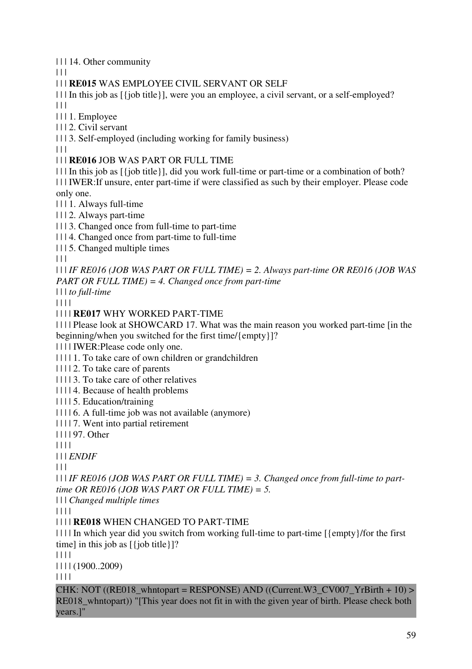| | | 14. Other community

 $\Box$ 

# | | | **RE015** WAS EMPLOYEE CIVIL SERVANT OR SELF

| | | In this job as [{job title}], were you an employee, a civil servant, or a self-employed?  $| 11 |$ 

| | | 1. Employee

| | | 2. Civil servant

| | | 3. Self-employed (including working for family business)

| | |

| | | **RE016** JOB WAS PART OR FULL TIME

| | | In this job as [{job title}], did you work full-time or part-time or a combination of both? | | | IWER:If unsure, enter part-time if were classified as such by their employer. Please code

only one.

| | | 1. Always full-time

| | | 2. Always part-time

| | | 3. Changed once from full-time to part-time

| | | 4. Changed once from part-time to full-time

| | | 5. Changed multiple times

 $| 11$ 

| | | *IF RE016 (JOB WAS PART OR FULL TIME) = 2. Always part-time OR RE016 (JOB WAS PART OR FULL TIME) = 4. Changed once from part-time*

| | | *to full-time*

| | | |

| | | | **RE017** WHY WORKED PART-TIME

| | | | Please look at SHOWCARD 17. What was the main reason you worked part-time [in the beginning/when you switched for the first time/{empty}]?

| | | | IWER:Please code only one.

| | | | 1. To take care of own children or grandchildren

| | | | 2. To take care of parents

| | | | 3. To take care of other relatives

| | | | 4. Because of health problems

| | | | 5. Education/training

| | | | 6. A full-time job was not available (anymore)

| | | | 7. Went into partial retirement

| | | | 97. Other

| | | |

| | | *ENDIF*

 $| 11$ 

| | | *IF RE016 (JOB WAS PART OR FULL TIME) = 3. Changed once from full-time to parttime OR RE016 (JOB WAS PART OR FULL TIME) = 5.* 

| | | *Changed multiple times*

| | | |

| | | | **RE018** WHEN CHANGED TO PART-TIME

| | | | In which year did you switch from working full-time to part-time [{empty}/for the first time] in this job as [{job title}]?

| | | |

| | | | (1900..2009)

| | | |

CHK: NOT ((RE018\_whntopart = RESPONSE) AND ((Current.W3\_CV007\_YrBirth + 10) > RE018\_whntopart)) "[This year does not fit in with the given year of birth. Please check both years.]"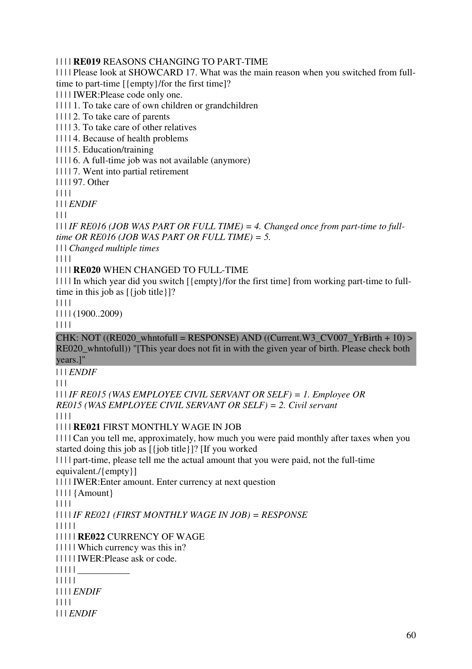#### | | | | **RE019** REASONS CHANGING TO PART-TIME

| | | | Please look at SHOWCARD 17. What was the main reason when you switched from fulltime to part-time [{empty}/for the first time]?

| | | | IWER:Please code only one.

| | | | 1. To take care of own children or grandchildren

| | | | 2. To take care of parents

| | | | 3. To take care of other relatives

| | | | 4. Because of health problems

| | | | 5. Education/training

| | | | 6. A full-time job was not available (anymore)

| | | | 7. Went into partial retirement

| | | | 97. Other

| | | |

| | | *ENDIF*

 $|| ||$ 

| | | *IF RE016 (JOB WAS PART OR FULL TIME) = 4. Changed once from part-time to fulltime OR RE016 (JOB WAS PART OR FULL TIME) = 5.* 

| | | *Changed multiple times*

| | | |

| | | | **RE020** WHEN CHANGED TO FULL-TIME

| | | | In which year did you switch [{empty}/for the first time] from working part-time to fulltime in this job as  $[\{\text{job title}\}]$ ?

| | | |

| | | | (1900..2009)

| | | |

CHK: NOT ((RE020\_whntofull = RESPONSE) AND ((Current.W3\_CV007\_YrBirth + 10) > RE020 whntofull)) "[This year does not fit in with the given year of birth. Please check both years.]"

| | | *ENDIF*

 $\Box$ 

| | | *IF RE015 (WAS EMPLOYEE CIVIL SERVANT OR SELF) = 1. Employee OR RE015 (WAS EMPLOYEE CIVIL SERVANT OR SELF) = 2. Civil servant*

| | | |

| | | | **RE021** FIRST MONTHLY WAGE IN JOB

| | | | Can you tell me, approximately, how much you were paid monthly after taxes when you started doing this job as [{job title}]? [If you worked

| | | | part-time, please tell me the actual amount that you were paid, not the full-time equivalent./{empty}]

| | | | IWER:Enter amount. Enter currency at next question

| | | | {Amount}

| | | |

| | | | *IF RE021 (FIRST MONTHLY WAGE IN JOB) = RESPONSE*

| | | | |

| | | | | **RE022** CURRENCY OF WAGE

| | | | | Which currency was this in?

| | | | | IWER:Please ask or code.

 $|| || || ||$ 

| | | | |

| | | | *ENDIF*

| | | |

| | | *ENDIF*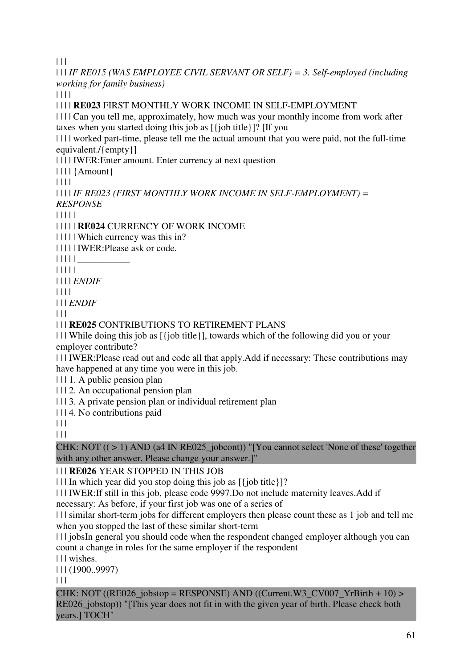$| 11$ 

| | | *IF RE015 (WAS EMPLOYEE CIVIL SERVANT OR SELF) = 3. Self-employed (including working for family business)*

 $|| || ||$ 

| | | | **RE023** FIRST MONTHLY WORK INCOME IN SELF-EMPLOYMENT

| | | | Can you tell me, approximately, how much was your monthly income from work after taxes when you started doing this job as [{job title}]? [If you

| | | | worked part-time, please tell me the actual amount that you were paid, not the full-time equivalent./{empty}]

| | | | IWER:Enter amount. Enter currency at next question

| | | | {Amount}

| | | |

| | | | *IF RE023 (FIRST MONTHLY WORK INCOME IN SELF-EMPLOYMENT) = RESPONSE*

| | | | |

| | | | | **RE024** CURRENCY OF WORK INCOME

| | | | | Which currency was this in?

| | | | | IWER:Please ask or code.

| | | | | \_\_\_\_\_\_\_\_\_\_\_

| | | | |

| | | | *ENDIF*

| | | |

| | | *ENDIF*

| | |

| | | **RE025** CONTRIBUTIONS TO RETIREMENT PLANS

| | | While doing this job as [{job title}], towards which of the following did you or your employer contribute?

| | | IWER:Please read out and code all that apply.Add if necessary: These contributions may have happened at any time you were in this job.

| | | 1. A public pension plan

| | | 2. An occupational pension plan

| | | 3. A private pension plan or individual retirement plan

| | | 4. No contributions paid

 $| 11$ 

 $\Box$ 

CHK: NOT  $((>1)$  AND (a4 IN RE025\_jobcont)) "[You cannot select 'None of these' together with any other answer. Please change your answer.]"

# | | | **RE026** YEAR STOPPED IN THIS JOB

| | | In which year did you stop doing this job as [{job title}]?

| | | IWER:If still in this job, please code 9997.Do not include maternity leaves.Add if

necessary: As before, if your first job was one of a series of

| | | similar short-term jobs for different employers then please count these as 1 job and tell me when you stopped the last of these similar short-term

| | | jobsIn general you should code when the respondent changed employer although you can count a change in roles for the same employer if the respondent

| | | wishes.

| | | (1900..9997)

 $| 11$ 

CHK: NOT ((RE026 jobstop = RESPONSE) AND ((Current.W3 CV007 YrBirth + 10) > RE026 jobstop)) "[This year does not fit in with the given year of birth. Please check both years.] TOCH"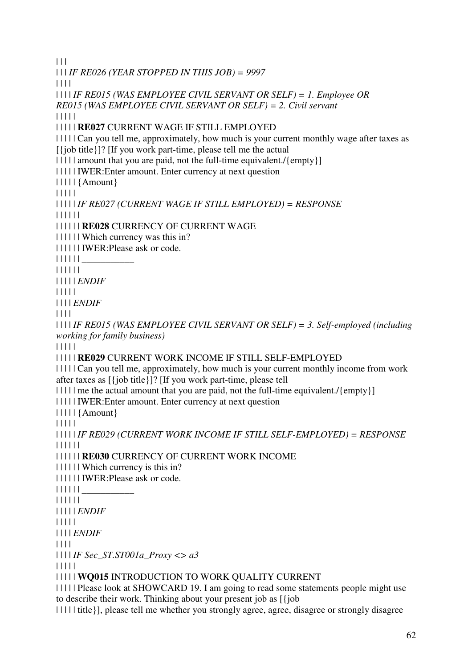$| 11$ 

| | | *IF RE026 (YEAR STOPPED IN THIS JOB) = 9997*

| | | |

| | | | *IF RE015 (WAS EMPLOYEE CIVIL SERVANT OR SELF) = 1. Employee OR RE015 (WAS EMPLOYEE CIVIL SERVANT OR SELF) = 2. Civil servant*

| | | | |

| | | | | **RE027** CURRENT WAGE IF STILL EMPLOYED

| | | | | Can you tell me, approximately, how much is your current monthly wage after taxes as

[{job title}]? [If you work part-time, please tell me the actual

| | | | | | amount that you are paid, not the full-time equivalent./{empty}]

| | | | | IWER:Enter amount. Enter currency at next question

| | | | | {Amount}

| | | | |

| | | | | *IF RE027 (CURRENT WAGE IF STILL EMPLOYED) = RESPONSE*

| | | | | |

| | | | | | **RE028** CURRENCY OF CURRENT WAGE

| | | | | | Which currency was this in?

| | | | | | IWER:Please ask or code.

| | | | | | \_\_\_\_\_\_\_\_\_\_\_

| | | | | |

| | | | | *ENDIF*

| | | | |

| | | | *ENDIF*

| | | |

| | | | *IF RE015 (WAS EMPLOYEE CIVIL SERVANT OR SELF) = 3. Self-employed (including working for family business)*

| | | | |

| | | | | **RE029** CURRENT WORK INCOME IF STILL SELF-EMPLOYED

| | | | | Can you tell me, approximately, how much is your current monthly income from work after taxes as [{job title}]? [If you work part-time, please tell

| | | | | | me the actual amount that you are paid, not the full-time equivalent./{empty}]

| | | | | IWER:Enter amount. Enter currency at next question

| | | | | {Amount}

| | | | |

| | | | | *IF RE029 (CURRENT WORK INCOME IF STILL SELF-EMPLOYED) = RESPONSE* | | | | | |

| | | | | | **RE030** CURRENCY OF CURRENT WORK INCOME

| | | | | | Which currency is this in?

| | | | | | IWER:Please ask or code.

 $| | | | | | | |$ 

| | | | | |

| | | | | *ENDIF*

| | | | |

| | | | *ENDIF*

| | | |

| | | | *IF Sec\_ST.ST001a\_Proxy <> a3*

| | | | |

| | | | | **WQ015** INTRODUCTION TO WORK QUALITY CURRENT

| | | | | Please look at SHOWCARD 19. I am going to read some statements people might use to describe their work. Thinking about your present job as [{job

| | | | | title}], please tell me whether you strongly agree, agree, disagree or strongly disagree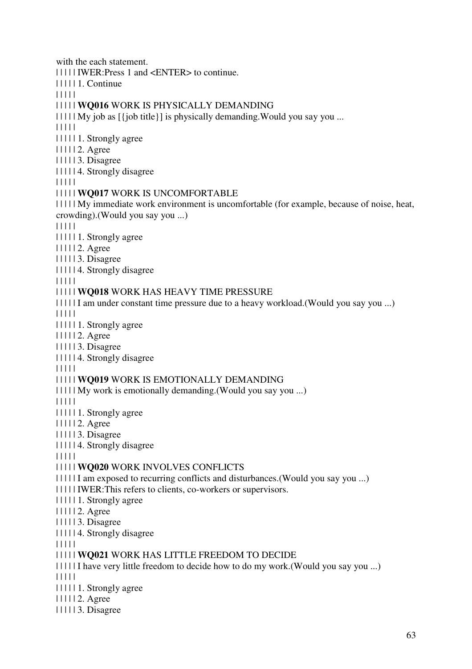with the each statement. | | | | | IWER:Press 1 and <ENTER> to continue. | | | | | 1. Continue | | | | | | | | | | **WQ016** WORK IS PHYSICALLY DEMANDING  $|| \cdot || ||$  My job as  $[\{\text{job title}\}]$  is physically demanding. Would you say you ... | | | | | | | | | | 1. Strongly agree | | | | | 2. Agree | | | | | 3. Disagree | | | | | 4. Strongly disagree | | | | | | | | | | **WQ017** WORK IS UNCOMFORTABLE | | | | | My immediate work environment is uncomfortable (for example, because of noise, heat, crowding).(Would you say you ...) | | | | | | | | | | 1. Strongly agree | | | | | 2. Agree | | | | | 3. Disagree | | | | | 4. Strongly disagree | | | | | | | | | | **WQ018** WORK HAS HEAVY TIME PRESSURE | | | | | I am under constant time pressure due to a heavy workload.(Would you say you ...) | | | | | | | | | | 1. Strongly agree | | | | | 2. Agree | | | | | 3. Disagree | | | | | 4. Strongly disagree | | | | | | | | | | **WQ019** WORK IS EMOTIONALLY DEMANDING | | | | | My work is emotionally demanding.(Would you say you ...) | | | | | | | | | | 1. Strongly agree | | | | | 2. Agree | | | | | 3. Disagree | | | | | 4. Strongly disagree | | | | | | | | | | **WQ020** WORK INVOLVES CONFLICTS | | | | | I am exposed to recurring conflicts and disturbances.(Would you say you ...) | | | | | IWER:This refers to clients, co-workers or supervisors. | | | | | 1. Strongly agree | | | | | 2. Agree | | | | | 3. Disagree | | | | | 4. Strongly disagree | | | | | | | | | | **WQ021** WORK HAS LITTLE FREEDOM TO DECIDE | | | | | I have very little freedom to decide how to do my work.(Would you say you ...) | | | | | | | | | | 1. Strongly agree | | | | | 2. Agree | | | | | 3. Disagree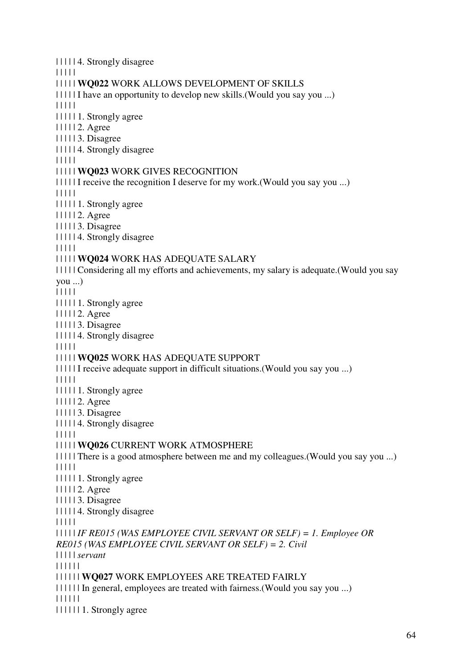| | | | | 4. Strongly disagree | | | | | | | | | | **WQ022** WORK ALLOWS DEVELOPMENT OF SKILLS | | | | | I have an opportunity to develop new skills.(Would you say you ...) | | | | | | | | | | 1. Strongly agree | | | | | 2. Agree | | | | | 3. Disagree | | | | | 4. Strongly disagree | | | | | | | | | | **WQ023** WORK GIVES RECOGNITION | | | | | I receive the recognition I deserve for my work.(Would you say you ...) | | | | | | | | | | 1. Strongly agree | | | | | 2. Agree | | | | | 3. Disagree | | | | | 4. Strongly disagree | | | | | | | | | | **WQ024** WORK HAS ADEQUATE SALARY | | | | | Considering all my efforts and achievements, my salary is adequate.(Would you say you ...) | | | | | | | | | | 1. Strongly agree | | | | | 2. Agree | | | | | 3. Disagree | | | | | 4. Strongly disagree | | | | | | | | | | **WQ025** WORK HAS ADEQUATE SUPPORT | | | | | I receive adequate support in difficult situations.(Would you say you ...) | | | | | | | | | | 1. Strongly agree | | | | | 2. Agree | | | | | 3. Disagree | | | | | 4. Strongly disagree | | | | | | | | | | **WQ026** CURRENT WORK ATMOSPHERE | | | | | There is a good atmosphere between me and my colleagues.(Would you say you ...) | | | | | | | | | | 1. Strongly agree | | | | | 2. Agree | | | | | 3. Disagree | | | | | 4. Strongly disagree | | | | | | | | | | *IF RE015 (WAS EMPLOYEE CIVIL SERVANT OR SELF) = 1. Employee OR RE015 (WAS EMPLOYEE CIVIL SERVANT OR SELF) = 2. Civil*  | | | | | *servant* | | | | | | | | | | | | **WQ027** WORK EMPLOYEES ARE TREATED FAIRLY | | | | | | In general, employees are treated with fairness.(Would you say you ...) | | | | | | | | | | | | 1. Strongly agree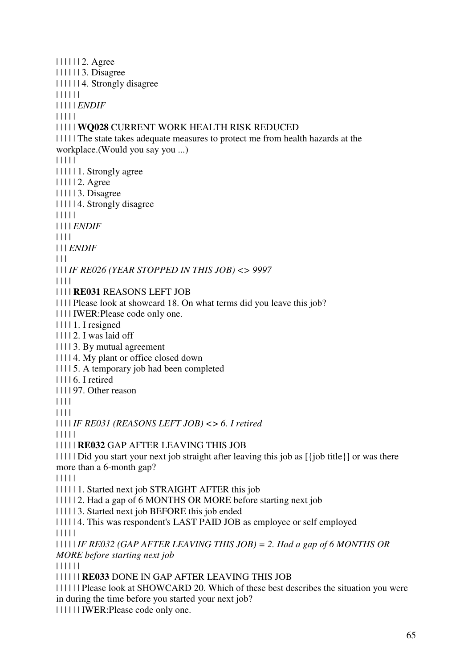| | | | | | 2. Agree | | | | | | 3. Disagree | | | | | | 4. Strongly disagree | | | | | | | | | | | *ENDIF* | | | | | | | | | | **WQ028** CURRENT WORK HEALTH RISK REDUCED | | | | | The state takes adequate measures to protect me from health hazards at the workplace.(Would you say you ...) | | | | | | | | | | 1. Strongly agree | | | | | 2. Agree | | | | | 3. Disagree | | | | | 4. Strongly disagree | | | | | | | | | *ENDIF* | | | | | | | *ENDIF*  $| | | |$ | | | *IF RE026 (YEAR STOPPED IN THIS JOB) <> 9997* | | | | | | | | **RE031** REASONS LEFT JOB | | | | Please look at showcard 18. On what terms did you leave this job? | | | | IWER:Please code only one.  $|| \cdot || \cdot ||_1$ . I resigned  $| 11112$ . I was laid off | | | | 3. By mutual agreement | | | | 4. My plant or office closed down | | | | 5. A temporary job had been completed | | | | 6. I retired | | | | 97. Other reason | | | | | | | | | | | | *IF RE031 (REASONS LEFT JOB) <> 6. I retired* | | | | | | | | | | **RE032** GAP AFTER LEAVING THIS JOB | | | | | Did you start your next job straight after leaving this job as [{job title}] or was there more than a 6-month gap? | | | | | | | | | | 1. Started next job STRAIGHT AFTER this job | | | | | 2. Had a gap of 6 MONTHS OR MORE before starting next job | | | | | 3. Started next job BEFORE this job ended | | | | | 4. This was respondent's LAST PAID JOB as employee or self employed | | | | | | | | | | *IF RE032 (GAP AFTER LEAVING THIS JOB) = 2. Had a gap of 6 MONTHS OR MORE before starting next job* | | | | | | | | | | | | **RE033** DONE IN GAP AFTER LEAVING THIS JOB | | | | | | Please look at SHOWCARD 20. Which of these best describes the situation you were

in during the time before you started your next job?

| | | | | | IWER:Please code only one.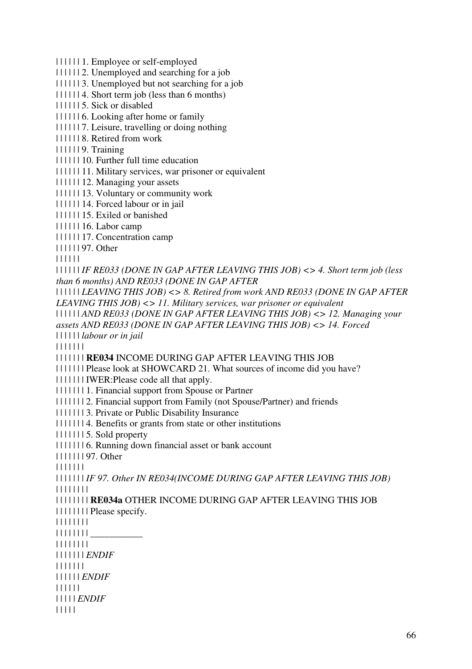| | | | | | 1. Employee or self-employed

| | | | | | 2. Unemployed and searching for a job

| | | | | | 3. Unemployed but not searching for a job

| | | | | | 4. Short term job (less than 6 months)

| | | | | | 5. Sick or disabled

| | | | | | 6. Looking after home or family

| | | | | | 7. Leisure, travelling or doing nothing

| | | | | | 8. Retired from work

| | | | | | 9. Training

| | | | | | 10. Further full time education

| | | | | | 11. Military services, war prisoner or equivalent

| | | | | | 12. Managing your assets

| | | | | | 13. Voluntary or community work

| | | | | | 14. Forced labour or in jail

| | | | | | 15. Exiled or banished

| | | | | | 16. Labor camp

| | | | | | 17. Concentration camp

| | | | | | 97. Other

| | | | | |

| | | | | | *IF RE033 (DONE IN GAP AFTER LEAVING THIS JOB) <> 4. Short term job (less than 6 months) AND RE033 (DONE IN GAP AFTER* 

| | | | | | *LEAVING THIS JOB) <> 8. Retired from work AND RE033 (DONE IN GAP AFTER LEAVING THIS JOB) <> 11. Military services, war prisoner or equivalent* 

| | | | | | *AND RE033 (DONE IN GAP AFTER LEAVING THIS JOB) <> 12. Managing your assets AND RE033 (DONE IN GAP AFTER LEAVING THIS JOB) <> 14. Forced* 

| | | | | | *labour or in jail*

| | | | | | |

| | | | | | | **RE034** INCOME DURING GAP AFTER LEAVING THIS JOB

| | | | | | | Please look at SHOWCARD 21. What sources of income did you have?

| | | | | | | IWER:Please code all that apply.

| | | | | | | 1. Financial support from Spouse or Partner

| | | | | | | 2. Financial support from Family (not Spouse/Partner) and friends

| | | | | | | 3. Private or Public Disability Insurance

| | | | | | | 4. Benefits or grants from state or other institutions

| | | | | | | 5. Sold property

| | | | | | | 6. Running down financial asset or bank account

| | | | | | | 97. Other

| | | | | | |

| | | | | | | *IF 97. Other IN RE034(INCOME DURING GAP AFTER LEAVING THIS JOB)* | | | | | | | |

| | | | | | | | **RE034a** OTHER INCOME DURING GAP AFTER LEAVING THIS JOB

| | | | | | | | Please specify.

| | | | | | | |

 $|| || || || || || ||$ 

| | | | | | | |

| | | | | | | *ENDIF*

| | | | | | |

| | | | | | *ENDIF*

| | | | | |

| | | | | *ENDIF*

| | | | |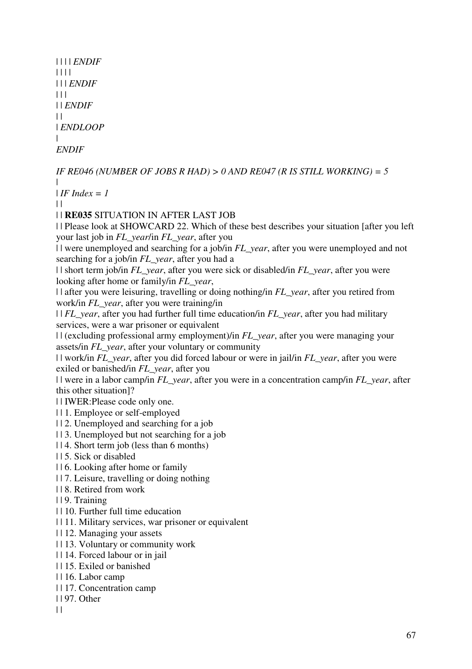```
| | | | ENDIF
| | | | 
| | | ENDIF
| 11| | ENDIF
| || ENDLOOP
| 
ENDIF
```

```
IF RE046 (NUMBER OF JOBS R HAD) > 0 AND RE047 (R IS STILL WORKING) = 5
| 
IIF Index = 1
\perp| | RE035 SITUATION IN AFTER LAST JOB 
| | Please look at SHOWCARD 22. Which of these best describes your situation [after you left 
your last job in FL_year/in FL_year, after you 
| | were unemployed and searching for a job/in FL_year, after you were unemployed and not 
searching for a job/in FL_year, after you had a 
| | short term job/in FL_year, after you were sick or disabled/in FL_year, after you were 
looking after home or family/in FL_year, 
| | after you were leisuring, travelling or doing nothing/in FL_year, after you retired from 
work/in FL_year, after you were training/in 
| | FL_year, after you had further full time education/in FL_year, after you had military 
services, were a war prisoner or equivalent 
| | (excluding professional army employment)/in FL_year, after you were managing your 
assets/in FL_year, after your voluntary or community 
| | work/in FL_year, after you did forced labour or were in jail/in FL_year, after you were 
exiled or banished/in FL_year, after you 
| | were in a labor camp/in FL_year, after you were in a concentration camp/in FL_year, after 
this other situation]? 
| | IWER:Please code only one. 
| | 1. Employee or self-employed 
| | 2. Unemployed and searching for a job 
| | 3. Unemployed but not searching for a job 
| | 4. Short term job (less than 6 months) 
| | 5. Sick or disabled 
| | 6. Looking after home or family 
| | 7. Leisure, travelling or doing nothing 
| | 8. Retired from work 
| | 9. Training 
| | 10. Further full time education 
| | 11. Military services, war prisoner or equivalent 
| | 12. Managing your assets 
| | 13. Voluntary or community work 
| | 14. Forced labour or in jail 
| | 15. Exiled or banished 
| | 16. Labor camp
```
- | | 17. Concentration camp
- | | 97. Other
- $\|$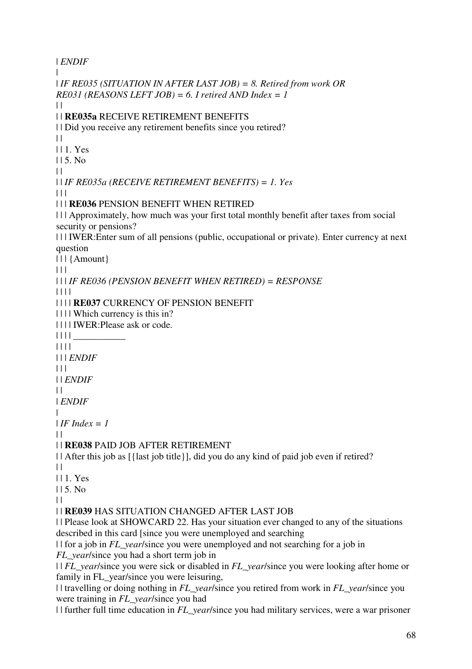| *ENDIF*  $\blacksquare$ | *IF RE035 (SITUATION IN AFTER LAST JOB) = 8. Retired from work OR RE031 (REASONS LEFT JOB) = 6. I retired AND Index = 1*  $\perp$ | | **RE035a** RECEIVE RETIREMENT BENEFITS | | Did you receive any retirement benefits since you retired?  $\|$ | | 1. Yes  $115.$  No.  $\|$ | | *IF RE035a (RECEIVE RETIREMENT BENEFITS) = 1. Yes*  $| | | |$ | | | **RE036** PENSION BENEFIT WHEN RETIRED | | | Approximately, how much was your first total monthly benefit after taxes from social security or pensions? | | | IWER:Enter sum of all pensions (public, occupational or private). Enter currency at next question | | | {Amount}  $\Box$ | | | *IF RE036 (PENSION BENEFIT WHEN RETIRED) = RESPONSE* | | | | | | | | **RE037** CURRENCY OF PENSION BENEFIT | | | | Which currency is this in? | | | | IWER:Please ask or code. | | | | \_\_\_\_\_\_\_\_\_\_\_ | | | | | | | *ENDIF*  $| 11$ | | *ENDIF*  $\perp$ | *ENDIF* |  $I$ *IF Index = 1*  $\perp$ | | **RE038** PAID JOB AFTER RETIREMENT | | After this job as [{last job title}], did you do any kind of paid job even if retired?  $\|$ | | 1. Yes  $115.$  No  $| |$ | | **RE039** HAS SITUATION CHANGED AFTER LAST JOB | | Please look at SHOWCARD 22. Has your situation ever changed to any of the situations described in this card [since you were unemployed and searching | | for a job in *FL\_year*/since you were unemployed and not searching for a job in *FL year*/since you had a short term job in | | *FL\_year*/since you were sick or disabled in *FL\_year*/since you were looking after home or family in FL year/since you were leisuring, | | travelling or doing nothing in *FL\_year*/since you retired from work in *FL\_year*/since you were training in *FL\_year*/since you had | | further full time education in *FL\_year*/since you had military services, were a war prisoner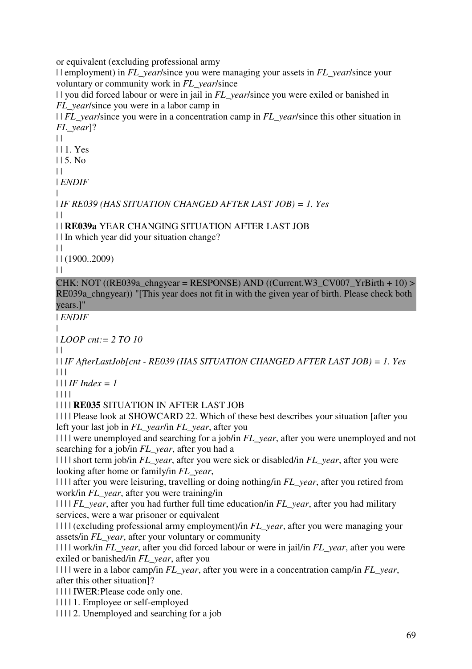or equivalent (excluding professional army

| | employment) in *FL\_year*/since you were managing your assets in *FL\_year*/since your voluntary or community work in *FL\_year*/since

| | you did forced labour or were in jail in *FL\_year*/since you were exiled or banished in *FL\_year*/since you were in a labor camp in

| | *FL\_year*/since you were in a concentration camp in *FL\_year*/since this other situation in *FL\_year*]?

 $\|$ 

| | 1. Yes

 $115.$  No

 $\perp$ 

| *ENDIF*

| | *IF RE039 (HAS SITUATION CHANGED AFTER LAST JOB) = 1. Yes*

 $\perp$ 

| | **RE039a** YEAR CHANGING SITUATION AFTER LAST JOB

| | In which year did your situation change?

 $\|$ | | (1900..2009)

 $\|$ 

CHK: NOT ((RE039a\_chngyear = RESPONSE) AND ((Current.W3\_CV007\_YrBirth + 10) > RE039a chngyear)) "[This year does not fit in with the given year of birth. Please check both years.]"

| *ENDIF*

| | *LOOP cnt:= 2 TO 10*

 $\Box$ 

| | *IF AfterLastJob[cnt - RE039 (HAS SITUATION CHANGED AFTER LAST JOB) = 1. Yes* | | |

 $| \cdot |$  *IF Index = 1* 

| | | |

| | | | **RE035** SITUATION IN AFTER LAST JOB

| | | | Please look at SHOWCARD 22. Which of these best describes your situation [after you left your last job in *FL\_year*/in *FL\_year*, after you

| | | | were unemployed and searching for a job/in *FL\_year*, after you were unemployed and not searching for a job/in *FL\_year*, after you had a

| | | | short term job/in *FL\_year*, after you were sick or disabled/in *FL\_year*, after you were looking after home or family/in *FL\_year*,

| | | | after you were leisuring, travelling or doing nothing/in *FL\_year*, after you retired from work/in *FL\_year*, after you were training/in

| | | | *FL\_year*, after you had further full time education/in *FL\_year*, after you had military services, were a war prisoner or equivalent

| | | | (excluding professional army employment)/in *FL\_year*, after you were managing your assets/in *FL\_year*, after your voluntary or community

```
| | | | work/in FL_year, after you did forced labour or were in jail/in FL_year, after you were 
exiled or banished/in FL_year, after you
```
| | | | were in a labor camp/in *FL\_year*, after you were in a concentration camp/in *FL\_year*, after this other situation]?

| | | | IWER:Please code only one.

| | | | 1. Employee or self-employed

| | | | 2. Unemployed and searching for a job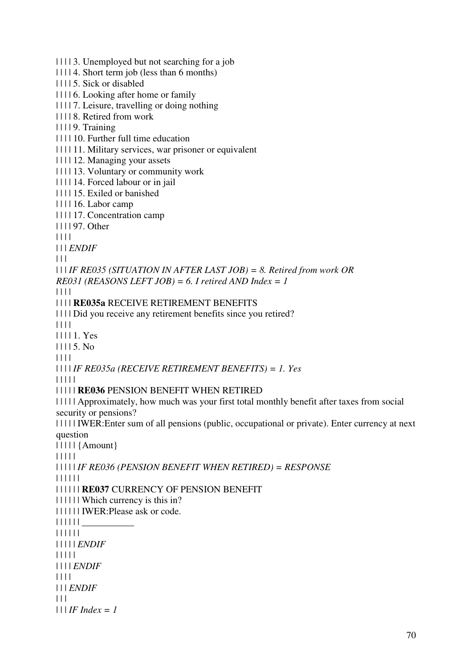| | | | 3. Unemployed but not searching for a job | | | | 4. Short term job (less than 6 months) | | | | 5. Sick or disabled | | | | 6. Looking after home or family | | | | 7. Leisure, travelling or doing nothing | | | | 8. Retired from work | | | | 9. Training | | | | 10. Further full time education | | | | 11. Military services, war prisoner or equivalent | | | | 12. Managing your assets | | | | 13. Voluntary or community work | | | | 14. Forced labour or in jail | | | | 15. Exiled or banished | | | | 16. Labor camp | | | | 17. Concentration camp | | | | 97. Other | | | | | | | *ENDIF*  $| 11$ | | | *IF RE035 (SITUATION IN AFTER LAST JOB) = 8. Retired from work OR RE031 (REASONS LEFT JOB) = 6. I retired AND Index = 1* | | | | | | | | **RE035a** RECEIVE RETIREMENT BENEFITS | | | | Did you receive any retirement benefits since you retired? | | | | | | | | 1. Yes | | | | 5. No | | | | | | | | *IF RE035a (RECEIVE RETIREMENT BENEFITS) = 1. Yes* | | | | | | | | | | **RE036** PENSION BENEFIT WHEN RETIRED | | | | | Approximately, how much was your first total monthly benefit after taxes from social security or pensions? | | | | | IWER:Enter sum of all pensions (public, occupational or private). Enter currency at next question | | | | | {Amount} | | | | | | | | | | *IF RE036 (PENSION BENEFIT WHEN RETIRED) = RESPONSE* | | | | | | | | | | | | **RE037** CURRENCY OF PENSION BENEFIT | | | | | | Which currency is this in? | | | | | | IWER:Please ask or code. | | | | | | \_\_\_\_\_\_\_\_\_\_\_ | | | | | | | | | | | *ENDIF* | | | | | | | | | *ENDIF* | | | | | | | *ENDIF*  $| 11$ | | | *IF Index = 1*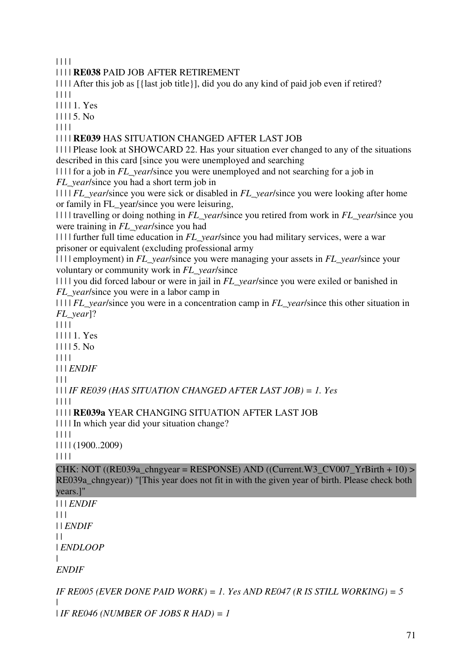| | | |

# | | | | **RE038** PAID JOB AFTER RETIREMENT

| | | | After this job as [{last job title}], did you do any kind of paid job even if retired? | | | |

| | | | 1. Yes

| | | | 5. No

| | | |

### | | | | **RE039** HAS SITUATION CHANGED AFTER LAST JOB

| | | | Please look at SHOWCARD 22. Has your situation ever changed to any of the situations described in this card [since you were unemployed and searching

| | | | for a job in *FL\_year*/since you were unemployed and not searching for a job in *FL year*/since you had a short term job in

| | | | *FL\_year*/since you were sick or disabled in *FL\_year*/since you were looking after home or family in FL\_year/since you were leisuring,

| | | | travelling or doing nothing in *FL\_year*/since you retired from work in *FL\_year*/since you were training in *FL\_year*/since you had

| | | | further full time education in *FL\_year*/since you had military services, were a war prisoner or equivalent (excluding professional army

| | | | employment) in *FL\_year*/since you were managing your assets in *FL\_year*/since your voluntary or community work in *FL\_year*/since

| | | | you did forced labour or were in jail in *FL\_year*/since you were exiled or banished in *FL vear*/since you were in a labor camp in

| | | | *FL\_year*/since you were in a concentration camp in *FL\_year*/since this other situation in *FL\_year*]?

 $|| || ||$ 

| | | | 1. Yes

| | | | 5. No

| | | |

| | | *ENDIF*

 $| 11$ 

| | | *IF RE039 (HAS SITUATION CHANGED AFTER LAST JOB) = 1. Yes*

| | | |

```
| | | | RE039a YEAR CHANGING SITUATION AFTER LAST JOB
```
| | | | In which year did your situation change?

| | | |

| | | | (1900..2009)

 $|| || ||$ 

CHK: NOT ((RE039a\_chngyear = RESPONSE) AND ((Current.W3\_CV007\_YrBirth + 10) > RE039a\_chngyear)) "[This year does not fit in with the given year of birth. Please check both years.]"

| | | *ENDIF*  $|| ||$ | | *ENDIF*

 $\|$ 

| *ENDLOOP*

|

*ENDIF*

*IF RE005 (EVER DONE PAID WORK) = 1. Yes AND RE047 (R IS STILL WORKING) = 5* | | *IF RE046 (NUMBER OF JOBS R HAD) = 1*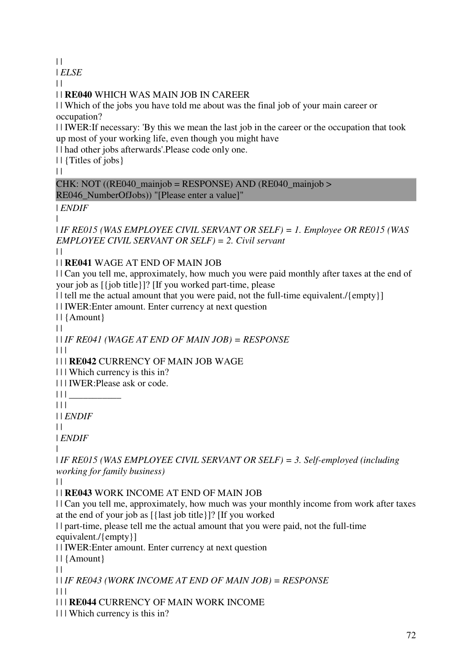$\|$ 

| *ELSE*

 $| |$ 

| | **RE040** WHICH WAS MAIN JOB IN CAREER

| | Which of the jobs you have told me about was the final job of your main career or occupation?

| | IWER:If necessary: 'By this we mean the last job in the career or the occupation that took up most of your working life, even though you might have

| | had other jobs afterwards'.Please code only one.

| | {Titles of jobs}

 $| |$ 

CHK: NOT ((RE040\_mainjob = RESPONSE) AND (RE040\_mainjob > RE046\_NumberOfJobs)) "[Please enter a value]"

| *ENDIF*

|

| *IF RE015 (WAS EMPLOYEE CIVIL SERVANT OR SELF) = 1. Employee OR RE015 (WAS EMPLOYEE CIVIL SERVANT OR SELF) = 2. Civil servant*

 $\perp$ 

| | **RE041** WAGE AT END OF MAIN JOB

| | Can you tell me, approximately, how much you were paid monthly after taxes at the end of your job as [{job title}]? [If you worked part-time, please

|| tell me the actual amount that you were paid, not the full-time equivalent./{empty}]

| | IWER:Enter amount. Enter currency at next question

| | {Amount}

 $\|$ 

| | *IF RE041 (WAGE AT END OF MAIN JOB) = RESPONSE*

 $| 11 |$ 

| | | **RE042** CURRENCY OF MAIN JOB WAGE

| | | Which currency is this in?

| | | IWER:Please ask or code.

 $|| || ||$ 

 $| 11$ 

| | *ENDIF*

 $\perp$ 

| *ENDIF*

|

| *IF RE015 (WAS EMPLOYEE CIVIL SERVANT OR SELF) = 3. Self-employed (including working for family business)*

 $| |$ 

# | | **RE043** WORK INCOME AT END OF MAIN JOB

| | Can you tell me, approximately, how much was your monthly income from work after taxes at the end of your job as [{last job title}]? [If you worked

| | part-time, please tell me the actual amount that you were paid, not the full-time equivalent./{empty}]

| | IWER:Enter amount. Enter currency at next question

| | {Amount}

 $| |$ 

| | *IF RE043 (WORK INCOME AT END OF MAIN JOB) = RESPONSE*

 $\Box$ 

| | | **RE044** CURRENCY OF MAIN WORK INCOME

| | | Which currency is this in?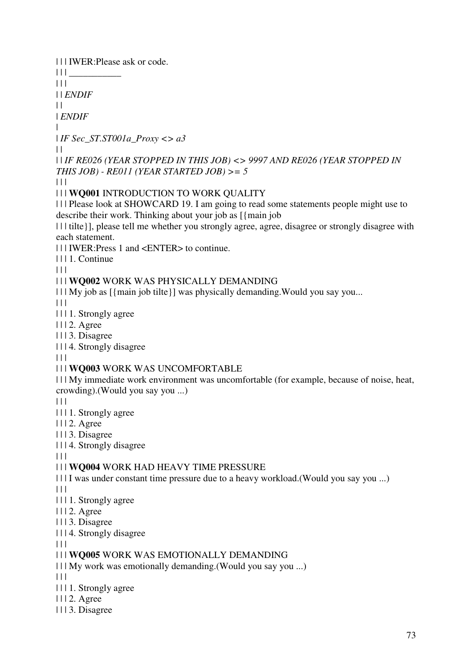73 | | | IWER:Please ask or code.  $|| ||$  $| 11 |$ | | *ENDIF*  $\|$ | *ENDIF* | | *IF Sec\_ST.ST001a\_Proxy <> a3*  $\perp$ | | *IF RE026 (YEAR STOPPED IN THIS JOB) <> 9997 AND RE026 (YEAR STOPPED IN THIS JOB) - RE011 (YEAR STARTED JOB) >= 5*  $|| ||$ | | | **WQ001** INTRODUCTION TO WORK QUALITY | | | Please look at SHOWCARD 19. I am going to read some statements people might use to describe their work. Thinking about your job as [{main job | | | tilte}], please tell me whether you strongly agree, agree, disagree or strongly disagree with each statement. | | | IWER:Press 1 and <ENTER> to continue. | | | 1. Continue  $\Box$ | | | **WQ002** WORK WAS PHYSICALLY DEMANDING  $|| \cdot ||$  My job as  $\frac{1}{2}$  main job tilte  $|| \cdot ||$  was physically demanding. Would you say you...  $\Box$ | | | 1. Strongly agree | | | 2. Agree | | | 3. Disagree | | | 4. Strongly disagree  $\Box$ | | | **WQ003** WORK WAS UNCOMFORTABLE | | | My immediate work environment was uncomfortable (for example, because of noise, heat, crowding).(Would you say you ...)  $\Box$ | | | 1. Strongly agree | | | 2. Agree | | | 3. Disagree | | | 4. Strongly disagree  $\Box$ | | | **WQ004** WORK HAD HEAVY TIME PRESSURE | | | I was under constant time pressure due to a heavy workload.(Would you say you ...)  $|| \ ||$ | | | 1. Strongly agree | | | 2. Agree | | | 3. Disagree | | | 4. Strongly disagree  $\Box$ | | | **WQ005** WORK WAS EMOTIONALLY DEMANDING | | | My work was emotionally demanding.(Would you say you ...)  $| 11$ | | | 1. Strongly agree | | | 2. Agree | | | 3. Disagree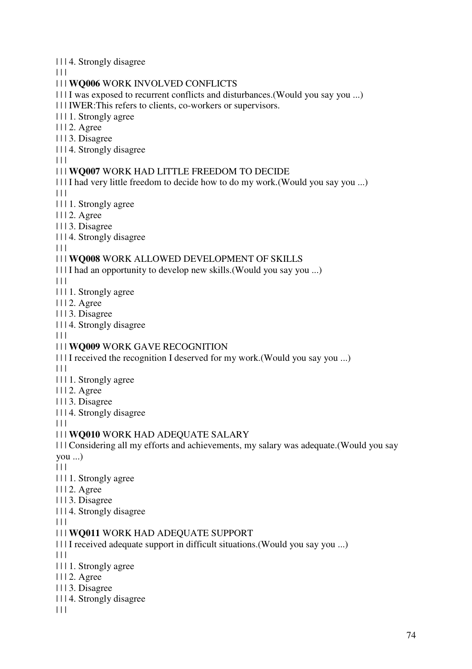| | | 4. Strongly disagree

 $\Box$ 

### | | | **WQ006** WORK INVOLVED CONFLICTS

| | | I was exposed to recurrent conflicts and disturbances.(Would you say you ...)

| | | IWER:This refers to clients, co-workers or supervisors.

| | | 1. Strongly agree

| | | 2. Agree

| | | 3. Disagree

| | | 4. Strongly disagree

 $| 11$ 

### | | | **WQ007** WORK HAD LITTLE FREEDOM TO DECIDE

| | | I had very little freedom to decide how to do my work.(Would you say you ...)  $\Box$ 

| | | 1. Strongly agree

| | | 2. Agree

| | | 3. Disagree

| | | 4. Strongly disagree

 $\Box$ 

### | | | **WQ008** WORK ALLOWED DEVELOPMENT OF SKILLS

| | | I had an opportunity to develop new skills.(Would you say you ...)

 $\Box$ 

| | | 1. Strongly agree

| | | 2. Agree

- | | | 3. Disagree
- | | | 4. Strongly disagree

 $| 11$ 

## | | | **WQ009** WORK GAVE RECOGNITION

| | | I received the recognition I deserved for my work.(Would you say you ...)

 $| 11$ 

- | | | 1. Strongly agree
- | | | 2. Agree
- | | | 3. Disagree
- | | | 4. Strongly disagree

 $| 11$ 

## | | | **WQ010** WORK HAD ADEQUATE SALARY

| | | Considering all my efforts and achievements, my salary was adequate.(Would you say you ...)

 $|| ||$ 

- | | | 1. Strongly agree
- | | | 2. Agree

| | | 3. Disagree

| | | 4. Strongly disagree

 $|| ||$ 

## | | | **WQ011** WORK HAD ADEQUATE SUPPORT

- | | | I received adequate support in difficult situations.(Would you say you ...)
- $| 11$
- | | | 1. Strongly agree
- | | | 2. Agree
- | | | 3. Disagree
- | | | 4. Strongly disagree
- $| 11 |$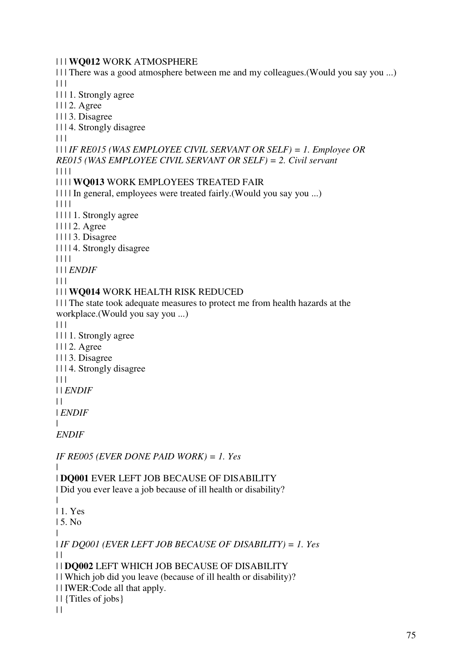| | | **WQ012** WORK ATMOSPHERE

| | | There was a good atmosphere between me and my colleagues.(Would you say you ...)  $|| \cdot ||$ 

| | | 1. Strongly agree

| | | 2. Agree

| | | 3. Disagree

| | | 4. Strongly disagree

 $\Box$ 

| | | *IF RE015 (WAS EMPLOYEE CIVIL SERVANT OR SELF) = 1. Employee OR RE015 (WAS EMPLOYEE CIVIL SERVANT OR SELF) = 2. Civil servant*

| | | |

### | | | | **WQ013** WORK EMPLOYEES TREATED FAIR

| | | | In general, employees were treated fairly.(Would you say you ...)

| | | |

- | | | | 1. Strongly agree
- | | | | 2. Agree
- | | | | 3. Disagree
- | | | | 4. Strongly disagree

| | | |

| | | *ENDIF*

 $\Box$ 

## | | | **WQ014** WORK HEALTH RISK REDUCED

| | | The state took adequate measures to protect me from health hazards at the workplace.(Would you say you ...)

 $\begin{array}{c|c} \hline \end{array} \begin{array}{c} \hline \end{array}$ 

- | | | 1. Strongly agree
- | | | 2. Agree

| | | 3. Disagree

| | | 4. Strongly disagree

 $| 11$ 

| | *ENDIF*

 $\perp$ 

| *ENDIF*

|

|

|

*ENDIF*

*IF RE005 (EVER DONE PAID WORK) = 1. Yes*

# | **DQ001** EVER LEFT JOB BECAUSE OF DISABILITY

| Did you ever leave a job because of ill health or disability?

| 1. Yes

| 5. No

|

| *IF DQ001 (EVER LEFT JOB BECAUSE OF DISABILITY) = 1. Yes*  $\perp$ 

| | **DQ002** LEFT WHICH JOB BECAUSE OF DISABILITY

| | Which job did you leave (because of ill health or disability)?

| | IWER:Code all that apply.

| | {Titles of jobs}

 $| |$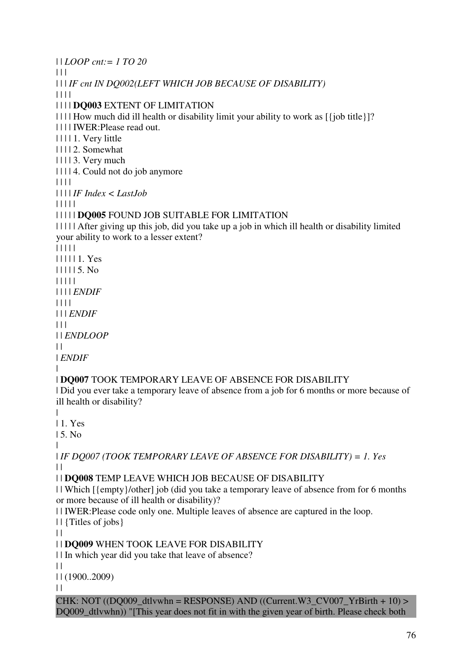| | *LOOP cnt:= 1 TO 20*  $\Box$ | | | *IF cnt IN DQ002(LEFT WHICH JOB BECAUSE OF DISABILITY)* | | | | | | | | **DQ003** EXTENT OF LIMITATION | | | | How much did ill health or disability limit your ability to work as [{job title}]? | | | | IWER:Please read out. | | | | 1. Very little | | | | 2. Somewhat | | | | 3. Very much | | | | 4. Could not do job anymore | | | | | | | | *IF Index < LastJob* | | | | | | | | | | **DQ005** FOUND JOB SUITABLE FOR LIMITATION | | | | | After giving up this job, did you take up a job in which ill health or disability limited your ability to work to a lesser extent? | | | | | | | | | | 1. Yes | | | | | 5. No | | | | | | | | | *ENDIF* | | | | | | | *ENDIF*  $\Box$ | | *ENDLOOP*  $\perp$ 

| *ENDIF*

|

#### | **DQ007** TOOK TEMPORARY LEAVE OF ABSENCE FOR DISABILITY

| Did you ever take a temporary leave of absence from a job for 6 months or more because of ill health or disability?

|

| 1. Yes

| 5. No |

| *IF DQ007 (TOOK TEMPORARY LEAVE OF ABSENCE FOR DISABILITY) = 1. Yes*  $\|$ 

### | | **DQ008** TEMP LEAVE WHICH JOB BECAUSE OF DISABILITY

| | Which [{empty}/other] job (did you take a temporary leave of absence from for 6 months or more because of ill health or disability)?

| | IWER:Please code only one. Multiple leaves of absence are captured in the loop.

| | {Titles of jobs}

 $\|$ 

| | **DQ009** WHEN TOOK LEAVE FOR DISABILITY

| | In which year did you take that leave of absence?

 $\|$ 

| | (1900..2009)

 $| |$ 

 $CHK: NOT (DQ009_dtlvwhn = RESPONSE) AND ((Current.W3_cV007_YrBirth + 10)$ DQ009\_dtlvwhn)) "[This year does not fit in with the given year of birth. Please check both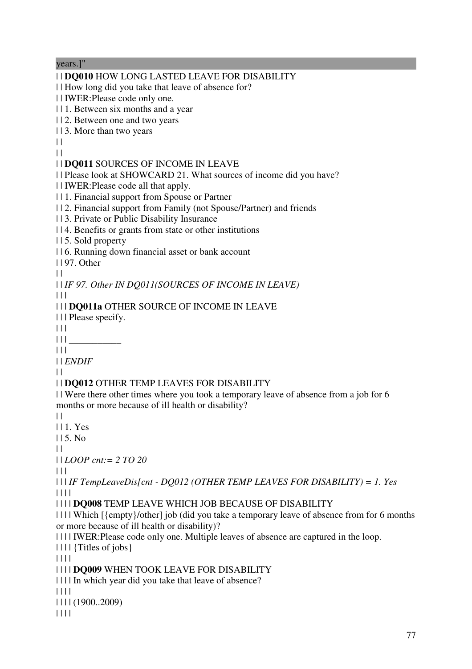years.]" | | **DQ010** HOW LONG LASTED LEAVE FOR DISABILITY | | How long did you take that leave of absence for? | | IWER:Please code only one. | | 1. Between six months and a year | | 2. Between one and two years | | 3. More than two years  $\Box$  $| |$ | | **DQ011** SOURCES OF INCOME IN LEAVE | | Please look at SHOWCARD 21. What sources of income did you have? | | IWER:Please code all that apply. | | 1. Financial support from Spouse or Partner | | 2. Financial support from Family (not Spouse/Partner) and friends | | 3. Private or Public Disability Insurance | | 4. Benefits or grants from state or other institutions | | 5. Sold property | | 6. Running down financial asset or bank account | | 97. Other  $\Box$ | | *IF 97. Other IN DQ011(SOURCES OF INCOME IN LEAVE)*  $\Box$ | | | **DQ011a** OTHER SOURCE OF INCOME IN LEAVE | | | Please specify.  $\Box$  $|| \ ||$  $\Box$ | | *ENDIF*  $\|$ | | **DQ012** OTHER TEMP LEAVES FOR DISABILITY | | Were there other times where you took a temporary leave of absence from a job for 6 months or more because of ill health or disability?  $| |$ | | 1. Yes | | 5. No  $| |$ | | *LOOP cnt:= 2 TO 20* | | | | | | *IF TempLeaveDis[cnt - DQ012 (OTHER TEMP LEAVES FOR DISABILITY) = 1. Yes* | | | | | | | | **DQ008** TEMP LEAVE WHICH JOB BECAUSE OF DISABILITY | | | | Which [{empty}/other] job (did you take a temporary leave of absence from for 6 months or more because of ill health or disability)? | | | | IWER:Please code only one. Multiple leaves of absence are captured in the loop.  $|| \cdot |||$  {Titles of jobs} | | | | | | | | **DQ009** WHEN TOOK LEAVE FOR DISABILITY | | | | In which year did you take that leave of absence? | | | | | | | | (1900..2009)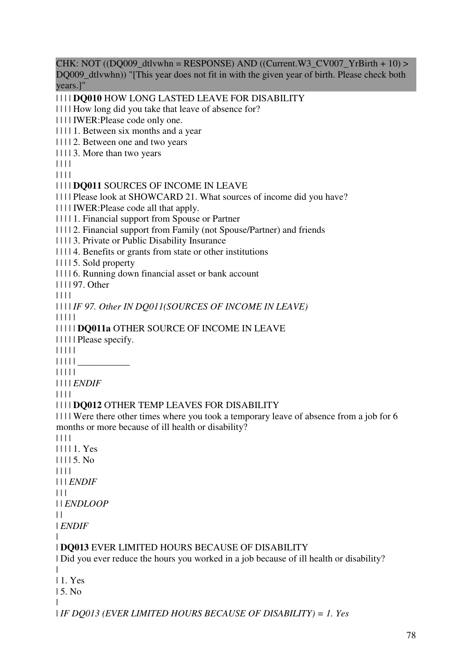$CHK: NOT (DQ009_dtlvwhn = RESPONSE) AND (Current.W3_cV007_YrBirth + 10)$ DO009 dtlywhn)) "[This year does not fit in with the given year of birth. Please check both years.]"

| | | | **DQ010** HOW LONG LASTED LEAVE FOR DISABILITY

| | | | How long did you take that leave of absence for?

| | | | IWER:Please code only one.

| | | | 1. Between six months and a year

| | | | 2. Between one and two years

| | | | 3. More than two years

| | | |

| | | |

| | | | **DQ011** SOURCES OF INCOME IN LEAVE

| | | | Please look at SHOWCARD 21. What sources of income did you have?

| | | | IWER:Please code all that apply.

| | | | 1. Financial support from Spouse or Partner

| | | | 2. Financial support from Family (not Spouse/Partner) and friends

| | | | 3. Private or Public Disability Insurance

| | | | 4. Benefits or grants from state or other institutions

| | | | 5. Sold property

| | | | 6. Running down financial asset or bank account

| | | | 97. Other

| | | |

| | | | *IF 97. Other IN DQ011(SOURCES OF INCOME IN LEAVE)*

| | | | |

| | | | | **DQ011a** OTHER SOURCE OF INCOME IN LEAVE

| | | | | Please specify.

| | | | |

| | | | | \_\_\_\_\_\_\_\_\_\_\_

| | | | |

| | | | *ENDIF*

| | | |

### | | | | **DQ012** OTHER TEMP LEAVES FOR DISABILITY

| | | | Were there other times where you took a temporary leave of absence from a job for 6 months or more because of ill health or disability?

| | | |

| | | | 1. Yes | | | | 5. No | | | | | | | *ENDIF*

 $| 11 |$ 

| | *ENDLOOP*

 $\perp$ 

| *ENDIF*

| | **DQ013** EVER LIMITED HOURS BECAUSE OF DISABILITY

| Did you ever reduce the hours you worked in a job because of ill health or disability?

| | 1. Yes

| 5. No

| | *IF DQ013 (EVER LIMITED HOURS BECAUSE OF DISABILITY) = 1. Yes*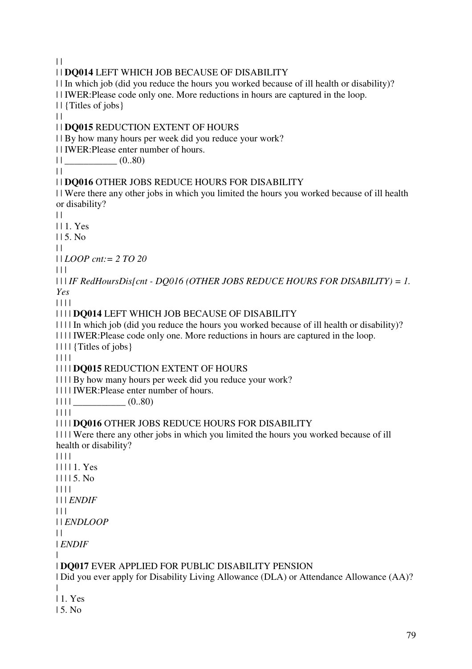$\|$ | | **DQ014** LEFT WHICH JOB BECAUSE OF DISABILITY | | In which job (did you reduce the hours you worked because of ill health or disability)? | | IWER:Please code only one. More reductions in hours are captured in the loop. | | {Titles of jobs}  $| |$ | | **DQ015** REDUCTION EXTENT OF HOURS | | By how many hours per week did you reduce your work? | | IWER:Please enter number of hours.  $||$   $(0..80)$  $\|$ | | **DQ016** OTHER JOBS REDUCE HOURS FOR DISABILITY | | Were there any other jobs in which you limited the hours you worked because of ill health or disability?  $\perp$ | | 1. Yes  $115$  No.  $| |$ | | *LOOP cnt:= 2 TO 20*  $| | | |$ | | | *IF RedHoursDis[cnt - DQ016 (OTHER JOBS REDUCE HOURS FOR DISABILITY) = 1. Yes* | | | | | | | | **DQ014** LEFT WHICH JOB BECAUSE OF DISABILITY | | | | In which job (did you reduce the hours you worked because of ill health or disability)? | | | | IWER:Please code only one. More reductions in hours are captured in the loop. | | | | {Titles of jobs} | | | | | | | | **DQ015** REDUCTION EXTENT OF HOURS | | | | By how many hours per week did you reduce your work? | | | | IWER:Please enter number of hours.  $|| || ||$   $(0..80)$ | | | | | | | | **DQ016** OTHER JOBS REDUCE HOURS FOR DISABILITY | | | | Were there any other jobs in which you limited the hours you worked because of ill health or disability? | | | | | | | | 1. Yes | | | | 5. No | | | | | | | *ENDIF*  $| 11$ | | *ENDLOOP*  $\|$ | *ENDIF* | | **DQ017** EVER APPLIED FOR PUBLIC DISABILITY PENSION | Did you ever apply for Disability Living Allowance (DLA) or Attendance Allowance (AA)? | | 1. Yes

| 5. No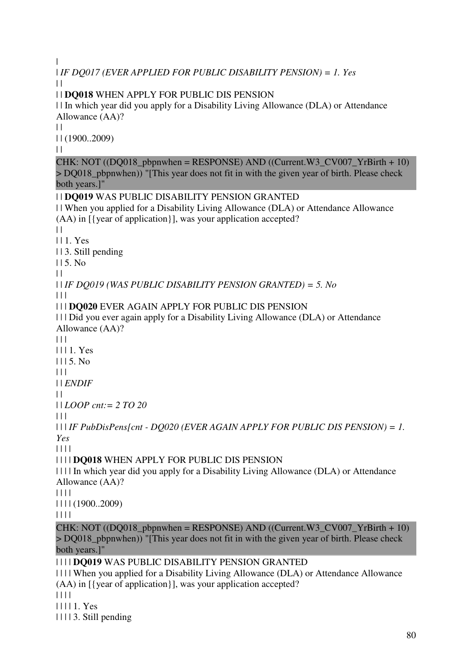```
| 
| IF DQ017 (EVER APPLIED FOR PUBLIC DISABILITY PENSION) = 1. Yes
\|| | DQ018 WHEN APPLY FOR PUBLIC DIS PENSION 
| | In which year did you apply for a Disability Living Allowance (DLA) or Attendance 
Allowance (AA)? 
| || | (1900..2009) 
\|CHK: NOT ((DO018 pbpnwhen = RESPONSE) AND ((Current.W3 CV007 YrBirth + 10)
> DQ018 pbpnwhen)) "[This year does not fit in with the given year of birth. Please check
both years.]" 
| | DQ019 WAS PUBLIC DISABILITY PENSION GRANTED 
| | When you applied for a Disability Living Allowance (DLA) or Attendance Allowance 
(AA) in [{year of application}], was your application accepted? 
\|| | 1. Yes 
| | 3. Still pending 
115. No
\Box| | IF DQ019 (WAS PUBLIC DISABILITY PENSION GRANTED) = 5. No
| 11| | | DQ020 EVER AGAIN APPLY FOR PUBLIC DIS PENSION 
| | | Did you ever again apply for a Disability Living Allowance (DLA) or Attendance 
Allowance (AA)? 
\Box| | | 1. Yes 
1115. No| | | 
| | ENDIF
\Box| | LOOP cnt:= 2 TO 20
|  |  |  || | | IF PubDisPens[cnt - DQ020 (EVER AGAIN APPLY FOR PUBLIC DIS PENSION) = 1. 
Yes
| | | | 
| | | | DQ018 WHEN APPLY FOR PUBLIC DIS PENSION 
| | | | In which year did you apply for a Disability Living Allowance (DLA) or Attendance 
Allowance (AA)? 
| | | | 
| | | | (1900..2009) 
| | | | 
CHK: NOT ((DO018 pbpnwhen = RESPONSE) AND ((Current.W3 CV007 YrBirth + 10)
> DQ018_pbpnwhen)) "[This year does not fit in with the given year of birth. Please check 
both years.]" 
| | | | DQ019 WAS PUBLIC DISABILITY PENSION GRANTED 
| | | | When you applied for a Disability Living Allowance (DLA) or Attendance Allowance 
(AA) in [{year of application}], was your application accepted? 
| | | | 
| | | | 1. Yes 
| | | | 3. Still pending
```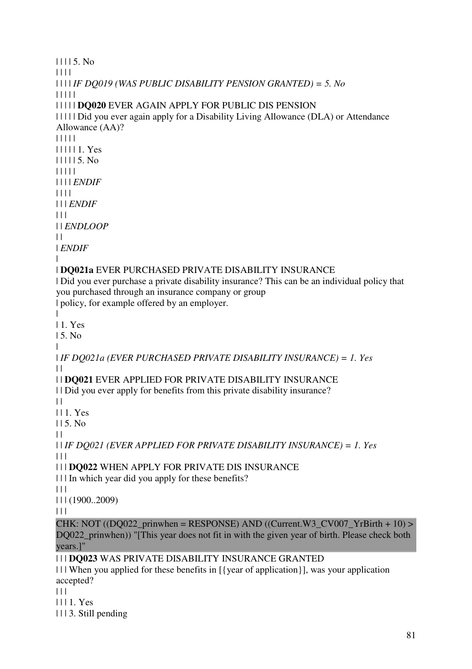| | | | 5. No | | | | | | | | *IF DQ019 (WAS PUBLIC DISABILITY PENSION GRANTED) = 5. No* | | | | | | | | | | **DQ020** EVER AGAIN APPLY FOR PUBLIC DIS PENSION | | | | | Did you ever again apply for a Disability Living Allowance (DLA) or Attendance Allowance (AA)? | | | | | | | | | | 1. Yes | | | | | 5. No | | | | | | | | | *ENDIF* | | | | | | | *ENDIF* | | | | | *ENDLOOP*  $| |$ | *ENDIF* | | **DQ021a** EVER PURCHASED PRIVATE DISABILITY INSURANCE | Did you ever purchase a private disability insurance? This can be an individual policy that you purchased through an insurance company or group | policy, for example offered by an employer. | | 1. Yes | 5. No | | *IF DQ021a (EVER PURCHASED PRIVATE DISABILITY INSURANCE) = 1. Yes*  $\Box$ | | **DQ021** EVER APPLIED FOR PRIVATE DISABILITY INSURANCE | | Did you ever apply for benefits from this private disability insurance?  $| |$ | | 1. Yes  $115$ . No.  $\perp$ | | *IF DQ021 (EVER APPLIED FOR PRIVATE DISABILITY INSURANCE) = 1. Yes*  $\Box$ | | | **DQ022** WHEN APPLY FOR PRIVATE DIS INSURANCE | | | In which year did you apply for these benefits?  $\Box$ | | | (1900..2009)  $| 11$ CHK: NOT ((DO022\_prinwhen = RESPONSE) AND ((Current.W3\_CV007\_YrBirth + 10) > DO022 prinwhen)) "[This year does not fit in with the given year of birth. Please check both years.]" | | | **DQ023** WAS PRIVATE DISABILITY INSURANCE GRANTED | | | When you applied for these benefits in [{year of application}], was your application accepted?

 $| 11$ 

| | | 1. Yes

| | | 3. Still pending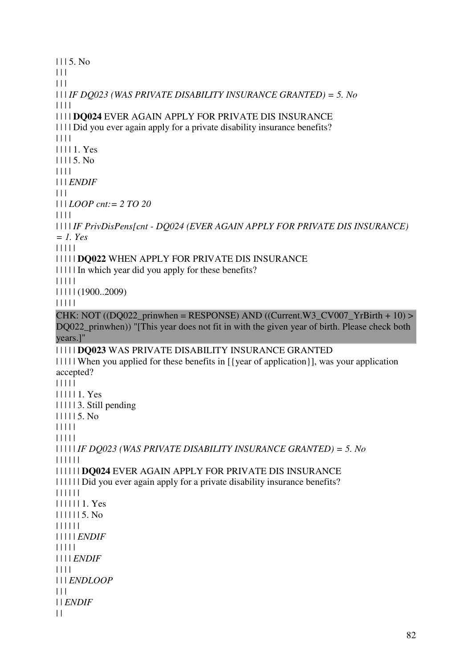| | | 5. No  $| 11$  $| 11$ | | | *IF DQ023 (WAS PRIVATE DISABILITY INSURANCE GRANTED) = 5. No* | | | | | | | | **DQ024** EVER AGAIN APPLY FOR PRIVATE DIS INSURANCE | | | | Did you ever again apply for a private disability insurance benefits? | | | | | | | | 1. Yes | | | | 5. No | | | | | | | *ENDIF*  $\Box$ | | | *LOOP cnt:= 2 TO 20* | | | | | | | | *IF PrivDisPens[cnt - DQ024 (EVER AGAIN APPLY FOR PRIVATE DIS INSURANCE) = 1. Yes* | | | | | | | | | | **DQ022** WHEN APPLY FOR PRIVATE DIS INSURANCE | | | | | In which year did you apply for these benefits? | | | | | | | | | | (1900..2009) | | | | | CHK: NOT  $((DQ022\_prinwhen = RESPONSE)$  AND  $((Current.W3\_CVO07\_YrBirth + 10)$  > DQ022\_prinwhen)) "[This year does not fit in with the given year of birth. Please check both years.]" | | | | | **DQ023** WAS PRIVATE DISABILITY INSURANCE GRANTED | | | | | When you applied for these benefits in [{year of application}], was your application accepted? | | | | | | | | | | 1. Yes | | | | | 3. Still pending | | | | | 5. No | | | | | | | | | | | | | | | *IF DQ023 (WAS PRIVATE DISABILITY INSURANCE GRANTED) = 5. No* | | | | | | | | | | | | **DQ024** EVER AGAIN APPLY FOR PRIVATE DIS INSURANCE | | | | | | Did you ever again apply for a private disability insurance benefits? | | | | | | | | | | | | 1. Yes | | | | | | 5. No | | | | | | | | | | | *ENDIF* | | | | | | | | | *ENDIF* | | | | | | | *ENDLOOP*  $| 11$ | | *ENDIF*  $| |$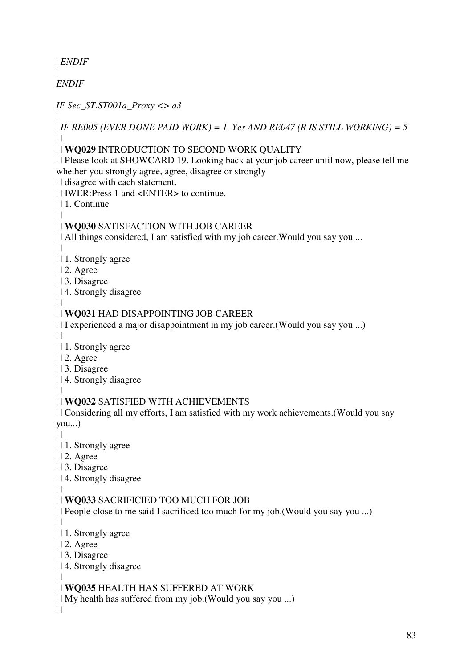| *ENDIF* | *ENDIF*

*IF Sec\_ST.ST001a\_Proxy <> a3*

| | *IF RE005 (EVER DONE PAID WORK) = 1. Yes AND RE047 (R IS STILL WORKING) = 5*  $\perp$ 

### | | **WQ029** INTRODUCTION TO SECOND WORK QUALITY

| | Please look at SHOWCARD 19. Looking back at your job career until now, please tell me whether you strongly agree, agree, disagree or strongly

| | disagree with each statement.

| | IWER:Press 1 and <ENTER> to continue.

| | 1. Continue

 $| |$ 

## | | **WQ030** SATISFACTION WITH JOB CAREER

| | All things considered, I am satisfied with my job career. Would you say you ...

 $\|$ 

- | | 1. Strongly agree
- | | 2. Agree
- | | 3. Disagree
- | | 4. Strongly disagree

#### $\|$

## | | **WQ031** HAD DISAPPOINTING JOB CAREER

| | I experienced a major disappointment in my job career.(Would you say you ...)

 $\perp$ 

| | 1. Strongly agree

| | 2. Agree

- | | 3. Disagree
- | | 4. Strongly disagree

 $\perp$ 

## | | **WQ032** SATISFIED WITH ACHIEVEMENTS

| | Considering all my efforts, I am satisfied with my work achievements.(Would you say you...)

 $\|$ 

- | | 1. Strongly agree
- | | 2. Agree

| | 3. Disagree

| | 4. Strongly disagree

 $\|$ 

## | | **WQ033** SACRIFICIED TOO MUCH FOR JOB

| | People close to me said I sacrificed too much for my job.(Would you say you ...)

 $\|$ 

- | | 1. Strongly agree
- | | 2. Agree
- | | 3. Disagree
- | | 4. Strongly disagree

 $| |$ 

## | | **WQ035** HEALTH HAS SUFFERED AT WORK

| | My health has suffered from my job.(Would you say you ...)

 $| |$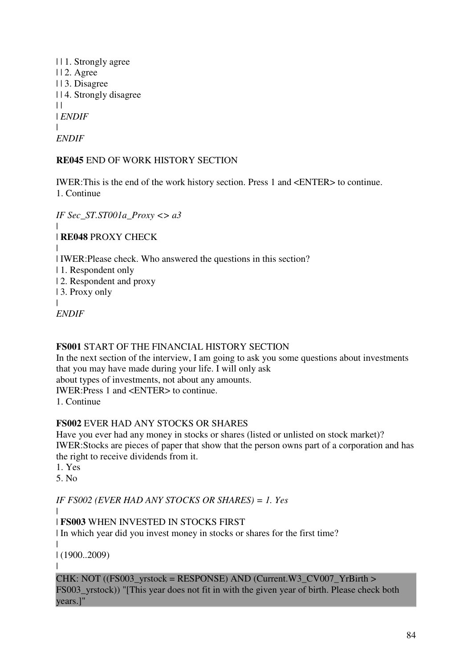| | 1. Strongly agree | | 2. Agree | | 3. Disagree | | 4. Strongly disagree  $| |$ | *ENDIF*  $\blacksquare$ *ENDIF*

**RE045** END OF WORK HISTORY SECTION

IWER:This is the end of the work history section. Press 1 and <ENTER> to continue. 1. Continue

*IF Sec\_ST.ST001a\_Proxy <> a3* | | **RE048** PROXY CHECK | | IWER:Please check. Who answered the questions in this section? | 1. Respondent only | 2. Respondent and proxy | 3. Proxy only | *ENDIF*

# **FS001** START OF THE FINANCIAL HISTORY SECTION

In the next section of the interview, I am going to ask you some questions about investments that you may have made during your life. I will only ask about types of investments, not about any amounts. IWER:Press 1 and <ENTER> to continue. 1. Continue

## **FS002** EVER HAD ANY STOCKS OR SHARES

Have you ever had any money in stocks or shares (listed or unlisted on stock market)? IWER:Stocks are pieces of paper that show that the person owns part of a corporation and has the right to receive dividends from it.

1. Yes

5. No

*IF FS002 (EVER HAD ANY STOCKS OR SHARES) = 1. Yes*

|

| **FS003** WHEN INVESTED IN STOCKS FIRST

| In which year did you invest money in stocks or shares for the first time?

| | (1900..2009)

|

CHK: NOT ((FS003\_yrstock = RESPONSE) AND (Current.W3\_CV007\_YrBirth > FS003\_yrstock)) "[This year does not fit in with the given year of birth. Please check both years.]"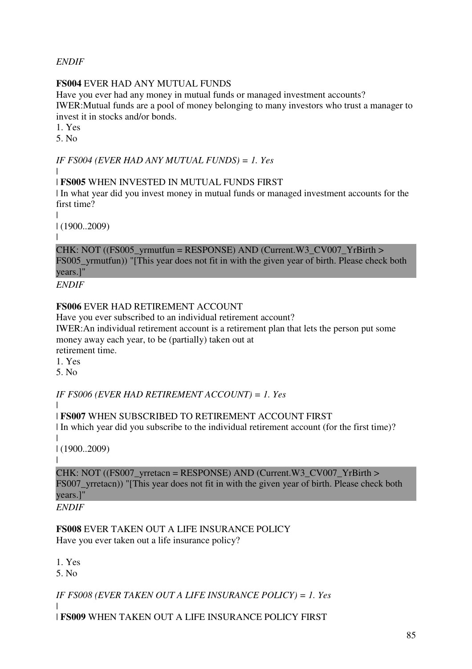*ENDIF*

## **FS004** EVER HAD ANY MUTUAL FUNDS

Have you ever had any money in mutual funds or managed investment accounts? IWER:Mutual funds are a pool of money belonging to many investors who trust a manager to invest it in stocks and/or bonds.

1. Yes

5. No

*IF FS004 (EVER HAD ANY MUTUAL FUNDS) = 1. Yes*

|

# | **FS005** WHEN INVESTED IN MUTUAL FUNDS FIRST

| In what year did you invest money in mutual funds or managed investment accounts for the first time?

|

| (1900..2009)

|

CHK: NOT ( $(FS005\text{ yrmutfun} = RESPONSE)$  AND (Current.W3 CV007 YrBirth > FS005\_yrmutfun)) "[This year does not fit in with the given year of birth. Please check both years.]"

*ENDIF*

# **FS006** EVER HAD RETIREMENT ACCOUNT

Have you ever subscribed to an individual retirement account?

IWER:An individual retirement account is a retirement plan that lets the person put some money away each year, to be (partially) taken out at retirement time.

1. Yes

5. No

*IF FS006 (EVER HAD RETIREMENT ACCOUNT) = 1. Yes*

|

| **FS007** WHEN SUBSCRIBED TO RETIREMENT ACCOUNT FIRST

| In which year did you subscribe to the individual retirement account (for the first time)?  $\blacksquare$ 

| (1900..2009)

|

CHK: NOT ((FS007\_yrretacn = RESPONSE) AND (Current.W3\_CV007\_YrBirth > FS007 vrretacn)) "[This year does not fit in with the given year of birth. Please check both years.]"

*ENDIF*

**FS008** EVER TAKEN OUT A LIFE INSURANCE POLICY Have you ever taken out a life insurance policy?

1. Yes

5.  $N<sub>0</sub>$ 

*IF FS008 (EVER TAKEN OUT A LIFE INSURANCE POLICY) = 1. Yes*

| | **FS009** WHEN TAKEN OUT A LIFE INSURANCE POLICY FIRST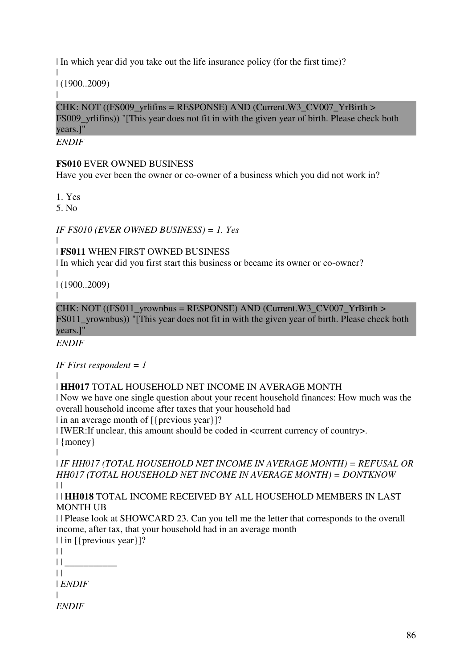| In which year did you take out the life insurance policy (for the first time)?

| | (1900..2009)

| CHK: NOT ((FS009\_vrlifins = RESPONSE) AND (Current.W3\_CV007\_YrBirth > FS009 yrlifins)) "[This year does not fit in with the given year of birth. Please check both years.]"

*ENDIF*

### **FS010** EVER OWNED BUSINESS

Have you ever been the owner or co-owner of a business which you did not work in?

1. Yes

5. No

*IF FS010 (EVER OWNED BUSINESS) = 1. Yes*

| | **FS011** WHEN FIRST OWNED BUSINESS

| In which year did you first start this business or became its owner or co-owner?

| | (1900..2009)

 $\blacksquare$ 

 $CHK: NOT (FSO11_Yrownbus = RESPONSE) AND (Current.W3_CVO07_YrBirth >$ FS011 vrownbus)) "[This year does not fit in with the given year of birth. Please check both years.]"

*ENDIF*

*IF First respondent = 1*

 $\blacksquare$ 

## | **HH017** TOTAL HOUSEHOLD NET INCOME IN AVERAGE MONTH

| Now we have one single question about your recent household finances: How much was the overall household income after taxes that your household had

| in an average month of  $[$ {previous year}]?

| IWER:If unclear, this amount should be coded in <current currency of country>.

| {money}

|

| *IF HH017 (TOTAL HOUSEHOLD NET INCOME IN AVERAGE MONTH) = REFUSAL OR HH017 (TOTAL HOUSEHOLD NET INCOME IN AVERAGE MONTH) = DONTKNOW*  $\|$ 

| | **HH018** TOTAL INCOME RECEIVED BY ALL HOUSEHOLD MEMBERS IN LAST MONTH UB

| | Please look at SHOWCARD 23. Can you tell me the letter that corresponds to the overall income, after tax, that your household had in an average month

| | in [{previous year}]?  $\|$  $||$  $\|$ | *ENDIF* | *ENDIF*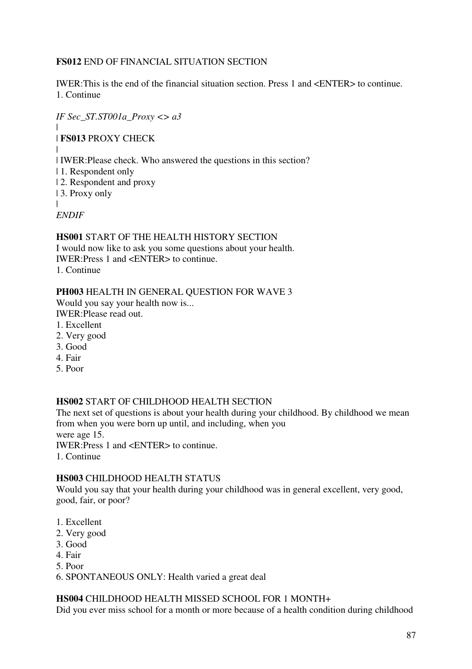### **FS012** END OF FINANCIAL SITUATION SECTION

IWER:This is the end of the financial situation section. Press 1 and <ENTER> to continue. 1. Continue

*IF Sec\_ST.ST001a\_Proxy <> a3*

# |

## | **FS013** PROXY CHECK

| | IWER:Please check. Who answered the questions in this section?

- | 1. Respondent only
- | 2. Respondent and proxy
- | 3. Proxy only

| *ENDIF*

### **HS001** START OF THE HEALTH HISTORY SECTION

I would now like to ask you some questions about your health. IWER:Press 1 and <ENTER> to continue. 1. Continue

## **PH003** HEALTH IN GENERAL QUESTION FOR WAVE 3

Would you say your health now is... IWER:Please read out.

- 1. Excellent
- 
- 2. Very good
- 3. Good
- 4. Fair
- 5. Poor

### **HS002** START OF CHILDHOOD HEALTH SECTION

The next set of questions is about your health during your childhood. By childhood we mean from when you were born up until, and including, when you were age 15.

IWER:Press 1 and <ENTER> to continue.

1. Continue

### **HS003** CHILDHOOD HEALTH STATUS

Would you say that your health during your childhood was in general excellent, very good, good, fair, or poor?

- 1. Excellent
- 2. Very good
- 3. Good
- 4. Fair
- 5. Poor
- 6. SPONTANEOUS ONLY: Health varied a great deal

### **HS004** CHILDHOOD HEALTH MISSED SCHOOL FOR 1 MONTH+

Did you ever miss school for a month or more because of a health condition during childhood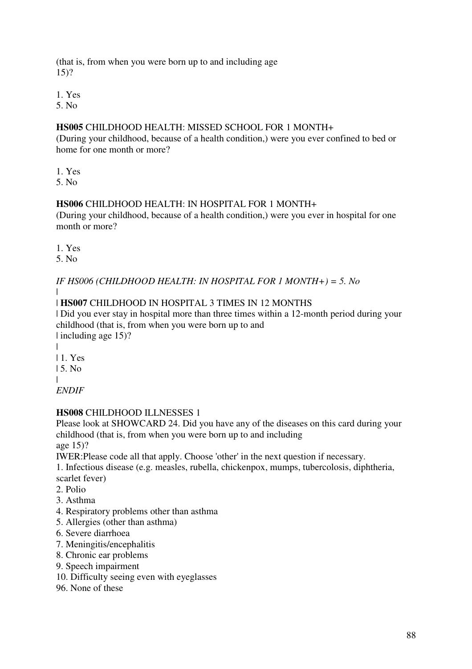(that is, from when you were born up to and including age 15)?

1. Yes

5. No

### **HS005** CHILDHOOD HEALTH: MISSED SCHOOL FOR 1 MONTH+

(During your childhood, because of a health condition,) were you ever confined to bed or home for one month or more?

1. Yes

5. No

### **HS006** CHILDHOOD HEALTH: IN HOSPITAL FOR 1 MONTH+

(During your childhood, because of a health condition,) were you ever in hospital for one month or more?

1. Yes

5. No

*IF HS006 (CHILDHOOD HEALTH: IN HOSPITAL FOR 1 MONTH+) = 5. No*

#### | | **HS007** CHILDHOOD IN HOSPITAL 3 TIMES IN 12 MONTHS

| Did you ever stay in hospital more than three times within a 12-month period during your childhood (that is, from when you were born up to and | including age 15)?

| | 1. Yes | 5. No |

*ENDIF*

## **HS008** CHILDHOOD ILLNESSES 1

Please look at SHOWCARD 24. Did you have any of the diseases on this card during your childhood (that is, from when you were born up to and including age 15)?

IWER:Please code all that apply. Choose 'other' in the next question if necessary.

1. Infectious disease (e.g. measles, rubella, chickenpox, mumps, tubercolosis, diphtheria, scarlet fever)

- 2. Polio
- 3. Asthma
- 4. Respiratory problems other than asthma
- 5. Allergies (other than asthma)
- 6. Severe diarrhoea
- 7. Meningitis/encephalitis
- 8. Chronic ear problems
- 9. Speech impairment
- 10. Difficulty seeing even with eyeglasses
- 96. None of these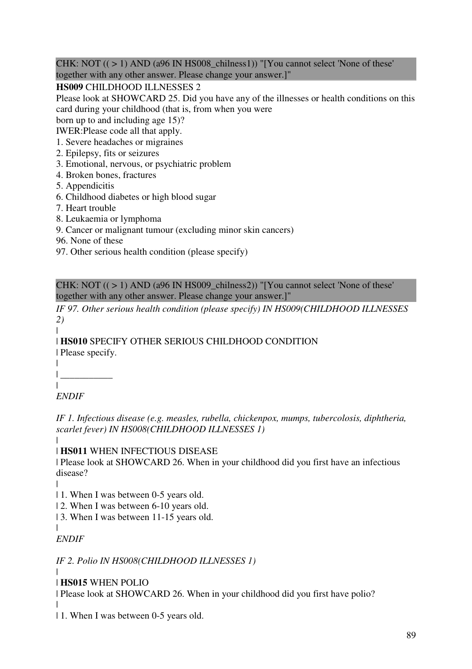CHK: NOT  $((>1)$  AND (a96 IN HS008\_chilness1)) "[You cannot select 'None of these' together with any other answer. Please change your answer.]"

## **HS009** CHILDHOOD ILLNESSES 2

Please look at SHOWCARD 25. Did you have any of the illnesses or health conditions on this card during your childhood (that is, from when you were

born up to and including age 15)?

IWER:Please code all that apply.

- 1. Severe headaches or migraines
- 2. Epilepsy, fits or seizures
- 3. Emotional, nervous, or psychiatric problem
- 4. Broken bones, fractures
- 5. Appendicitis
- 6. Childhood diabetes or high blood sugar
- 7. Heart trouble
- 8. Leukaemia or lymphoma
- 9. Cancer or malignant tumour (excluding minor skin cancers)
- 96. None of these
- 97. Other serious health condition (please specify)

CHK: NOT  $((>1)$  AND (a96 IN HS009\_chilness2)) "[You cannot select 'None of these' together with any other answer. Please change your answer.]"

*IF 97. Other serious health condition (please specify) IN HS009(CHILDHOOD ILLNESSES 2)*

| **HS010** SPECIFY OTHER SERIOUS CHILDHOOD CONDITION | Please specify.

| | \_\_\_\_\_\_\_\_\_\_\_ |

# *ENDIF*

|

*IF 1. Infectious disease (e.g. measles, rubella, chickenpox, mumps, tubercolosis, diphtheria, scarlet fever) IN HS008(CHILDHOOD ILLNESSES 1)*

| | **HS011** WHEN INFECTIOUS DISEASE

| Please look at SHOWCARD 26. When in your childhood did you first have an infectious disease?

- | | 1. When I was between 0-5 years old.
- | 2. When I was between 6-10 years old.
- | 3. When I was between 11-15 years old.

*ENDIF*

 $\blacksquare$ 

 $\blacksquare$ 

*IF 2. Polio IN HS008(CHILDHOOD ILLNESSES 1)*

| **HS015** WHEN POLIO

| Please look at SHOWCARD 26. When in your childhood did you first have polio?

| | 1. When I was between 0-5 years old.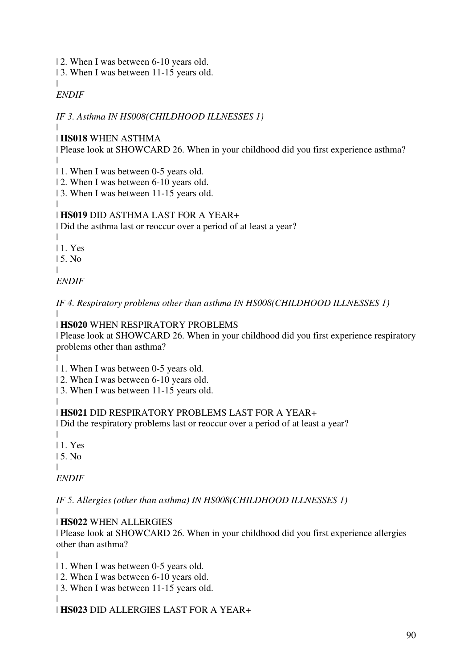- | 2. When I was between 6-10 years old.
- | 3. When I was between 11-15 years old.

#### | *ENDIF*

*IF 3. Asthma IN HS008(CHILDHOOD ILLNESSES 1)*

#### | | **HS018** WHEN ASTHMA

| Please look at SHOWCARD 26. When in your childhood did you first experience asthma? |

| 1. When I was between 0-5 years old.

| 2. When I was between 6-10 years old.

| 3. When I was between 11-15 years old.

#### | | **HS019** DID ASTHMA LAST FOR A YEAR+

| Did the asthma last or reoccur over a period of at least a year?

| | 1. Yes

| 5. No

|

*ENDIF*

*IF 4. Respiratory problems other than asthma IN HS008(CHILDHOOD ILLNESSES 1)* |

# | **HS020** WHEN RESPIRATORY PROBLEMS

| Please look at SHOWCARD 26. When in your childhood did you first experience respiratory problems other than asthma?

| | 1. When I was between 0-5 years old.

| 2. When I was between 6-10 years old.

| 3. When I was between 11-15 years old.

#### | | **HS021** DID RESPIRATORY PROBLEMS LAST FOR A YEAR+

| Did the respiratory problems last or reoccur over a period of at least a year?

| | 1. Yes

| 5. No

|

*ENDIF*

*IF 5. Allergies (other than asthma) IN HS008(CHILDHOOD ILLNESSES 1)*

#### | | **HS022** WHEN ALLERGIES

| Please look at SHOWCARD 26. When in your childhood did you first experience allergies other than asthma?

| | 1. When I was between 0-5 years old.

| 2. When I was between 6-10 years old.

| 3. When I was between 11-15 years old.

| | **HS023** DID ALLERGIES LAST FOR A YEAR+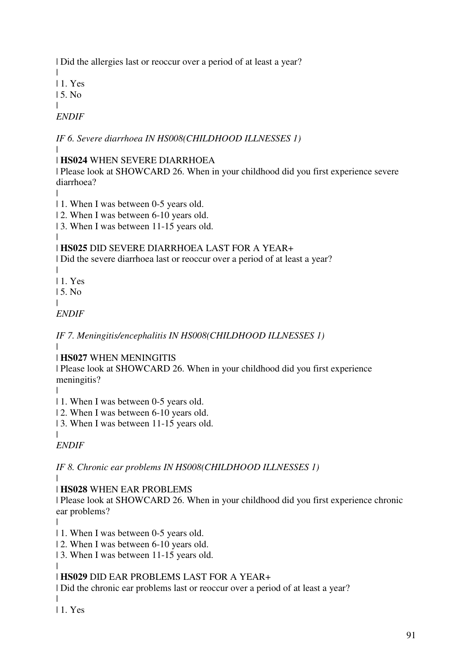| Did the allergies last or reoccur over a period of at least a year?

| | 1. Yes

| 5. No

|

*ENDIF*

*IF 6. Severe diarrhoea IN HS008(CHILDHOOD ILLNESSES 1)*

#### | | **HS024** WHEN SEVERE DIARRHOEA

| Please look at SHOWCARD 26. When in your childhood did you first experience severe diarrhoea?

|

- | 1. When I was between 0-5 years old.
- | 2. When I was between 6-10 years old.

| 3. When I was between 11-15 years old.

#### | | **HS025** DID SEVERE DIARRHOEA LAST FOR A YEAR+

| Did the severe diarrhoea last or reoccur over a period of at least a year?

|

| 1. Yes | 5. No

|

*ENDIF*

*IF 7. Meningitis/encephalitis IN HS008(CHILDHOOD ILLNESSES 1)*

| | **HS027** WHEN MENINGITIS

| Please look at SHOWCARD 26. When in your childhood did you first experience meningitis?

|

| 1. When I was between 0-5 years old.

| 2. When I was between 6-10 years old.

| 3. When I was between 11-15 years old.

| *ENDIF*

*IF 8. Chronic ear problems IN HS008(CHILDHOOD ILLNESSES 1)*

|

| **HS028** WHEN EAR PROBLEMS

| Please look at SHOWCARD 26. When in your childhood did you first experience chronic ear problems?

|

| 1. When I was between 0-5 years old.

| 2. When I was between 6-10 years old.

| 3. When I was between 11-15 years old.

#### | | **HS029** DID EAR PROBLEMS LAST FOR A YEAR+

| Did the chronic ear problems last or reoccur over a period of at least a year?

| 1. Yes

 $\blacksquare$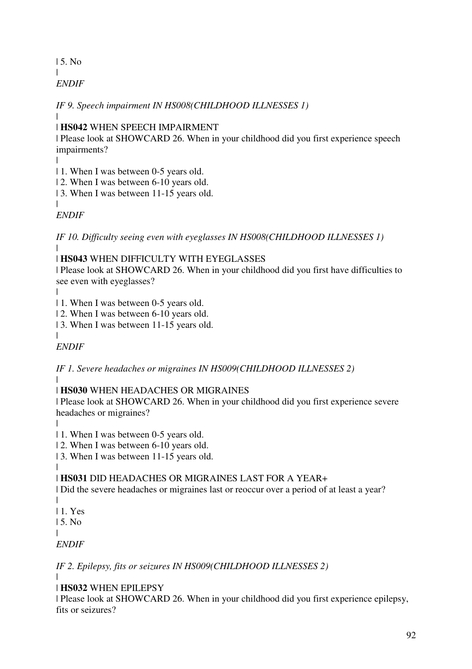| 5. No | *ENDIF*

*IF 9. Speech impairment IN HS008(CHILDHOOD ILLNESSES 1)*

| | **HS042** WHEN SPEECH IMPAIRMENT

| Please look at SHOWCARD 26. When in your childhood did you first experience speech impairments?

|

| 1. When I was between 0-5 years old.

| 2. When I was between 6-10 years old.

| 3. When I was between 11-15 years old.

| *ENDIF*

*IF 10. Difficulty seeing even with eyeglasses IN HS008(CHILDHOOD ILLNESSES 1)*

| | **HS043** WHEN DIFFICULTY WITH EYEGLASSES

| Please look at SHOWCARD 26. When in your childhood did you first have difficulties to see even with eyeglasses?

|

 $\blacksquare$ 

| 1. When I was between 0-5 years old.

| 2. When I was between 6-10 years old.

| 3. When I was between 11-15 years old.

*ENDIF*

*IF 1. Severe headaches or migraines IN HS009(CHILDHOOD ILLNESSES 2)* |

# | **HS030** WHEN HEADACHES OR MIGRAINES

| Please look at SHOWCARD 26. When in your childhood did you first experience severe headaches or migraines?

|

| 1. When I was between 0-5 years old.

| 2. When I was between 6-10 years old.

| 3. When I was between 11-15 years old.

| | **HS031** DID HEADACHES OR MIGRAINES LAST FOR A YEAR+

| Did the severe headaches or migraines last or reoccur over a period of at least a year?

| 1. Yes

| 5. No

|

|

*ENDIF*

*IF 2. Epilepsy, fits or seizures IN HS009(CHILDHOOD ILLNESSES 2)*

|

| **HS032** WHEN EPILEPSY

| Please look at SHOWCARD 26. When in your childhood did you first experience epilepsy, fits or seizures?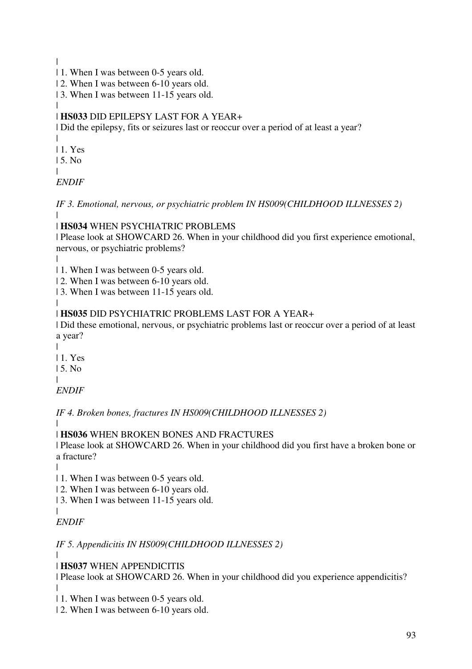|

- | 1. When I was between 0-5 years old.
- | 2. When I was between 6-10 years old.
- | 3. When I was between 11-15 years old.
- | | **HS033** DID EPILEPSY LAST FOR A YEAR+

| Did the epilepsy, fits or seizures last or reoccur over a period of at least a year?

| | 1. Yes

| 5. No

|

*ENDIF*

*IF 3. Emotional, nervous, or psychiatric problem IN HS009(CHILDHOOD ILLNESSES 2)* |

# | **HS034** WHEN PSYCHIATRIC PROBLEMS

| Please look at SHOWCARD 26. When in your childhood did you first experience emotional, nervous, or psychiatric problems?

|

| 1. When I was between 0-5 years old.

| 2. When I was between 6-10 years old.

| 3. When I was between 11-15 years old.

#### | | **HS035** DID PSYCHIATRIC PROBLEMS LAST FOR A YEAR+

| Did these emotional, nervous, or psychiatric problems last or reoccur over a period of at least a year?

| | 1. Yes

| 5. No

|

*ENDIF*

*IF 4. Broken bones, fractures IN HS009(CHILDHOOD ILLNESSES 2)*

|

| **HS036** WHEN BROKEN BONES AND FRACTURES

| Please look at SHOWCARD 26. When in your childhood did you first have a broken bone or a fracture?

|

|

| 1. When I was between 0-5 years old.

| 2. When I was between 6-10 years old.

| 3. When I was between 11-15 years old.

*ENDIF*

*IF 5. Appendicitis IN HS009(CHILDHOOD ILLNESSES 2)*

| | **HS037** WHEN APPENDICITIS

| Please look at SHOWCARD 26. When in your childhood did you experience appendicitis? |

| 1. When I was between 0-5 years old.

| 2. When I was between 6-10 years old.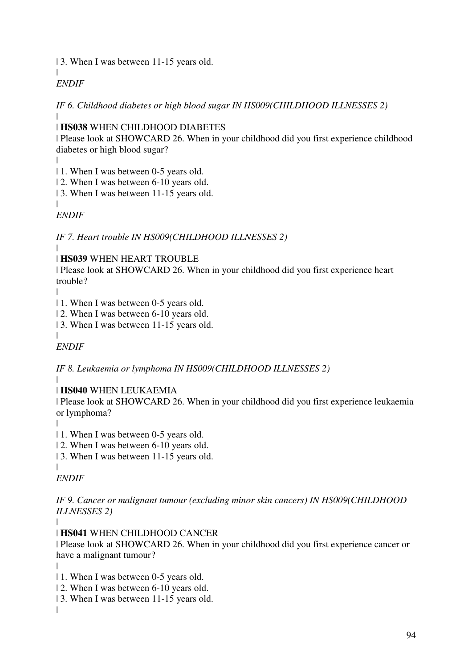| 3. When I was between 11-15 years old.

# *ENDIF*

|

*IF 6. Childhood diabetes or high blood sugar IN HS009(CHILDHOOD ILLNESSES 2)* |

## | **HS038** WHEN CHILDHOOD DIABETES

| Please look at SHOWCARD 26. When in your childhood did you first experience childhood diabetes or high blood sugar?

|

| 1. When I was between 0-5 years old.

| 2. When I was between 6-10 years old.

| 3. When I was between 11-15 years old.

| *ENDIF*

*IF 7. Heart trouble IN HS009(CHILDHOOD ILLNESSES 2)*

#### | | **HS039** WHEN HEART TROUBLE

| Please look at SHOWCARD 26. When in your childhood did you first experience heart trouble?

|

 $\blacksquare$ 

| 1. When I was between 0-5 years old.

| 2. When I was between 6-10 years old.

| 3. When I was between 11-15 years old.

*ENDIF*

*IF 8. Leukaemia or lymphoma IN HS009(CHILDHOOD ILLNESSES 2)*

# |

## | **HS040** WHEN LEUKAEMIA

| Please look at SHOWCARD 26. When in your childhood did you first experience leukaemia or lymphoma?

|

- | 1. When I was between 0-5 years old.
- | 2. When I was between 6-10 years old.
- | 3. When I was between 11-15 years old.
- |

*ENDIF*

*IF 9. Cancer or malignant tumour (excluding minor skin cancers) IN HS009(CHILDHOOD ILLNESSES 2)*

|

| **HS041** WHEN CHILDHOOD CANCER

| Please look at SHOWCARD 26. When in your childhood did you first experience cancer or have a malignant tumour?

|

|

- | 1. When I was between 0-5 years old.
- | 2. When I was between 6-10 years old.
- | 3. When I was between 11-15 years old.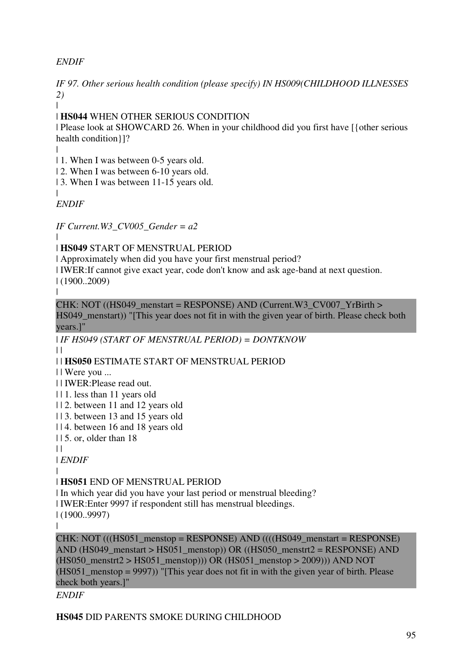# *ENDIF*

*IF 97. Other serious health condition (please specify) IN HS009(CHILDHOOD ILLNESSES 2)*

|

| **HS044** WHEN OTHER SERIOUS CONDITION

| Please look at SHOWCARD 26. When in your childhood did you first have [{other serious health condition}]?

|

|

| 1. When I was between 0-5 years old.

| 2. When I was between 6-10 years old.

| 3. When I was between 11-15 years old.

*ENDIF*

*IF Current.W3\_CV005\_Gender = a2*

|

| **HS049** START OF MENSTRUAL PERIOD

| Approximately when did you have your first menstrual period?

| IWER:If cannot give exact year, code don't know and ask age-band at next question. | (1900..2009)

|

CHK: NOT ((HS049\_menstart = RESPONSE) AND (Current.W3\_CV007\_YrBirth > HS049\_menstart)) "[This year does not fit in with the given year of birth. Please check both years.]"

| *IF HS049 (START OF MENSTRUAL PERIOD) = DONTKNOW*  $\perp$ 

| | **HS050** ESTIMATE START OF MENSTRUAL PERIOD

| | Were you ...

| | IWER:Please read out.

| | 1. less than 11 years old

| | 2. between 11 and 12 years old

| | 3. between 13 and 15 years old

| | 4. between 16 and 18 years old

| | 5. or, older than 18

 $| |$ 

| *ENDIF*

| | **HS051** END OF MENSTRUAL PERIOD

| In which year did you have your last period or menstrual bleeding? | IWER:Enter 9997 if respondent still has menstrual bleedings. | (1900..9997)

|

 $CHK: NOT (((HS051_menstop = RESPONSE) AND (((HS049_menstart = RESPONSE)$ AND (HS049\_menstart > HS051\_menstop)) OR ((HS050\_menstrt2 = RESPONSE) AND  $(HS050\text{ menstrt2} > HS051\text{ menstop}))$  OR  $(HS051\text{ menstop} > 2009))$ ) AND NOT  $(HS051$  menstop = 9997)) "[This year does not fit in with the given year of birth. Please check both years.]"

*ENDIF*

**HS045** DID PARENTS SMOKE DURING CHILDHOOD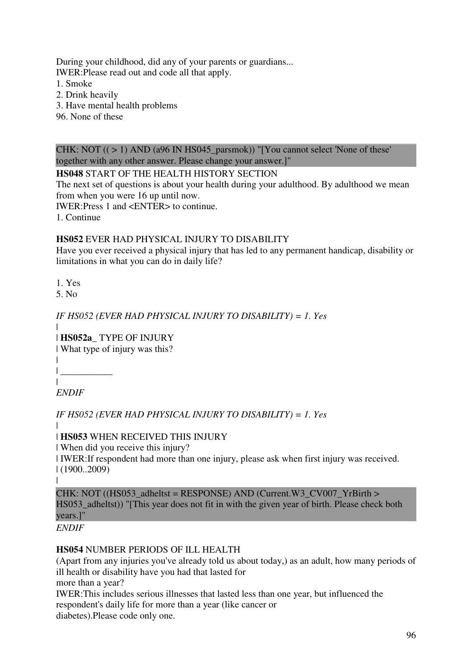During your childhood, did any of your parents or guardians... IWER:Please read out and code all that apply.

- 1. Smoke
- 2. Drink heavily
- 3. Have mental health problems
- 96. None of these

CHK: NOT  $((>1)$  AND (a96 IN HS045\_parsmok)) "[You cannot select 'None of these' together with any other answer. Please change your answer.]"

### **HS048** START OF THE HEALTH HISTORY SECTION

The next set of questions is about your health during your adulthood. By adulthood we mean from when you were 16 up until now.

IWER:Press 1 and <ENTER> to continue.

1. Continue

### **HS052** EVER HAD PHYSICAL INJURY TO DISABILITY

Have you ever received a physical injury that has led to any permanent handicap, disability or limitations in what you can do in daily life?

- 1. Yes
- 5. No

### *IF HS052 (EVER HAD PHYSICAL INJURY TO DISABILITY) = 1. Yes*

| | **HS052a\_** TYPE OF INJURY

| What type of injury was this?

| | \_\_\_\_\_\_\_\_\_\_\_

| *ENDIF*

*IF HS052 (EVER HAD PHYSICAL INJURY TO DISABILITY) = 1. Yes*

| | **HS053** WHEN RECEIVED THIS INJURY

| When did you receive this injury?

| IWER:If respondent had more than one injury, please ask when first injury was received. | (1900..2009)

|

CHK: NOT ( $(HS053$  adheltst = RESPONSE) AND (Current.W3 CV007 YrBirth > HS053 adheltst)) "[This year does not fit in with the given year of birth. Please check both years.]"

*ENDIF*

## **HS054** NUMBER PERIODS OF ILL HEALTH

(Apart from any injuries you've already told us about today,) as an adult, how many periods of ill health or disability have you had that lasted for

more than a year?

IWER:This includes serious illnesses that lasted less than one year, but influenced the respondent's daily life for more than a year (like cancer or diabetes).Please code only one.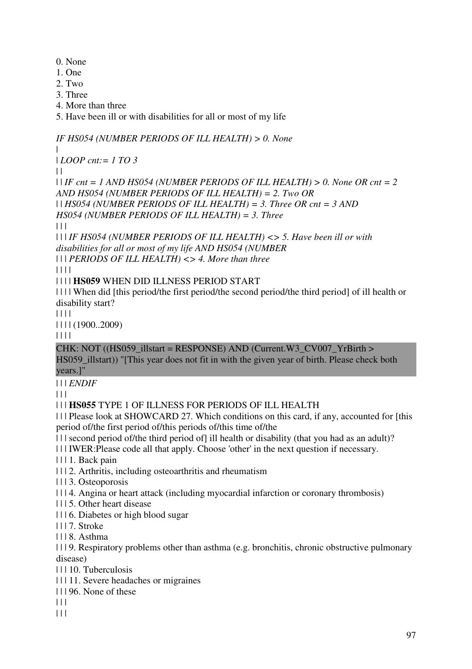- 0. None
- 1. One
- 2. Two
- 3. Three
- 4. More than three
- 5. Have been ill or with disabilities for all or most of my life

*IF HS054 (NUMBER PERIODS OF ILL HEALTH) > 0. None*

|

| *LOOP cnt:= 1 TO 3*

 $\perp$ 

 $| \text{I} |$  *IF cnt* = 1 AND HS054 (NUMBER PERIODS OF ILL HEALTH) > 0. None OR cnt = 2 *AND HS054 (NUMBER PERIODS OF ILL HEALTH) = 2. Two OR*  | | *HS054 (NUMBER PERIODS OF ILL HEALTH) = 3. Three OR cnt = 3 AND HS054 (NUMBER PERIODS OF ILL HEALTH) = 3. Three*

 $| 11$ 

| | | *IF HS054 (NUMBER PERIODS OF ILL HEALTH) <> 5. Have been ill or with disabilities for all or most of my life AND HS054 (NUMBER*  | | | *PERIODS OF ILL HEALTH) <> 4. More than three*

| | | |

| | | | **HS059** WHEN DID ILLNESS PERIOD START

| | | | When did [this period/the first period/the second period/the third period] of ill health or disability start?

| | | |

| | | | (1900..2009)

| | | |

CHK: NOT ((HS059\_illstart = RESPONSE) AND (Current.W3\_CV007\_YrBirth >

HS059\_illstart)) "[This year does not fit in with the given year of birth. Please check both years.]"

| | | *ENDIF*

 $\Box$ 

# | | | **HS055** TYPE 1 OF ILLNESS FOR PERIODS OF ILL HEALTH

| | | Please look at SHOWCARD 27. Which conditions on this card, if any, accounted for [this period of/the first period of/this periods of/this time of/the

| | | second period of/the third period of] ill health or disability (that you had as an adult)?

| | | IWER:Please code all that apply. Choose 'other' in the next question if necessary.

| | | 1. Back pain

| | | 2. Arthritis, including osteoarthritis and rheumatism

| | | 3. Osteoporosis

| | | 4. Angina or heart attack (including myocardial infarction or coronary thrombosis)

- | | | 5. Other heart disease
- | | | 6. Diabetes or high blood sugar
- | | | 7. Stroke
- $| 118$ . Asthma

| | | 9. Respiratory problems other than asthma (e.g. bronchitis, chronic obstructive pulmonary disease)

- | | | 10. Tuberculosis
- | | | 11. Severe headaches or migraines
- | | | 96. None of these
- $|| ||$
- $\Box$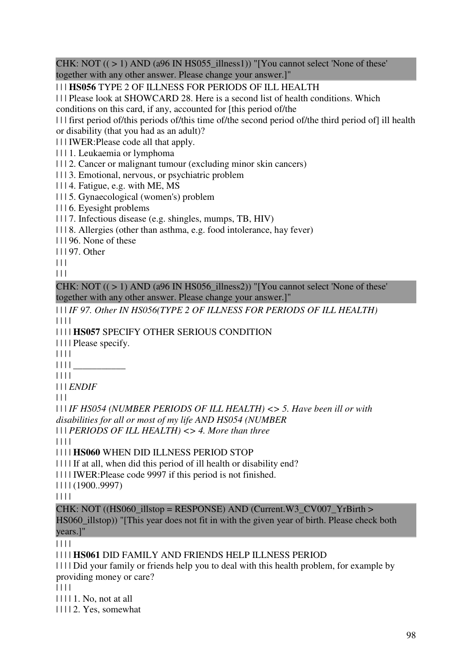CHK: NOT  $((>1)$  AND (a96 IN HS055\_illness1)) "[You cannot select 'None of these' together with any other answer. Please change your answer.]"

| | | **HS056** TYPE 2 OF ILLNESS FOR PERIODS OF ILL HEALTH

| | | Please look at SHOWCARD 28. Here is a second list of health conditions. Which

conditions on this card, if any, accounted for [this period of/the

| | | first period of/this periods of/this time of/the second period of/the third period of] ill health or disability (that you had as an adult)?

| | | IWER:Please code all that apply.

| | | 1. Leukaemia or lymphoma

| | | 2. Cancer or malignant tumour (excluding minor skin cancers)

| | | 3. Emotional, nervous, or psychiatric problem

| | | 4. Fatigue, e.g. with ME, MS

| | | 5. Gynaecological (women's) problem

| | | 6. Eyesight problems

| | | 7. Infectious disease (e.g. shingles, mumps, TB, HIV)

| | | 8. Allergies (other than asthma, e.g. food intolerance, hay fever)

| | | 96. None of these

| | | 97. Other

 $| 11 |$ 

 $\begin{array}{c|c} \hline \end{array}$ 

CHK: NOT  $((\geq 1)$  AND (a96 IN HS056 illness2)) "[You cannot select 'None of these' together with any other answer. Please change your answer.]"

| | | *IF 97. Other IN HS056(TYPE 2 OF ILLNESS FOR PERIODS OF ILL HEALTH)* | | | |

| | | | **HS057** SPECIFY OTHER SERIOUS CONDITION

| | | | Please specify.

| | | |

| | | | \_\_\_\_\_\_\_\_\_\_\_

| | | |

| | | *ENDIF*

 $| 11$ 

| | | *IF HS054 (NUMBER PERIODS OF ILL HEALTH) <> 5. Have been ill or with disabilities for all or most of my life AND HS054 (NUMBER* 

| | | *PERIODS OF ILL HEALTH) <> 4. More than three*

| | | |

| | | | **HS060** WHEN DID ILLNESS PERIOD STOP

| | | | If at all, when did this period of ill health or disability end?

| | | | IWER:Please code 9997 if this period is not finished.

| | | | (1900..9997)

| | | |

CHK: NOT ((HS060\_illstop = RESPONSE) AND (Current.W3\_CV007\_YrBirth > HS060\_illstop)) "[This year does not fit in with the given year of birth. Please check both years.]"

 $|| || ||$ 

| | | | **HS061** DID FAMILY AND FRIENDS HELP ILLNESS PERIOD

| | | | Did your family or friends help you to deal with this health problem, for example by providing money or care?

| | | |

| | | | 1. No, not at all

| | | | 2. Yes, somewhat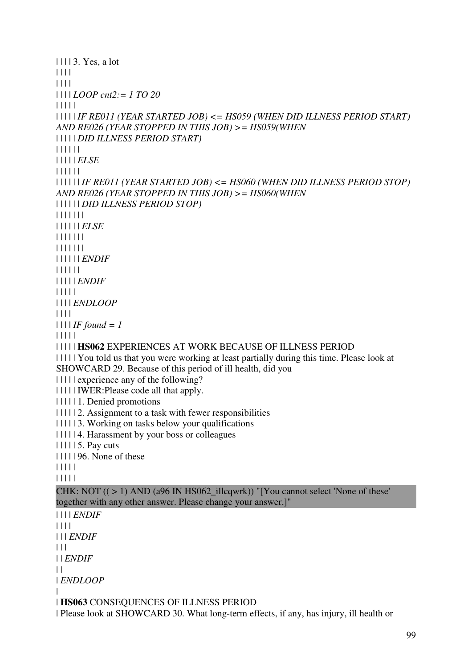| | | | 3. Yes, a lot | | | | | | | | | | | | *LOOP cnt2:= 1 TO 20* | | | | | | | | | | *IF RE011 (YEAR STARTED JOB) <= HS059 (WHEN DID ILLNESS PERIOD START) AND RE026 (YEAR STOPPED IN THIS JOB) >= HS059(WHEN*  | | | | | *DID ILLNESS PERIOD START)* | | | | | | | | | | | *ELSE* | | | | | | | | | | | | *IF RE011 (YEAR STARTED JOB) <= HS060 (WHEN DID ILLNESS PERIOD STOP) AND RE026 (YEAR STOPPED IN THIS JOB) >= HS060(WHEN*  | | | | | | *DID ILLNESS PERIOD STOP)* | | | | | | | | | | | | | *ELSE* | | | | | | | | | | | | | | | | | | | | *ENDIF* | | | | | | | | | | | *ENDIF* | | | | | | | | | *ENDLOOP*  $|| || ||$  $| 111IF found = 1$ | | | | | | | | | | **HS062** EXPERIENCES AT WORK BECAUSE OF ILLNESS PERIOD | | | | | You told us that you were working at least partially during this time. Please look at SHOWCARD 29. Because of this period of ill health, did you | | | | | experience any of the following? | | | | | IWER:Please code all that apply. | | | | | 1. Denied promotions | | | | | 2. Assignment to a task with fewer responsibilities | | | | | 3. Working on tasks below your qualifications | | | | | 4. Harassment by your boss or colleagues | | | | | 5. Pay cuts | | | | | 96. None of these | | | | | | | | | | CHK: NOT  $((>1)$  AND (a96 IN HS062 illcqwrk)) "[You cannot select 'None of these' together with any other answer. Please change your answer.]" | | | | *ENDIF* | | | | | | | *ENDIF*  $| 11 |$ | | *ENDIF*  $| |$ | *ENDLOOP* | | **HS063** CONSEQUENCES OF ILLNESS PERIOD | Please look at SHOWCARD 30. What long-term effects, if any, has injury, ill health or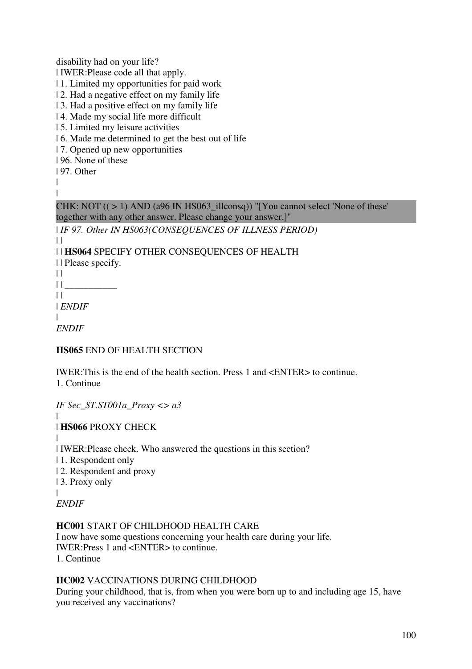disability had on your life?

| IWER:Please code all that apply.

- | 1. Limited my opportunities for paid work
- | 2. Had a negative effect on my family life
- | 3. Had a positive effect on my family life
- | 4. Made my social life more difficult
- | 5. Limited my leisure activities
- | 6. Made me determined to get the best out of life
- | 7. Opened up new opportunities
- | 96. None of these
- | 97. Other

|  $\blacksquare$ 

CHK: NOT  $((>1)$  AND (a96 IN HS063\_illconsq)) "[You cannot select 'None of these' together with any other answer. Please change your answer.]"

| *IF 97. Other IN HS063(CONSEQUENCES OF ILLNESS PERIOD)*

| | **HS064** SPECIFY OTHER CONSEQUENCES OF HEALTH

- | | Please specify.
- $\|$

 $| |$ 

- $|| \cdot ||$
- $\|$

| *ENDIF*

| *ENDIF*

## **HS065** END OF HEALTH SECTION

IWER:This is the end of the health section. Press 1 and <ENTER> to continue. 1. Continue

*IF Sec\_ST.ST001a\_Proxy <> a3*

| **HS066** PROXY CHECK

|

|

| IWER:Please check. Who answered the questions in this section?

| 1. Respondent only

- | 2. Respondent and proxy
- | 3. Proxy only

|

*ENDIF*

## **HC001** START OF CHILDHOOD HEALTH CARE

I now have some questions concerning your health care during your life. IWER:Press 1 and <ENTER> to continue. 1. Continue

## **HC002** VACCINATIONS DURING CHILDHOOD

During your childhood, that is, from when you were born up to and including age 15, have you received any vaccinations?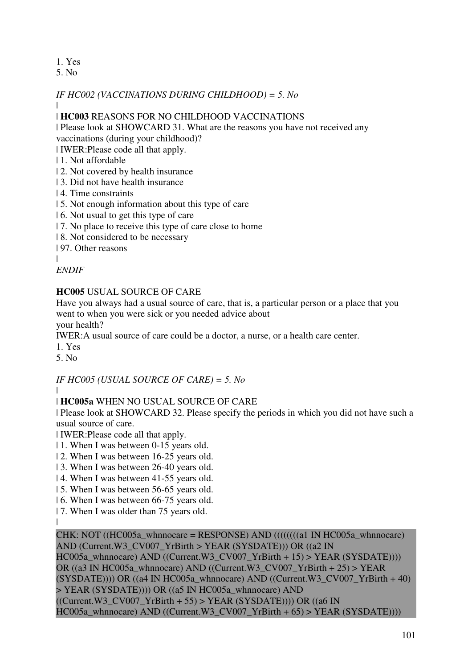## 1. Yes

5. No

### *IF HC002 (VACCINATIONS DURING CHILDHOOD) = 5. No*

|

### | **HC003** REASONS FOR NO CHILDHOOD VACCINATIONS

| Please look at SHOWCARD 31. What are the reasons you have not received any vaccinations (during your childhood)?

| IWER:Please code all that apply.

### | 1. Not affordable

- | 2. Not covered by health insurance
- | 3. Did not have health insurance
- | 4. Time constraints
- | 5. Not enough information about this type of care
- | 6. Not usual to get this type of care
- | 7. No place to receive this type of care close to home
- | 8. Not considered to be necessary
- | 97. Other reasons

|

### *ENDIF*

### **HC005** USUAL SOURCE OF CARE

Have you always had a usual source of care, that is, a particular person or a place that you went to when you were sick or you needed advice about

your health?

IWER:A usual source of care could be a doctor, a nurse, or a health care center.

1. Yes

5. No

## *IF HC005 (USUAL SOURCE OF CARE) = 5. No*

|

## | **HC005a** WHEN NO USUAL SOURCE OF CARE

| Please look at SHOWCARD 32. Please specify the periods in which you did not have such a usual source of care.

| IWER:Please code all that apply.

- | 1. When I was between 0-15 years old.
- | 2. When I was between 16-25 years old.
- | 3. When I was between 26-40 years old.
- | 4. When I was between 41-55 years old.
- | 5. When I was between 56-65 years old.
- | 6. When I was between 66-75 years old.
- | 7. When I was older than 75 years old.

|

CHK: NOT ((HC005a\_whnnocare = RESPONSE) AND (((((((a) IN HC005a\_whnnocare)) AND (Current.W3\_CV007\_YrBirth > YEAR (SYSDATE))) OR ((a2 IN HC005a\_whnnocare) AND ((Current.W3\_CV007\_YrBirth + 15) > YEAR (SYSDATE)))) OR ((a3 IN HC005a\_whnnocare) AND ((Current.W3\_CV007\_YrBirth + 25) > YEAR  $(SYSDATA(E)))) OR ((a4 IN HC005a Whnnocare) AND ((Current.W3 CV007 YrBirth + 40)$ > YEAR (SYSDATE)))) OR ((a5 IN HC005a\_whnnocare) AND  $((Current.W3CV007YrBirth + 55) > YEAR (SYSDATE))) OR ((a6 IN)$ HC005a\_whnnocare) AND ((Current.W3\_CV007\_YrBirth + 65) > YEAR (SYSDATE))))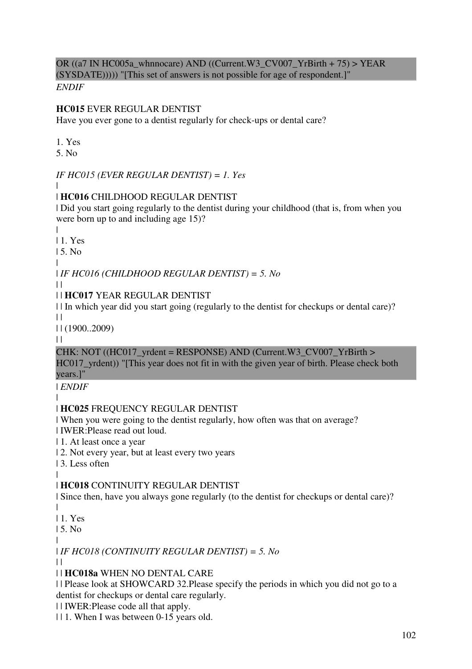OR ((a7 IN HC005a\_whnnocare) AND ((Current.W3\_CV007\_YrBirth + 75) > YEAR (SYSDATE))))) "[This set of answers is not possible for age of respondent.]"

*ENDIF*

### **HC015** EVER REGULAR DENTIST

Have you ever gone to a dentist regularly for check-ups or dental care?

1. Yes

5. No

*IF HC015 (EVER REGULAR DENTIST) = 1. Yes*

#### | | **HC016** CHILDHOOD REGULAR DENTIST

| Did you start going regularly to the dentist during your childhood (that is, from when you were born up to and including age 15)?

|

| 1. Yes

| 5. No

| | *IF HC016 (CHILDHOOD REGULAR DENTIST) = 5. No*

 $\perp$ 

## | | **HC017** YEAR REGULAR DENTIST

| | In which year did you start going (regularly to the dentist for checkups or dental care)?

 $\|$ 

| | (1900..2009)

 $\|$ 

CHK: NOT ((HC017\_vrdent = RESPONSE) AND (Current.W3\_CV007\_YrBirth >

HC017 yrdent)) "[This year does not fit in with the given year of birth. Please check both years.]"

| *ENDIF*

#### | | **HC025** FREQUENCY REGULAR DENTIST

| When you were going to the dentist regularly, how often was that on average?

| IWER:Please read out loud.

| 1. At least once a year

| 2. Not every year, but at least every two years

| 3. Less often

#### | | **HC018** CONTINUITY REGULAR DENTIST

| Since then, have you always gone regularly (to the dentist for checkups or dental care)? |

| 1. Yes

| 5. No

| | *IF HC018 (CONTINUITY REGULAR DENTIST) = 5. No*

| |

# | | **HC018a** WHEN NO DENTAL CARE

| | Please look at SHOWCARD 32.Please specify the periods in which you did not go to a dentist for checkups or dental care regularly.

| | IWER:Please code all that apply.

| | 1. When I was between 0-15 years old.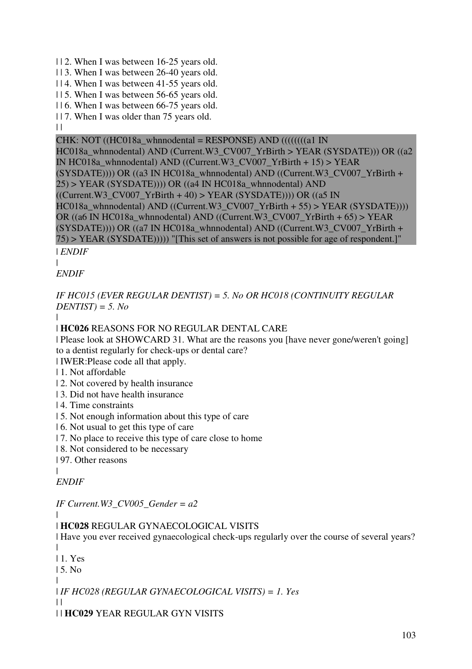| | 2. When I was between 16-25 years old.

| | 3. When I was between 26-40 years old.

| | 4. When I was between 41-55 years old.

| | 5. When I was between 56-65 years old.

| | 6. When I was between 66-75 years old.

| | 7. When I was older than 75 years old.

 $\|$ 

CHK: NOT ((HC018a\_whnnodental = RESPONSE) AND ((((((((a1 IN)) HC018a\_whnnodental) AND (Current.W3\_CV007\_YrBirth > YEAR (SYSDATE))) OR ((a2 IN HC018a\_whnnodental) AND ((Current.W3\_CV007\_YrBirth + 15) > YEAR  $(SYSDATA(E)))) OR ((a3 IN HC018a Whnnodental) AND ((Current.W3 CV007 YrBirth +$  $25$ ) > YEAR (SYSDATE)))) OR ((a4 IN HC018a whnnodental) AND  $((Current.W3_CVO07_YrBirth + 40) > YEAR (SYSDATE)))) OR ((a5 IN$ HC018a\_whnnodental) AND ((Current.W3\_CV007\_YrBirth + 55) > YEAR (SYSDATE)))) OR ((a6 IN HC018a\_whnnodental) AND ((Current.W3\_CV007\_YrBirth + 65) > YEAR (SYSDATE)))) OR ((a7 IN HC018a\_whnnodental) AND ((Current.W3\_CV007\_YrBirth + 75) > YEAR (SYSDATE))))) "[This set of answers is not possible for age of respondent.]"

| *ENDIF*

| *ENDIF*

*IF HC015 (EVER REGULAR DENTIST) = 5. No OR HC018 (CONTINUITY REGULAR DENTIST) = 5. No*

| | **HC026** REASONS FOR NO REGULAR DENTAL CARE

| Please look at SHOWCARD 31. What are the reasons you [have never gone/weren't going] to a dentist regularly for check-ups or dental care?

| IWER:Please code all that apply.

| 1. Not affordable

| 2. Not covered by health insurance

| 3. Did not have health insurance

| 4. Time constraints

| 5. Not enough information about this type of care

| 6. Not usual to get this type of care

| 7. No place to receive this type of care close to home

| 8. Not considered to be necessary

| 97. Other reasons

| *ENDIF*

*IF Current.W3\_CV005\_Gender = a2*

|

| **HC028** REGULAR GYNAECOLOGICAL VISITS

| Have you ever received gynaecological check-ups regularly over the course of several years? |

| 1. Yes

| 5. No

|

 $| |$ 

| *IF HC028 (REGULAR GYNAECOLOGICAL VISITS) = 1. Yes*

| | **HC029** YEAR REGULAR GYN VISITS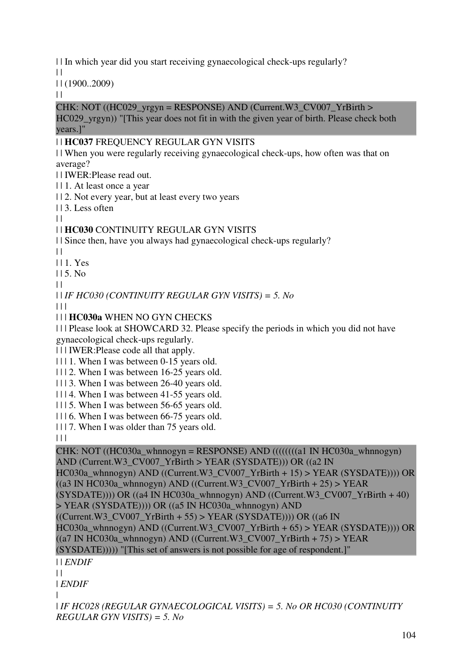| | In which year did you start receiving gynaecological check-ups regularly?

 $\Box$ 

| | (1900..2009)

 $\|$ 

#### CHK: NOT ((HC029\_yrgyn = RESPONSE) AND (Current.W3\_CV007\_YrBirth >

HC029 yrgyn)) "[This year does not fit in with the given year of birth. Please check both years.]"

### | | **HC037** FREQUENCY REGULAR GYN VISITS

| | When you were regularly receiving gynaecological check-ups, how often was that on average?

| | IWER:Please read out.

| | 1. At least once a year

| | 2. Not every year, but at least every two years

 $| \cdot | 3$ . Less often

 $| |$ 

## | | **HC030** CONTINUITY REGULAR GYN VISITS

| | Since then, have you always had gynaecological check-ups regularly?

 $\perp$ 

| | 1. Yes

| | 5. No

 $\perp$ 

| | *IF HC030 (CONTINUITY REGULAR GYN VISITS) = 5. No*

 $\Box$ 

| | | **HC030a** WHEN NO GYN CHECKS

| | | Please look at SHOWCARD 32. Please specify the periods in which you did not have gynaecological check-ups regularly.

| | | IWER:Please code all that apply.

| | | 1. When I was between 0-15 years old.

| | | 2. When I was between 16-25 years old.

| | | 3. When I was between 26-40 years old.

| | | 4. When I was between 41-55 years old.

| | | 5. When I was between 56-65 years old.

| | | 6. When I was between 66-75 years old.

| | | 7. When I was older than 75 years old.

 $\Box$ 

```
CHK: NOT ((HC030a_whnnogyn = RESPONSE) AND (((((a1 IN HCO30a_whnnogyn))
AND (Current.W3_CV007_YrBirth > YEAR (SYSDATE))) OR ((a2 IN 
HC030a_whnnogyn) AND ((Current.W3_CV007_YrBirth + 15) > YEAR (SYSDATE)))) OR 
((a3 \text{ IN HCO}30a \text{ whom}) AND ((Current.W3 \text{ CVO}07 \text{ YrBirth} + 25) > YEAR
(SYSDATA(E)))) OR ((a4 IN HC030a_whnnogyn) AND ((Current.W3_CVO07-YrBirth + 40)> YEAR (SYSDATE)))) OR ((a5 IN HC030a_whnnogyn) AND
((Current.W3_CVO07_YrBirth + 55) > YEAR (SYSDATE))) OR ((a6 INHC030a whnnogyn) AND ((Current.W3 CV007 YrBirth + 65) > YEAR (SYSDATE)))) OR
((a7 IN HC030a_whnnogyn) AND ((Current.W3_CVO07_YrBirth + 75) > YEAR(SYSDATE))))) "[This set of answers is not possible for age of respondent.]" 
| | ENDIF
| |
```
| *ENDIF* |

| *IF HC028 (REGULAR GYNAECOLOGICAL VISITS) = 5. No OR HC030 (CONTINUITY REGULAR GYN VISITS) = 5. No*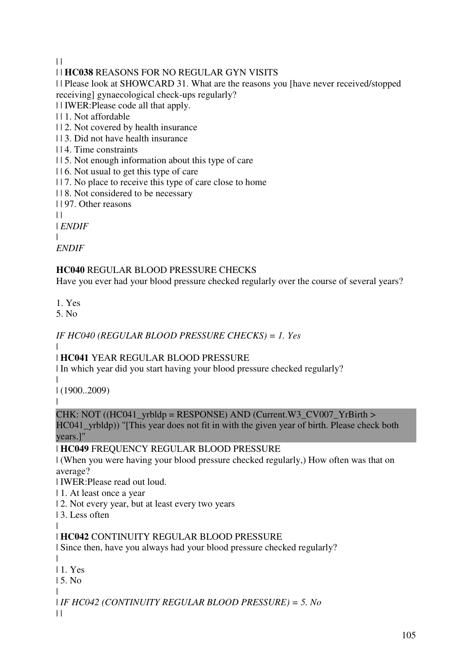$\|$ 

# | | **HC038** REASONS FOR NO REGULAR GYN VISITS

| | Please look at SHOWCARD 31. What are the reasons you [have never received/stopped receiving] gynaecological check-ups regularly?

| | IWER:Please code all that apply.

- | | 1. Not affordable
- | | 2. Not covered by health insurance
- | | 3. Did not have health insurance
- | | 4. Time constraints
- | | 5. Not enough information about this type of care
- | | 6. Not usual to get this type of care
- | | 7. No place to receive this type of care close to home
- | | 8. Not considered to be necessary
- | | 97. Other reasons
- $\perp$

| *ENDIF*

| *ENDIF*

# **HC040** REGULAR BLOOD PRESSURE CHECKS

Have you ever had your blood pressure checked regularly over the course of several years?

1. Yes

5. No

# *IF HC040 (REGULAR BLOOD PRESSURE CHECKS) = 1. Yes*

|

# | **HC041** YEAR REGULAR BLOOD PRESSURE

| In which year did you start having your blood pressure checked regularly?

| | (1900..2009)

|

## CHK: NOT ((HC041\_yrbldp = RESPONSE) AND (Current.W3\_CV007\_YrBirth >

HC041\_yrbldp)) "[This year does not fit in with the given year of birth. Please check both years.]"

| **HC049** FREQUENCY REGULAR BLOOD PRESSURE

| (When you were having your blood pressure checked regularly,) How often was that on average?

| IWER:Please read out loud.

- | 1. At least once a year
- | 2. Not every year, but at least every two years

| 3. Less often

#### | | **HC042** CONTINUITY REGULAR BLOOD PRESSURE

| Since then, have you always had your blood pressure checked regularly?

```
\blacksquare| 1. Yes 
| 5. No 
| 
| IF HC042 (CONTINUITY REGULAR BLOOD PRESSURE) = 5. No
```
 $\|$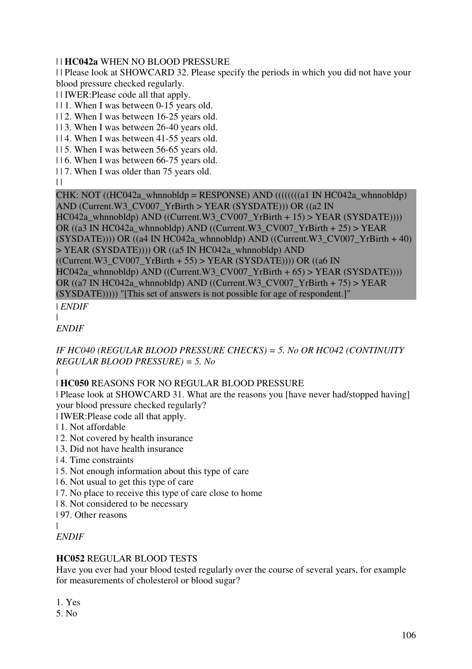## | | **HC042a** WHEN NO BLOOD PRESSURE

| | Please look at SHOWCARD 32. Please specify the periods in which you did not have your blood pressure checked regularly.

| | IWER:Please code all that apply.

| | 1. When I was between 0-15 years old.

| | 2. When I was between 16-25 years old.

- | | 3. When I was between 26-40 years old.
- | | 4. When I was between 41-55 years old.
- | | 5. When I was between 56-65 years old.
- | | 6. When I was between 66-75 years old.
- | | 7. When I was older than 75 years old.

 $||$ 

CHK: NOT  $((HC042a_whnnobldp = RESPONSE)$  AND  $(((((a1 IN HCO42a_whnnobldp)$ ) AND (Current.W3\_CV007\_YrBirth > YEAR (SYSDATE))) OR ((a2 IN HC042a\_whnnobldp) AND ((Current.W3\_CV007\_YrBirth + 15) > YEAR (SYSDATE)))) OR ((a3 IN HC042a\_whnnobldp) AND ((Current.W3\_CV007\_YrBirth + 25) > YEAR  $(SYSDATAE))$ ) OR  $((a4 IN HC042a Whnnobldp) AND ((Current.W3 CV007 YrBirth + 40)$ > YEAR (SYSDATE)))) OR ((a5 IN HC042a\_whnnobldp) AND  $((Current.W3CV007YrBirth + 55) > YEAR (SYSDATE))) OR ((a6 IN)$ HC042a\_whnnobldp) AND ((Current.W3\_CV007\_YrBirth + 65) > YEAR (SYSDATE))))

OR ((a7 IN HC042a whnnobldp) AND ((Current.W3 CV007 YrBirth + 75) > YEAR

(SYSDATE))))) "[This set of answers is not possible for age of respondent.]"

| *ENDIF*

| *ENDIF*

*IF HC040 (REGULAR BLOOD PRESSURE CHECKS) = 5. No OR HC042 (CONTINUITY REGULAR BLOOD PRESSURE) = 5. No* |

# | **HC050** REASONS FOR NO REGULAR BLOOD PRESSURE

| Please look at SHOWCARD 31. What are the reasons you [have never had/stopped having] your blood pressure checked regularly?

- | IWER:Please code all that apply.
- | 1. Not affordable
- | 2. Not covered by health insurance
- | 3. Did not have health insurance
- | 4. Time constraints
- | 5. Not enough information about this type of care
- | 6. Not usual to get this type of care
- | 7. No place to receive this type of care close to home
- | 8. Not considered to be necessary
- | 97. Other reasons
- |

# *ENDIF*

# **HC052** REGULAR BLOOD TESTS

Have you ever had your blood tested regularly over the course of several years, for example for measurements of cholesterol or blood sugar?

1. Yes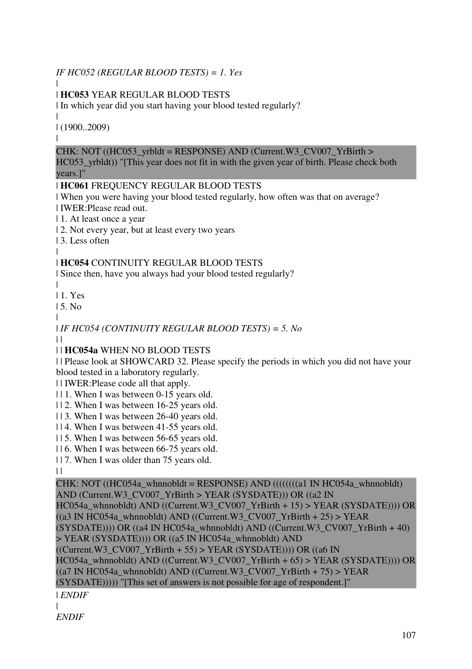# *IF HC052 (REGULAR BLOOD TESTS) = 1. Yes*

#### | | **HC053** YEAR REGULAR BLOOD TESTS

| In which year did you start having your blood tested regularly?

| | (1900..2009)

|

### CHK: NOT ((HC053\_yrbldt = RESPONSE) AND (Current.W3\_CV007\_YrBirth >

HC053 yrbldt)) "[This year does not fit in with the given year of birth. Please check both years.]"

### | **HC061** FREQUENCY REGULAR BLOOD TESTS

| When you were having your blood tested regularly, how often was that on average? | IWER:Please read out.

| 1. At least once a year

| 2. Not every year, but at least every two years

| 3. Less often

#### | | **HC054** CONTINUITY REGULAR BLOOD TESTS

| Since then, have you always had your blood tested regularly?

|

| 1. Yes

| 5. No |

| *IF HC054 (CONTINUITY REGULAR BLOOD TESTS) = 5. No*

 $\|$ 

## | | **HC054a** WHEN NO BLOOD TESTS

| | Please look at SHOWCARD 32. Please specify the periods in which you did not have your blood tested in a laboratory regularly.

| | IWER:Please code all that apply.

| | 1. When I was between 0-15 years old.

| | 2. When I was between 16-25 years old.

- | | 3. When I was between 26-40 years old.
- | | 4. When I was between 41-55 years old.

| | 5. When I was between 56-65 years old.

| | 6. When I was between 66-75 years old.

| | 7. When I was older than 75 years old.

 $\perp$ 

### CHK: NOT ((HC054a\_whnnobldt = RESPONSE) AND ((((((((a) IN HC054a\_whnnobldt)) AND (Current.W3\_CV007\_YrBirth > YEAR (SYSDATE))) OR ((a2 IN HC054a\_whnnobldt) AND ((Current.W3\_CV007\_YrBirth + 15) > YEAR (SYSDATE)))) OR  $((a3 \text{ IN HCO54a}_\text{whnnobldt}) \text{ AND } ((Current.W3_CVO07_YrBirth + 25) > YEAR)$  $(SYSDATA(E)))) OR ((a4 IN HC054a whomobldt) AND ((Current.W3 CV007 YrBirth + 40)$ > YEAR (SYSDATE)))) OR ((a5 IN HC054a\_whnnobldt) AND  $((Current.W3_CVO07_YrBirth + 55) > YEAR (SYSDATE))) OR ((a6 IN$ HC054a\_whnnobldt) AND ((Current.W3\_CV007\_YrBirth + 65) > YEAR (SYSDATE)))) OR  $((a7 IN HCO54a)$  whnnobldt) AND  $((Current.W3_CVO07_TYrBirth + 75) > YEAR$ (SYSDATE))))) "[This set of answers is not possible for age of respondent.]" | *ENDIF*

| *ENDIF*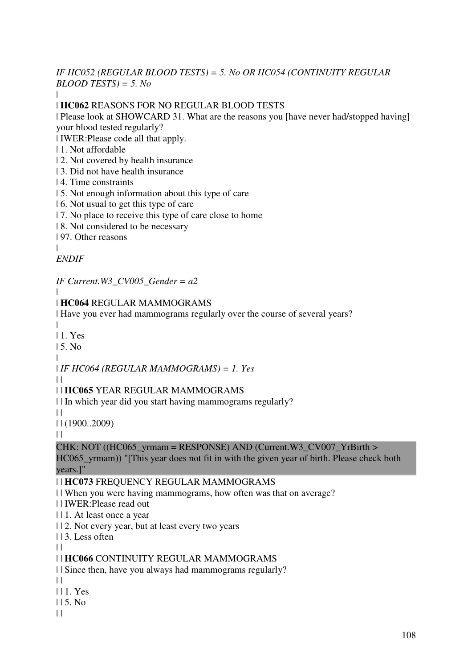#### *IF HC052 (REGULAR BLOOD TESTS) = 5. No OR HC054 (CONTINUITY REGULAR BLOOD TESTS) = 5. No* |

### | **HC062** REASONS FOR NO REGULAR BLOOD TESTS

| Please look at SHOWCARD 31. What are the reasons you [have never had/stopped having] your blood tested regularly?

| IWER:Please code all that apply.

- | 1. Not affordable
- | 2. Not covered by health insurance
- | 3. Did not have health insurance
- | 4. Time constraints
- | 5. Not enough information about this type of care
- | 6. Not usual to get this type of care
- | 7. No place to receive this type of care close to home

| 8. Not considered to be necessary

| 97. Other reasons

|

### *ENDIF*

*IF Current.W3\_CV005\_Gender = a2*

#### | | **HC064** REGULAR MAMMOGRAMS

| Have you ever had mammograms regularly over the course of several years?

|

| 1. Yes

 $15$ . No.

| | *IF HC064 (REGULAR MAMMOGRAMS) = 1. Yes*

 $\perp$ 

### | | **HC065** YEAR REGULAR MAMMOGRAMS

| | In which year did you start having mammograms regularly?

 $\Box$ 

| | (1900..2009)

 $\|$ 

### CHK: NOT ((HC065\_yrmam = RESPONSE) AND (Current.W3\_CV007\_YrBirth >

HC065 vrmam)) "[This year does not fit in with the given year of birth. Please check both years.]"

### | | **HC073** FREQUENCY REGULAR MAMMOGRAMS

| | When you were having mammograms, how often was that on average?

- | | IWER:Please read out
- | | 1. At least once a year
- | | 2. Not every year, but at least every two years
- | | 3. Less often
- $\|$

### | | **HC066** CONTINUITY REGULAR MAMMOGRAMS

| | Since then, have you always had mammograms regularly?

- $\perp$
- | | 1. Yes
- $115.$  No
- $\|$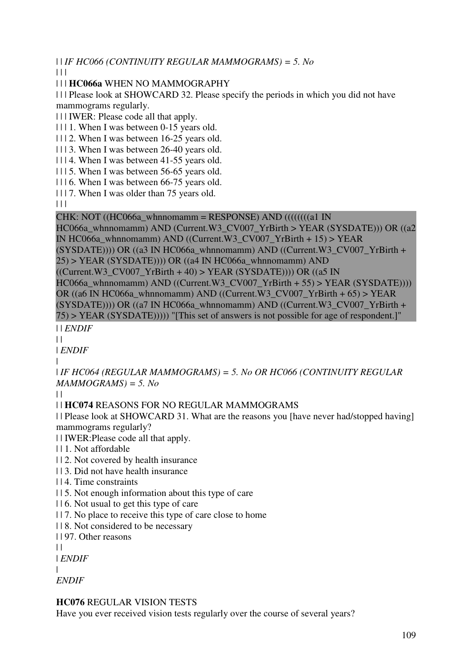| | *IF HC066 (CONTINUITY REGULAR MAMMOGRAMS) = 5. No*

 $\Box$ 

| | | **HC066a** WHEN NO MAMMOGRAPHY

| | | Please look at SHOWCARD 32. Please specify the periods in which you did not have mammograms regularly.

| | | IWER: Please code all that apply.

| | | 1. When I was between 0-15 years old.

| | | 2. When I was between 16-25 years old.

| | | 3. When I was between 26-40 years old.

| | | 4. When I was between 41-55 years old.

| | | 5. When I was between 56-65 years old.

| | | 6. When I was between 66-75 years old.

| | | 7. When I was older than 75 years old.

 $\Box$ 

### CHK: NOT  $((HC066a_whnnomamm = RESPONSE)$  AND  $(((((a1 IN$

HC066a\_whnnomamm) AND (Current.W3\_CV007\_YrBirth > YEAR (SYSDATE))) OR ((a2 IN HC066a whnnomamm) AND ((Current.W3 CV007 YrBirth + 15) > YEAR

 $(SYSDATA(E)))) OR ((a3 IN HC066a Whnnomamm) AND ((Current.W3 CV007 YrBirth +$  $25$ ) > YEAR (SYSDATE)))) OR ((a4 IN HC066a whnnomamm) AND

 $((Current.W3_CVO07_YrBirth + 40) > YEAR (SYSDATE))) OR ((a5 IN$ 

HC066a\_whnnomamm) AND ((Current.W3\_CV007\_YrBirth + 55) > YEAR (SYSDATE))))

OR ((a6 IN HC066a\_whnnomamm) AND ((Current.W3\_CV007\_YrBirth + 65) > YEAR

 $(SYSDATA(E)))) OR ((a7 IN HC066a Whnnomamm) AND ((Current.W3 CV007 YrBirth +$ 

75) > YEAR (SYSDATE))))) "[This set of answers is not possible for age of respondent.]" | | *ENDIF*

 $\|$ 

| *ENDIF*

|

| *IF HC064 (REGULAR MAMMOGRAMS) = 5. No OR HC066 (CONTINUITY REGULAR MAMMOGRAMS) = 5. No*

 $\Box$ 

| | **HC074** REASONS FOR NO REGULAR MAMMOGRAMS

| | Please look at SHOWCARD 31. What are the reasons you [have never had/stopped having] mammograms regularly?

| | IWER:Please code all that apply.

- | | 1. Not affordable
- | | 2. Not covered by health insurance
- | | 3. Did not have health insurance
- | | 4. Time constraints

| | 5. Not enough information about this type of care

- | | 6. Not usual to get this type of care
- | | 7. No place to receive this type of care close to home
- | | 8. Not considered to be necessary

| | 97. Other reasons

 $\|$ 

| *ENDIF*

|

*ENDIF*

## **HC076** REGULAR VISION TESTS

Have you ever received vision tests regularly over the course of several years?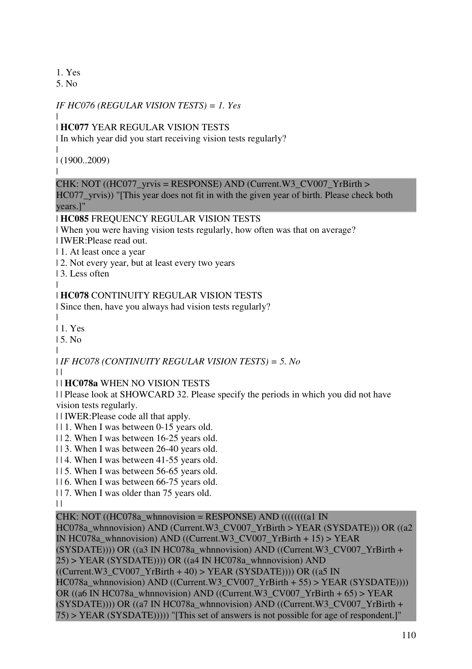1. Yes

5. No

## *IF HC076 (REGULAR VISION TESTS) = 1. Yes*

|

## | **HC077** YEAR REGULAR VISION TESTS

| In which year did you start receiving vision tests regularly?

| | (1900..2009)

|

## CHK: NOT ((HC077 yrvis = RESPONSE) AND (Current.W3 CV007 YrBirth >

HC077\_yrvis)) "[This year does not fit in with the given year of birth. Please check both years.]"

## | **HC085** FREQUENCY REGULAR VISION TESTS

| When you were having vision tests regularly, how often was that on average? | IWER:Please read out.

- | 1. At least once a year
- | 2. Not every year, but at least every two years
- | 3. Less often
- |

## | **HC078** CONTINUITY REGULAR VISION TESTS

| Since then, have you always had vision tests regularly?

| | 1. Yes

| 5. No

|

# | *IF HC078 (CONTINUITY REGULAR VISION TESTS) = 5. No*

 $\perp$ 

## | | **HC078a** WHEN NO VISION TESTS

| | Please look at SHOWCARD 32. Please specify the periods in which you did not have vision tests regularly.

| | IWER:Please code all that apply.

- | | 1. When I was between 0-15 years old.
- | | 2. When I was between 16-25 years old.
- | | 3. When I was between 26-40 years old.
- | | 4. When I was between 41-55 years old.
- | | 5. When I was between 56-65 years old.
- | | 6. When I was between 66-75 years old.
- | | 7. When I was older than 75 years old.

 $\|$ 

## CHK: NOT ((HC078a\_whnnovision = RESPONSE) AND ((((((((a1 IN))

HC078a\_whnnovision) AND (Current.W3\_CV007\_YrBirth > YEAR (SYSDATE))) OR ((a2) IN HC078a\_whnnovision) AND ((Current.W3\_CV007\_YrBirth + 15) > YEAR (SYSDATE)))) OR ((a3 IN HC078a\_whnnovision) AND ((Current.W3\_CV007\_YrBirth +  $25$ ) > YEAR (SYSDATE)))) OR ((a4 IN HC078a whnnovision) AND  $((Current.W3CV007YrBirth + 40) > YEAR (SYSDATE)))$ ) OR  $((a5 IN$ HC078a\_whnnovision) AND ((Current.W3\_CV007\_YrBirth + 55) > YEAR (SYSDATE)))) OR ((a6 IN HC078a\_whnnovision) AND ((Current.W3\_CV007\_YrBirth + 65) > YEAR  $(SYSDATA(E)))) OR ((a7 IN HC078a Whunovision) AND ((Current.W3 CV007 YrBirth +$ 75) > YEAR (SYSDATE))))) "[This set of answers is not possible for age of respondent.]"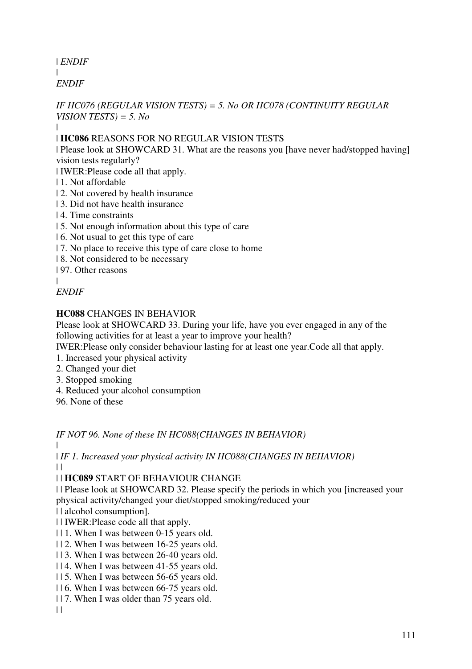| *ENDIF* |

*ENDIF*

## *IF HC076 (REGULAR VISION TESTS) = 5. No OR HC078 (CONTINUITY REGULAR VISION TESTS) = 5. No*

|

## | **HC086** REASONS FOR NO REGULAR VISION TESTS

| Please look at SHOWCARD 31. What are the reasons you [have never had/stopped having] vision tests regularly?

| IWER:Please code all that apply.

- | 1. Not affordable
- | 2. Not covered by health insurance
- | 3. Did not have health insurance
- | 4. Time constraints
- | 5. Not enough information about this type of care
- | 6. Not usual to get this type of care
- | 7. No place to receive this type of care close to home
- | 8. Not considered to be necessary

| 97. Other reasons

|

*ENDIF*

# **HC088** CHANGES IN BEHAVIOR

Please look at SHOWCARD 33. During your life, have you ever engaged in any of the following activities for at least a year to improve your health?

IWER:Please only consider behaviour lasting for at least one year.Code all that apply.

- 1. Increased your physical activity
- 2. Changed your diet
- 3. Stopped smoking
- 4. Reduced your alcohol consumption
- 96. None of these

*IF NOT 96. None of these IN HC088(CHANGES IN BEHAVIOR)*

| | *IF 1. Increased your physical activity IN HC088(CHANGES IN BEHAVIOR)*

 $\|$ 

| | **HC089** START OF BEHAVIOUR CHANGE

| | Please look at SHOWCARD 32. Please specify the periods in which you [increased your physical activity/changed your diet/stopped smoking/reduced your

| | alcohol consumption].

| | IWER:Please code all that apply.

- | | 1. When I was between 0-15 years old.
- | | 2. When I was between 16-25 years old.
- | | 3. When I was between 26-40 years old.
- | | 4. When I was between 41-55 years old.
- | | 5. When I was between 56-65 years old.
- | | 6. When I was between 66-75 years old.
- | | 7. When I was older than 75 years old.

 $| |$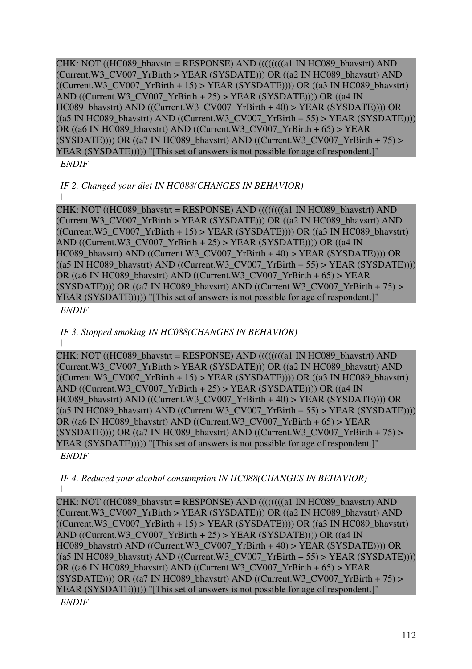CHK: NOT ((HC089\_bhavstrt = RESPONSE) AND ((((((((a1 IN HC089\_bhavstrt) AND (Current.W3\_CV007\_YrBirth > YEAR (SYSDATE))) OR ((a2 IN HC089\_bhavstrt) AND  $((Current.W3CV007YrBirth + 15) > YEAR (SYSDATE))) OR ((a3 IN HC089\:bhavstrt)$ AND ((Current.W3\_CV007\_YrBirth + 25) > YEAR (SYSDATE)))) OR ((a4 IN HC089\_bhavstrt) AND ((Current.W3\_CV007\_YrBirth + 40) > YEAR (SYSDATE)))) OR  $((a5 \text{ IN HCO89\_b}havstr) \text{ AND } ((Current.W3_CVO07_YrBirth + 55) > YEAR (SYSDATE))))$ OR ((a6 IN HC089 bhavstrt) AND ((Current.W3\_CV007\_YrBirth + 65) > YEAR  $(SYSDATE))$ ) OR  $((a7 \text{ IN HC089\_bhavstrt})$  AND  $((Current.W3CV007YrBirth + 75)$  > YEAR (SYSDATE))))) "[This set of answers is not possible for age of respondent.]"

## | *ENDIF*

| | *IF 2. Changed your diet IN HC088(CHANGES IN BEHAVIOR)*

 $\|$ 

CHK: NOT ((HC089\_bhavstrt = RESPONSE) AND (((((((((a1 IN HC089\_bhavstrt) AND) (Current.W3\_CV007\_YrBirth > YEAR (SYSDATE))) OR ((a2 IN HC089\_bhavstrt) AND  $((Current.W3_CVO07_YrBirth + 15) > YEAR (SYSDATE))) OR ((a3 IN HC089_bhavstr)$ AND ((Current.W3\_CV007\_YrBirth + 25) > YEAR (SYSDATE)))) OR ((a4 IN HC089\_bhavstrt) AND ((Current.W3\_CV007\_YrBirth + 40) > YEAR (SYSDATE)))) OR  $((a5 \text{ IN HC089 bhavstr)$  AND  $((Current.W3CV007YrBirth + 55) > YEAR (SYSDATE))))$ OR ((a6 IN HC089\_bhavstrt) AND ((Current.W3\_CV007\_YrBirth + 65) > YEAR  $(SYSDATA(E)))) OR ((a7 IN HC089_bhavstr) AND ((Current.W3_CVO07_YrBirth + 75) >$ YEAR (SYSDATE))))) "[This set of answers is not possible for age of respondent.]"

# | *ENDIF*

| | *IF 3. Stopped smoking IN HC088(CHANGES IN BEHAVIOR)*

 $\vert \vert$ 

CHK: NOT ((HC089\_bhavstrt = RESPONSE) AND ((((((((a1 IN HC089\_bhavstrt) AND (Current.W3\_CV007\_YrBirth > YEAR (SYSDATE))) OR ((a2 IN HC089\_bhavstrt) AND  $((Current.W3_CVO07_YrBirth + 15) > YEAR (SYSDATE))) OR ((a3 IN HC089_bhavstr)$ AND ((Current.W3\_CV007\_YrBirth + 25) > YEAR (SYSDATE)))) OR ((a4 IN HC089\_bhavstrt) AND ((Current.W3\_CV007\_YrBirth + 40) > YEAR (SYSDATE)))) OR  $((a5 \text{ IN HCO89\_b}havstr) \text{ AND } ((Current.W3_CVO07_YrBirth + 55) > YEAR (SYSDATE))))$ OR ((a6 IN HC089\_bhavstrt) AND ((Current.W3\_CV007\_YrBirth + 65) > YEAR  $(SYSDATE))$ ) OR  $((a7 \text{ IN HC089\_bhaust})$  AND  $((Current.W3CV007YrBith + 75) >$ YEAR (SYSDATE))))) "[This set of answers is not possible for age of respondent.]"

#### | *ENDIF* |

| *IF 4. Reduced your alcohol consumption IN HC088(CHANGES IN BEHAVIOR)*  $\Box$ 

CHK: NOT ((HC089\_bhavstrt = RESPONSE) AND ((((((((a1 IN HC089\_bhavstrt) AND (Current.W3\_CV007\_YrBirth > YEAR (SYSDATE))) OR ((a2 IN HC089\_bhavstrt) AND  $((Current.W3_CVO07_YrBirth + 15) > YEAR (SYSDATE))) OR ((a3 IN HC089_bhavstr)$ AND ((Current.W3\_CV007\_YrBirth + 25) > YEAR (SYSDATE)))) OR ((a4 IN HC089\_bhavstrt) AND ((Current.W3\_CV007\_YrBirth + 40) > YEAR (SYSDATE)))) OR  $((a5 \text{ IN HC089 bhavstr})$  AND  $((Current.W3CV007YrBirth + 55)$  > YEAR (SYSDATE)))) OR ((a6 IN HC089\_bhavstrt) AND ((Current.W3\_CV007\_YrBirth + 65) > YEAR  $(SYSDATA(E)))) OR ((a7 IN HC089 bhaust) AND ((Current.W3 CV007 YrBirth + 75) >$ YEAR (SYSDATE))))) "[This set of answers is not possible for age of respondent.]"

| *ENDIF* |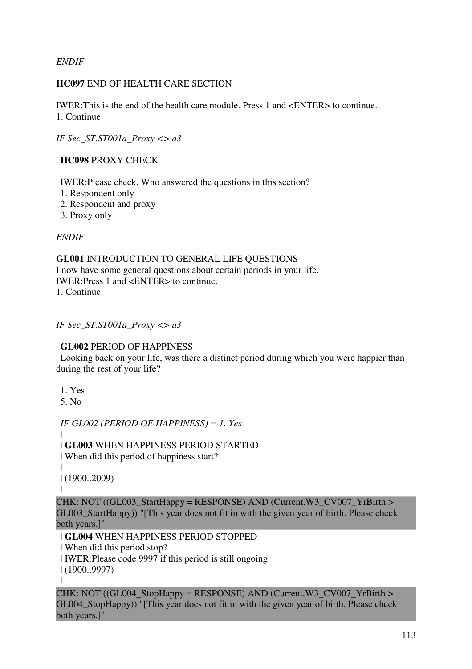*ENDIF*

## **HC097** END OF HEALTH CARE SECTION

IWER:This is the end of the health care module. Press 1 and <ENTER> to continue. 1. Continue

*IF Sec\_ST.ST001a\_Proxy <> a3* | | **HC098** PROXY CHECK | | IWER:Please check. Who answered the questions in this section? | 1. Respondent only | 2. Respondent and proxy | 3. Proxy only | *ENDIF* **GL001** INTRODUCTION TO GENERAL LIFE QUESTIONS I now have some general questions about certain periods in your life. IWER:Press 1 and <ENTER> to continue.

1. Continue

*IF Sec\_ST.ST001a\_Proxy <> a3* | | **GL002** PERIOD OF HAPPINESS | Looking back on your life, was there a distinct period during which you were happier than during the rest of your life? | | 1. Yes | 5. No | | *IF GL002 (PERIOD OF HAPPINESS) = 1. Yes*  $\|$ | | **GL003** WHEN HAPPINESS PERIOD STARTED | | When did this period of happiness start?  $\|$ | | (1900..2009)  $\|$ CHK: NOT  $((GL003 \text{ StartHappy} = RESPONSE)$  AND  $(Current.W3 \text{ CVO07} YrBirth >$ GL003 StartHappy)) "[This year does not fit in with the given year of birth. Please check both years.]" | | **GL004** WHEN HAPPINESS PERIOD STOPPED | | When did this period stop? | | IWER:Please code 9997 if this period is still ongoing | | (1900..9997)  $\|$ CHK: NOT ((GL004 StopHappy = RESPONSE) AND (Current.W3 CV007 YrBirth  $>$ GL004 StopHappy)) "[This year does not fit in with the given year of birth. Please check

both years.]"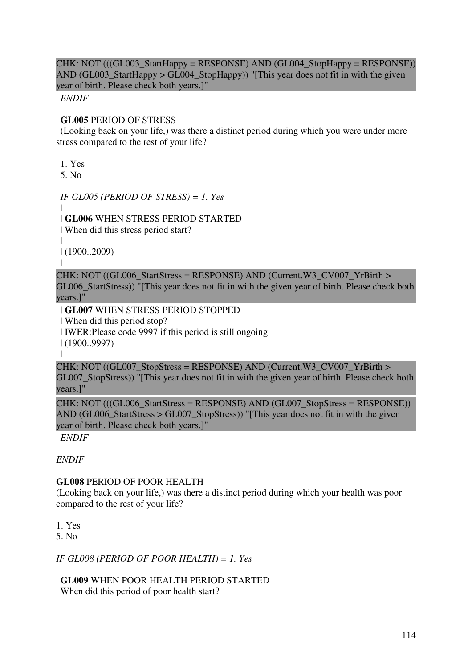CHK: NOT (((GL003\_StartHappy = RESPONSE) AND (GL004\_StopHappy = RESPONSE)) AND (GL003\_StartHappy > GL004\_StopHappy)) "[This year does not fit in with the given year of birth. Please check both years.]"

| *ENDIF*

#### | | **GL005** PERIOD OF STRESS

| (Looking back on your life,) was there a distinct period during which you were under more stress compared to the rest of your life?

- | | 1. Yes
- | 5. No
- |

| *IF GL005 (PERIOD OF STRESS) = 1. Yes*

 $\perp$ 

| | **GL006** WHEN STRESS PERIOD STARTED

| | When did this stress period start?

 $\perp$ 

| | (1900..2009)

 $\|$ 

CHK: NOT ((GL006 StartStress = RESPONSE) AND (Current.W3 CV007 YrBirth > GL006\_StartStress)) "[This year does not fit in with the given year of birth. Please check both years.]"

| | **GL007** WHEN STRESS PERIOD STOPPED

| | When did this period stop?

| | IWER:Please code 9997 if this period is still ongoing

| | (1900..9997)

 $\|$ 

CHK: NOT ((GL007 StopStress = RESPONSE) AND (Current.W3 CV007 YrBirth > GL007\_StopStress)) "[This year does not fit in with the given year of birth. Please check both years.]"

CHK: NOT (((GL006\_StartStress = RESPONSE) AND (GL007\_StopStress = RESPONSE)) AND (GL006 StartStress > GL007 StopStress)) "[This year does not fit in with the given year of birth. Please check both years.]"

| *ENDIF*

|

*ENDIF*

## **GL008** PERIOD OF POOR HEALTH

(Looking back on your life,) was there a distinct period during which your health was poor compared to the rest of your life?

1. Yes

5. No

|

*IF GL008 (PERIOD OF POOR HEALTH) = 1. Yes*

| | **GL009** WHEN POOR HEALTH PERIOD STARTED

| When did this period of poor health start?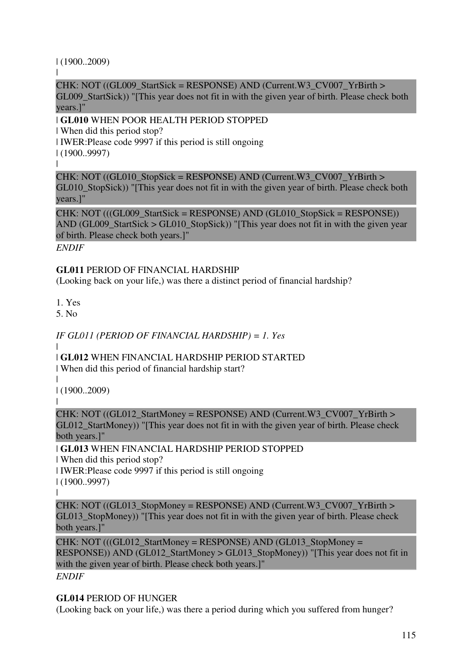## | (1900..2009)

 $\blacksquare$ 

CHK: NOT ((GL009\_StartSick = RESPONSE) AND (Current.W3\_CV007\_YrBirth > GL009\_StartSick)) "[This year does not fit in with the given year of birth. Please check both years.]"

| **GL010** WHEN POOR HEALTH PERIOD STOPPED

| When did this period stop?

| IWER:Please code 9997 if this period is still ongoing

| (1900..9997)

|

CHK: NOT  $((GL010 \text{ StopSick} = RESPONSE)$  AND  $(Current.W3 \text{ CVO07} YrBirth >$ GL010 StopSick)) "[This year does not fit in with the given year of birth. Please check both years.]"

 $CHK: NOT ((GLO09-StartSick = RESPONSE) AND (GLO10-StopSick = RESPONSE))$ AND (GL009 StartSick  $>$  GL010 StopSick)) "[This year does not fit in with the given year of birth. Please check both years.]"

*ENDIF*

**GL011** PERIOD OF FINANCIAL HARDSHIP

(Looking back on your life,) was there a distinct period of financial hardship?

1. Yes

5. No

## *IF GL011 (PERIOD OF FINANCIAL HARDSHIP) = 1. Yes*

| | **GL012** WHEN FINANCIAL HARDSHIP PERIOD STARTED

| When did this period of financial hardship start?

| | (1900..2009)

CHK: NOT ((GL012\_StartMoney = RESPONSE) AND (Current.W3\_CV007\_YrBirth > GL012 StartMoney)) "[This year does not fit in with the given year of birth. Please check both years.]"

## | **GL013** WHEN FINANCIAL HARDSHIP PERIOD STOPPED

| When did this period stop?

| IWER:Please code 9997 if this period is still ongoing

| (1900..9997)

|

|

CHK: NOT ((GL013\_StopMoney = RESPONSE) AND (Current.W3\_CV007\_YrBirth > GL013\_StopMoney)) "[This year does not fit in with the given year of birth. Please check both years.]"

 $CHK: NOT$  (((GL012 StartMoney = RESPONSE) AND (GL013 StopMoney = RESPONSE)) AND (GL012 StartMoney > GL013 StopMoney)) "[This year does not fit in with the given year of birth. Please check both years.]"

*ENDIF*

### **GL014** PERIOD OF HUNGER

(Looking back on your life,) was there a period during which you suffered from hunger?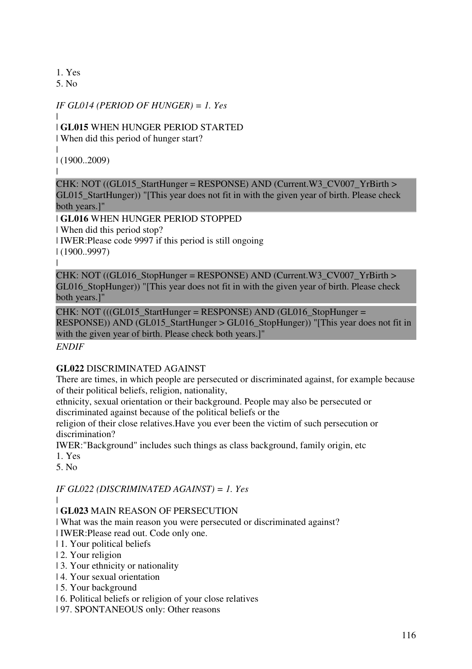1. Yes

5. No

## *IF GL014 (PERIOD OF HUNGER) = 1. Yes*

#### | | **GL015** WHEN HUNGER PERIOD STARTED

| When did this period of hunger start?

| | (1900..2009)

|

# CHK: NOT ((GL015\_StartHunger = RESPONSE) AND (Current.W3\_CV007\_YrBirth >

GL015\_StartHunger)) "[This year does not fit in with the given year of birth. Please check both years.]"

| **GL016** WHEN HUNGER PERIOD STOPPED | When did this period stop? | IWER:Please code 9997 if this period is still ongoing | (1900..9997)

|

CHK: NOT ((GL016 StopHunger = RESPONSE) AND (Current.W3 CV007 YrBirth > GL016\_StopHunger)) "[This year does not fit in with the given year of birth. Please check both years.]"

 $CHK: NOT$  (((GL015 StartHunger = RESPONSE) AND (GL016 StopHunger = RESPONSE)) AND (GL015\_StartHunger > GL016\_StopHunger)) "[This year does not fit in with the given year of birth. Please check both years.]"

*ENDIF*

## **GL022** DISCRIMINATED AGAINST

There are times, in which people are persecuted or discriminated against, for example because of their political beliefs, religion, nationality,

ethnicity, sexual orientation or their background. People may also be persecuted or discriminated against because of the political beliefs or the

religion of their close relatives.Have you ever been the victim of such persecution or discrimination?

IWER:"Background" includes such things as class background, family origin, etc

1. Yes

5. No

## *IF GL022 (DISCRIMINATED AGAINST) = 1. Yes*

|

## | **GL023** MAIN REASON OF PERSECUTION

| What was the main reason you were persecuted or discriminated against?

| IWER:Please read out. Code only one.

- | 1. Your political beliefs
- | 2. Your religion
- | 3. Your ethnicity or nationality
- | 4. Your sexual orientation
- | 5. Your background
- | 6. Political beliefs or religion of your close relatives
- | 97. SPONTANEOUS only: Other reasons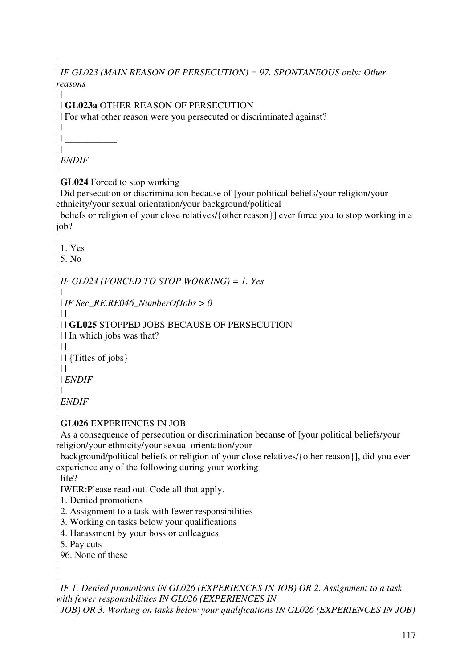| | *IF GL023 (MAIN REASON OF PERSECUTION) = 97. SPONTANEOUS only: Other reasons*  $\perp$ | | **GL023a** OTHER REASON OF PERSECUTION | | For what other reason were you persecuted or discriminated against?  $| |$ | | \_\_\_\_\_\_\_\_\_\_\_  $\perp$ | *ENDIF* | | **GL024** Forced to stop working | Did persecution or discrimination because of [your political beliefs/your religion/your ethnicity/your sexual orientation/your background/political | beliefs or religion of your close relatives/{other reason}] ever force you to stop working in a job? | | 1. Yes | 5. No | | *IF GL024 (FORCED TO STOP WORKING) = 1. Yes*  $\perp$ | | *IF Sec\_RE.RE046\_NumberOfJobs > 0*  $\Box$ | | | **GL025** STOPPED JOBS BECAUSE OF PERSECUTION | | | In which jobs was that?  $\Box$ | | | {Titles of jobs}  $| 11$ | | *ENDIF*  $\perp$ | *ENDIF* | | **GL026** EXPERIENCES IN JOB | As a consequence of persecution or discrimination because of [your political beliefs/your religion/your ethnicity/your sexual orientation/your | background/political beliefs or religion of your close relatives/{other reason}], did you ever experience any of the following during your working | life? | IWER:Please read out. Code all that apply. | 1. Denied promotions | 2. Assignment to a task with fewer responsibilities | 3. Working on tasks below your qualifications | 4. Harassment by your boss or colleagues | 5. Pay cuts | 96. None of these | | | *IF 1. Denied promotions IN GL026 (EXPERIENCES IN JOB) OR 2. Assignment to a task with fewer responsibilities IN GL026 (EXPERIENCES IN* 

| *JOB) OR 3. Working on tasks below your qualifications IN GL026 (EXPERIENCES IN JOB)*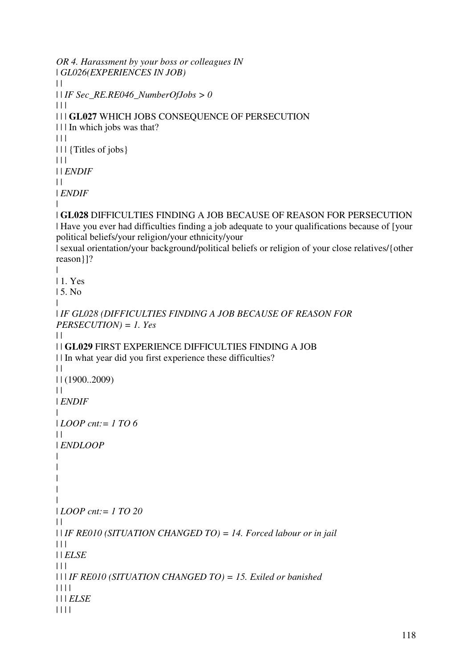```
OR 4. Harassment by your boss or colleagues IN 
| GL026(EXPERIENCES IN JOB)
\|| | IF Sec_RE.RE046_NumberOfJobs > 0
\Box| | | GL027 WHICH JOBS CONSEQUENCE OF PERSECUTION 
| | | In which jobs was that? 
| 11 ||| \cdot || {Titles of jobs}
\Box| | ENDIF
| || ENDIF
| 
| GL028 DIFFICULTIES FINDING A JOB BECAUSE OF REASON FOR PERSECUTION 
| Have you ever had difficulties finding a job adequate to your qualifications because of [your 
political beliefs/your religion/your ethnicity/your 
| sexual orientation/your background/political beliefs or religion of your close relatives/{other 
reason}]? 
| 
| 1. Yes 
| 5. No 
| 
| IF GL028 (DIFFICULTIES FINDING A JOB BECAUSE OF REASON FOR 
PERSECUTION) = 1. Yes
\perp| | GL029 FIRST EXPERIENCE DIFFICULTIES FINDING A JOB 
| | In what year did you first experience these difficulties? 
\begin{array}{c} \hline \end{array}| | (1900..2009) 
\perp| ENDIF
| 
| LOOP cnt:= 1 TO 6
\|| ENDLOOP
| 
| 
| 
| 
| 
| LOOP cnt:= 1 TO 20
\perp| | IF RE010 (SITUATION CHANGED TO) = 14. Forced labour or in jail
\Box| | ELSE
| 11| | | IF RE010 (SITUATION CHANGED TO) = 15. Exiled or banished
| | | | 
| | | ELSE
| | | |
```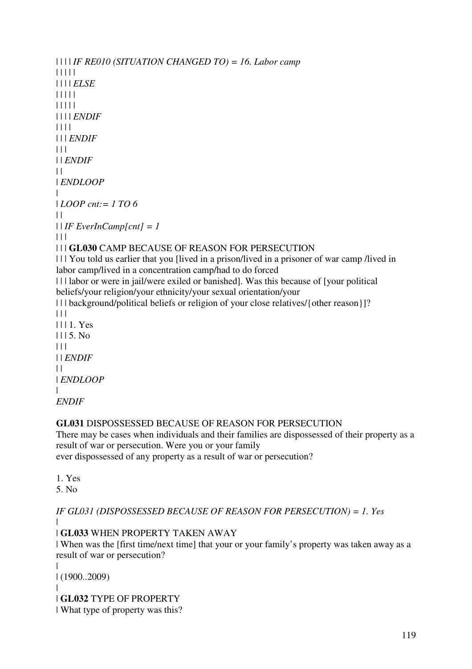```
| | | | IF RE010 (SITUATION CHANGED TO) = 16. Labor camp
| | | | | 
| | | | ELSE
| | | | | 
| | | | | 
| | | | ENDIF
| | | | 
| | | ENDIF
| | | 
| | ENDIF
\perp| ENDLOOP
| 
| LOOP cnt:= 1 TO 6
\perp| | IF EverInCamp[cnt] = 1
| 11| | | GL030 CAMP BECAUSE OF REASON FOR PERSECUTION 
| | | You told us earlier that you [lived in a prison/lived in a prisoner of war camp /lived in 
labor camp/lived in a concentration camp/had to do forced 
| | | labor or were in jail/were exiled or banished]. Was this because of [your political 
beliefs/your religion/your ethnicity/your sexual orientation/your 
| | | background/political beliefs or religion of your close relatives/{other reason}]? 
|| ||| | | 1. Yes 
1115. No| | | 
| | ENDIF
| || ENDLOOP
|
```

```
ENDIF
```
## **GL031** DISPOSSESSED BECAUSE OF REASON FOR PERSECUTION

There may be cases when individuals and their families are dispossessed of their property as a result of war or persecution. Were you or your family

ever dispossessed of any property as a result of war or persecution?

- 1. Yes
- 5. No

*IF GL031 (DISPOSSESSED BECAUSE OF REASON FOR PERSECUTION) = 1. Yes* |

| **GL033** WHEN PROPERTY TAKEN AWAY

| When was the [first time/next time] that your or your family's property was taken away as a result of war or persecution?

| | (1900..2009) | | **GL032** TYPE OF PROPERTY | What type of property was this?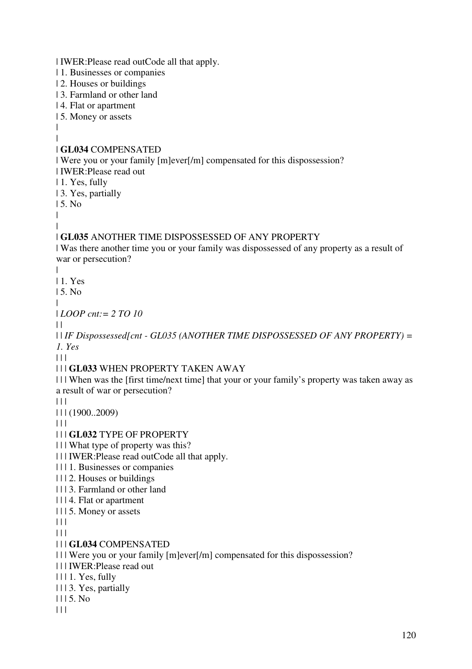| IWER:Please read outCode all that apply. | 1. Businesses or companies | 2. Houses or buildings | 3. Farmland or other land | 4. Flat or apartment | 5. Money or assets | | | **GL034** COMPENSATED | Were you or your family [m]ever[/m] compensated for this dispossession? | IWER:Please read out | 1. Yes, fully | 3. Yes, partially | 5. No | | | **GL035** ANOTHER TIME DISPOSSESSED OF ANY PROPERTY | Was there another time you or your family was dispossessed of any property as a result of war or persecution? | | 1. Yes | 5. No | | *LOOP cnt:= 2 TO 10*  $| |$ | | *IF Dispossessed[cnt - GL035 (ANOTHER TIME DISPOSSESSED OF ANY PROPERTY) = 1. Yes*  $| | | |$ | | | **GL033** WHEN PROPERTY TAKEN AWAY | | | When was the [first time/next time] that your or your family's property was taken away as a result of war or persecution?  $| 11$ | | | (1900..2009)  $| 11$ | | | **GL032** TYPE OF PROPERTY | | | What type of property was this? | | | IWER:Please read outCode all that apply. | | | 1. Businesses or companies | | | 2. Houses or buildings | | | 3. Farmland or other land | | | 4. Flat or apartment | | | 5. Money or assets  $| 11$  $| 11 |$ | | | **GL034** COMPENSATED | | | Were you or your family [m]ever[/m] compensated for this dispossession? | | | IWER:Please read out | | | 1. Yes, fully | | | 3. Yes, partially | | | 5. No  $| 11$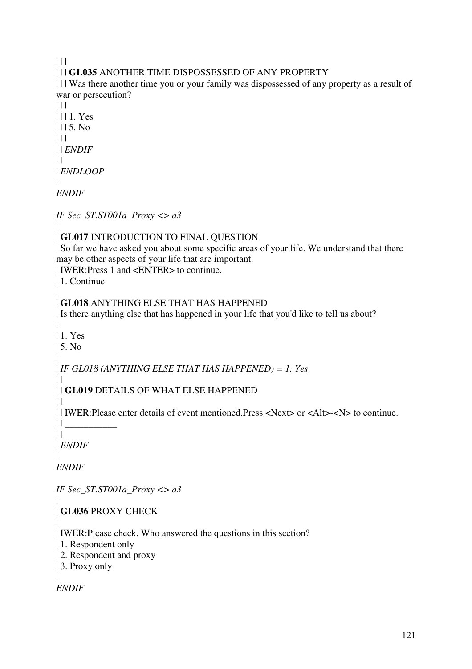$| 11$ 

| | | **GL035** ANOTHER TIME DISPOSSESSED OF ANY PROPERTY

| | | Was there another time you or your family was dispossessed of any property as a result of war or persecution?

 $| 11$ | | | 1. Yes  $1115$ . No.  $| 11 |$ | | *ENDIF*  $\perp$ | *ENDLOOP* |

*ENDIF*

*IF Sec\_ST.ST001a\_Proxy <> a3*

#### | | **GL017** INTRODUCTION TO FINAL QUESTION

| So far we have asked you about some specific areas of your life. We understand that there may be other aspects of your life that are important.

| IWER:Press 1 and <ENTER> to continue.

| 1. Continue

#### | | **GL018** ANYTHING ELSE THAT HAS HAPPENED

| Is there anything else that has happened in your life that you'd like to tell us about?

|

| 1. Yes

| 5. No |

| *IF GL018 (ANYTHING ELSE THAT HAS HAPPENED) = 1. Yes*

 $\perp$ | | **GL019** DETAILS OF WHAT ELSE HAPPENED

 $\perp$ 

| | IWER:Please enter details of event mentioned.Press <Next> or <Alt>-<N> to continue.

 $|| \cdot ||$ 

 $||$ 

| *ENDIF* |

*ENDIF*

*IF Sec\_ST.ST001a\_Proxy <> a3*

| **GL036** PROXY CHECK

|

|

| IWER:Please check. Who answered the questions in this section?

| 1. Respondent only

| 2. Respondent and proxy

| 3. Proxy only

|

*ENDIF*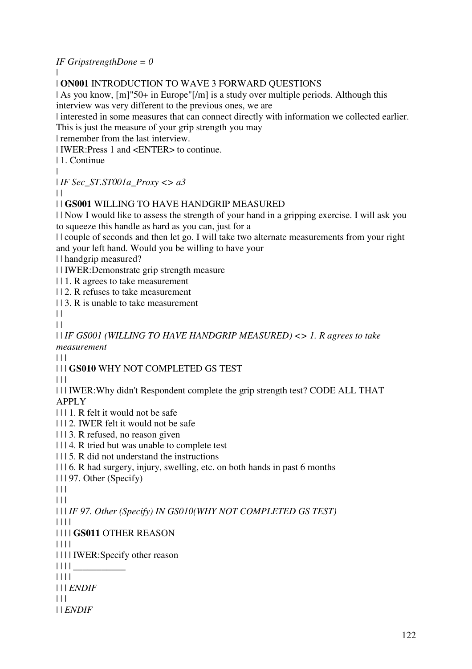## *IF GripstrengthDone = 0*

|

### | **ON001** INTRODUCTION TO WAVE 3 FORWARD QUESTIONS

| As you know, [m]"50+ in Europe"[/m] is a study over multiple periods. Although this interview was very different to the previous ones, we are

| interested in some measures that can connect directly with information we collected earlier.

This is just the measure of your grip strength you may

| remember from the last interview.

| IWER:Press 1 and <ENTER> to continue.

| 1. Continue

|

| *IF Sec\_ST.ST001a\_Proxy <> a3*

| |

## | | **GS001** WILLING TO HAVE HANDGRIP MEASURED

| | Now I would like to assess the strength of your hand in a gripping exercise. I will ask you to squeeze this handle as hard as you can, just for a

| | couple of seconds and then let go. I will take two alternate measurements from your right and your left hand. Would you be willing to have your

| | handgrip measured?

| | IWER:Demonstrate grip strength measure

| | 1. R agrees to take measurement

| | 2. R refuses to take measurement

| | 3. R is unable to take measurement

 $\perp$ 

 $\Box$ 

| | *IF GS001 (WILLING TO HAVE HANDGRIP MEASURED) <> 1. R agrees to take measurement*

| | |

| | | **GS010** WHY NOT COMPLETED GS TEST

 $| | | |$ 

| | | IWER:Why didn't Respondent complete the grip strength test? CODE ALL THAT APPLY

| | | 1. R felt it would not be safe

- | | | 2. IWER felt it would not be safe
- | | | 3. R refused, no reason given
- | | | 4. R tried but was unable to complete test

| | | 5. R did not understand the instructions

| | | 6. R had surgery, injury, swelling, etc. on both hands in past 6 months

| | | 97. Other (Specify)

 $|| ||$ 

 $| 11 |$ 

| | | *IF 97. Other (Specify) IN GS010(WHY NOT COMPLETED GS TEST)*

| | | |

| | | | **GS011** OTHER REASON

| | | |

| | | | IWER:Specify other reason

| | | | \_\_\_\_\_\_\_\_\_\_\_

| | | |

| | | *ENDIF*

 $| 11 |$ 

| | *ENDIF*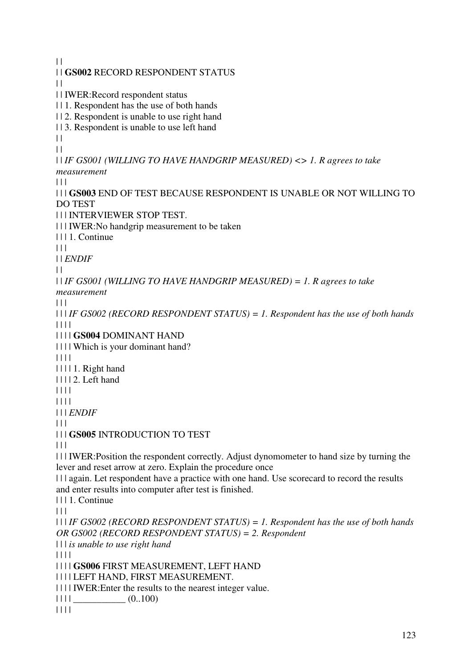$\|$ | | **GS002** RECORD RESPONDENT STATUS  $\|$ | | IWER:Record respondent status | | 1. Respondent has the use of both hands | | 2. Respondent is unable to use right hand | | 3. Respondent is unable to use left hand  $\|$  $\perp$ | | *IF GS001 (WILLING TO HAVE HANDGRIP MEASURED) <> 1. R agrees to take measurement*  $| 11$ | | | **GS003** END OF TEST BECAUSE RESPONDENT IS UNABLE OR NOT WILLING TO DO TEST | | | INTERVIEWER STOP TEST. | | | IWER:No handgrip measurement to be taken | | | 1. Continue  $| 11$ | | *ENDIF*  $\perp$ | | *IF GS001 (WILLING TO HAVE HANDGRIP MEASURED) = 1. R agrees to take measurement*  $\Box$ | | | *IF GS002 (RECORD RESPONDENT STATUS) = 1. Respondent has the use of both hands* | | | | | | | | **GS004** DOMINANT HAND | | | | Which is your dominant hand? | | | | | | | | 1. Right hand | | | | 2. Left hand | | | | | | | | | | | *ENDIF*  $| 11$ | | | **GS005** INTRODUCTION TO TEST  $\Box$ | | | IWER:Position the respondent correctly. Adjust dynomometer to hand size by turning the lever and reset arrow at zero. Explain the procedure once | | | again. Let respondent have a practice with one hand. Use scorecard to record the results and enter results into computer after test is finished. | | | 1. Continue  $| 11$ | | | *IF GS002 (RECORD RESPONDENT STATUS) = 1. Respondent has the use of both hands OR GS002 (RECORD RESPONDENT STATUS) = 2. Respondent* | | | *is unable to use right hand* | | | | | | | | **GS006** FIRST MEASUREMENT, LEFT HAND | | | | LEFT HAND, FIRST MEASUREMENT. | | | | IWER:Enter the results to the nearest integer value.  $|| \t|| \t(0..100)$ | | | |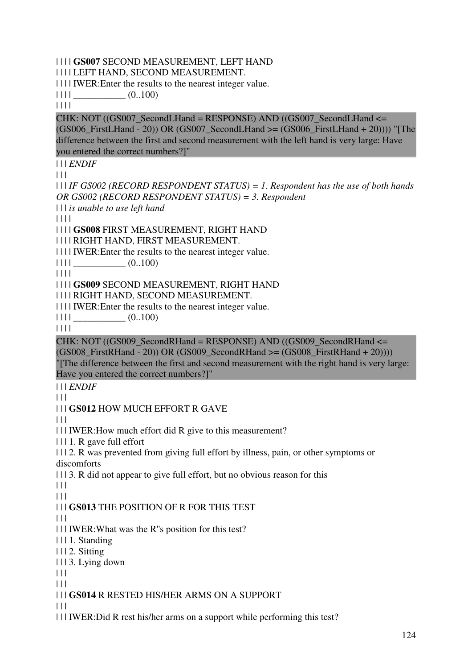### | | | | **GS007** SECOND MEASUREMENT, LEFT HAND

| | | | LEFT HAND, SECOND MEASUREMENT.

| | | | IWER:Enter the results to the nearest integer value.

 $|| 1 ||$   $(0..100)$ 

| | | |

 $CHK: NOT (GSO07\_SecondLHand = RESPONSE) AND (GSO07\_SecondLHand =$  $(GS006\text{ FirstLHand} - 20)$ ) OR  $(GS007\text{ SecondLHand} \geq GS006\text{ FirstLHand} + 20)$ )) "[The difference between the first and second measurement with the left hand is very large: Have you entered the correct numbers?]"

| | | *ENDIF*

 $| 11$ 

| | | *IF GS002 (RECORD RESPONDENT STATUS) = 1. Respondent has the use of both hands OR GS002 (RECORD RESPONDENT STATUS) = 3. Respondent*

| | | *is unable to use left hand*

| | | |

| | | | **GS008** FIRST MEASUREMENT, RIGHT HAND

| | | | RIGHT HAND, FIRST MEASUREMENT.

| | | | IWER:Enter the results to the nearest integer value.

 $|| 1 || ||$   $(0..100)$ 

| | | |

| | | | **GS009** SECOND MEASUREMENT, RIGHT HAND

| | | | RIGHT HAND, SECOND MEASUREMENT.

| | | | IWER:Enter the results to the nearest integer value.

 $|| \ || ||$   $(0..100)$ 

| | | |

CHK: NOT  $((GS009 \text{ SecondRH} and = RESPONSE)$  AND  $((GS009 \text{ SecondRH} and \leq$  $(GS008\text{ FirstRH}$ and - 20)) OR  $(GS009\text{ SecondRH}$ and  $>= (GS008\text{ FirstRH}$ and + 20)))) "[The difference between the first and second measurement with the right hand is very large: Have you entered the correct numbers?]"

| | | *ENDIF*

 $| 11$ 

| | | **GS012** HOW MUCH EFFORT R GAVE

 $| | |$ 

| | | IWER:How much effort did R give to this measurement?

| | | 1. R gave full effort

| | | 2. R was prevented from giving full effort by illness, pain, or other symptoms or discomforts

| | | 3. R did not appear to give full effort, but no obvious reason for this

 $| 11$ 

 $| | | |$ 

| | | **GS013** THE POSITION OF R FOR THIS TEST

 $| 11$ 

| | | IWER:What was the R''s position for this test?

| | | 1. Standing

| | | 2. Sitting

| | | 3. Lying down

 $| 11$ 

 $\Box$ 

## | | | **GS014** R RESTED HIS/HER ARMS ON A SUPPORT

 $| | |$ 

| | | IWER:Did R rest his/her arms on a support while performing this test?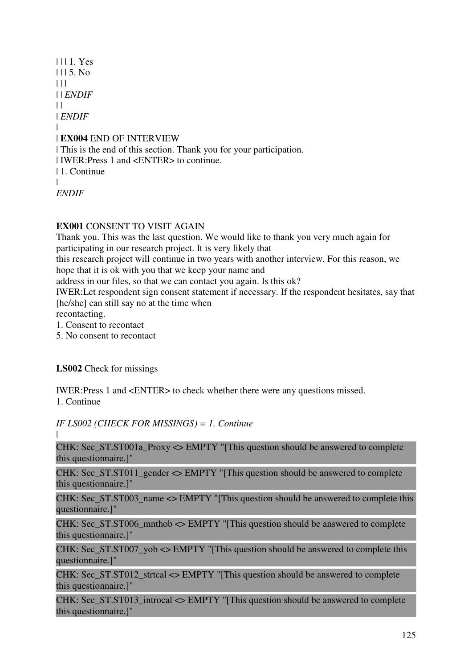| | | 1. Yes  $1115$ . No  $| 11$ | | *ENDIF*  $\perp$ | *ENDIF* | | **EX004** END OF INTERVIEW | This is the end of this section. Thank you for your participation. | IWER:Press 1 and <ENTER> to continue. | 1. Continue | *ENDIF*

**EX001** CONSENT TO VISIT AGAIN

Thank you. This was the last question. We would like to thank you very much again for participating in our research project. It is very likely that

this research project will continue in two years with another interview. For this reason, we hope that it is ok with you that we keep your name and

address in our files, so that we can contact you again. Is this ok?

IWER:Let respondent sign consent statement if necessary. If the respondent hesitates, say that [he/she] can still say no at the time when

recontacting.

1. Consent to recontact

5. No consent to recontact

**LS002** Check for missings

IWER:Press 1 and <ENTER> to check whether there were any questions missed. 1. Continue

*IF LS002 (CHECK FOR MISSINGS) = 1. Continue*

|

CHK: Sec\_ST.ST001a\_Proxy <> EMPTY "[This question should be answered to complete this questionnaire.]"

CHK: Sec\_ST.ST011\_gender <> EMPTY "[This question should be answered to complete this questionnaire.]"

CHK: Sec\_ST.ST003\_name <> EMPTY "[This question should be answered to complete this questionnaire.]"

CHK: Sec\_ST.ST006\_mnthob <> EMPTY "[This question should be answered to complete this questionnaire.]"

CHK: Sec. ST.ST007, yob  $\leq$  EMPTY "[This question should be answered to complete this questionnaire.]"

CHK: Sec\_ST.ST012\_strtcal <> EMPTY "[This question should be answered to complete this questionnaire.]"

CHK: Sec\_ST.ST013\_introcal <> EMPTY "[This question should be answered to complete this questionnaire.]"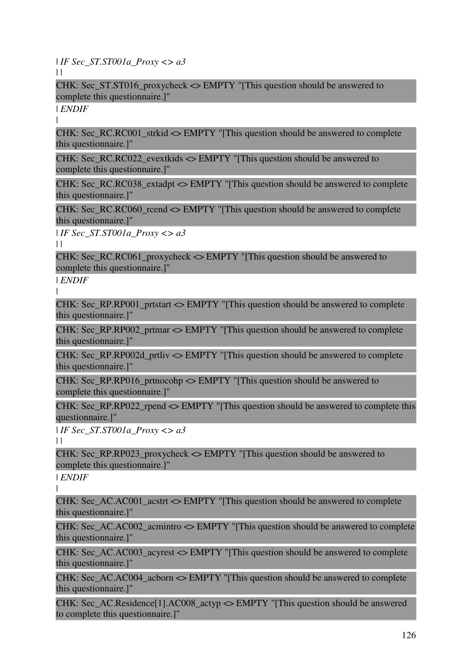| *IF Sec\_ST.ST001a\_Proxy <> a3*

 $\|$ 

CHK: Sec\_ST.ST016\_proxycheck <> EMPTY "[This question should be answered to complete this questionnaire.]"

| *ENDIF*

|

CHK: Sec\_RC.RC001\_strkid  $\leq$  EMPTY "[This question should be answered to complete this questionnaire.]"

CHK: Sec\_RC.RC022\_evextkids <> EMPTY "[This question should be answered to complete this questionnaire.]"

CHK: Sec\_RC.RC038\_extadpt <> EMPTY "[This question should be answered to complete this questionnaire.]"

CHK: Sec\_RC.RC060\_rcend <> EMPTY "[This question should be answered to complete this questionnaire.]"

| *IF Sec\_ST.ST001a\_Proxy <> a3*

 $\|$ 

CHK: Sec\_RC.RC061\_proxycheck  $\leq$  EMPTY "[This question should be answered to complete this questionnaire.]"

| *ENDIF*

|

CHK: Sec\_RP.RP001\_prtstart <> EMPTY "[This question should be answered to complete this questionnaire.]"

CHK: Sec\_RP.RP002\_prtmar <> EMPTY "[This question should be answered to complete this questionnaire.]"

CHK: Sec\_RP.RP002d\_prtliv <> EMPTY "[This question should be answered to complete this questionnaire.]"

CHK: Sec\_RP.RP016\_prtnocohp <> EMPTY "[This question should be answered to complete this questionnaire.]"

CHK: Sec\_RP.RP022\_rpend <> EMPTY "[This question should be answered to complete this questionnaire.]"

| *IF Sec\_ST.ST001a\_Proxy <> a3*

 $\mathbf{||}$ 

CHK: Sec\_RP.RP023\_proxycheck  $\leq$  EMPTY "[This question should be answered to complete this questionnaire.]"

| *ENDIF* |

CHK: Sec\_AC.AC001\_acstrt <> EMPTY "[This question should be answered to complete this questionnaire.]"

CHK: Sec\_AC.AC002\_acmintro  $\leq$  EMPTY "[This question should be answered to complete this questionnaire.]"

CHK: Sec\_AC.AC003\_acyrest <> EMPTY "[This question should be answered to complete this questionnaire.]"

CHK: Sec\_AC.AC004\_acborn <> EMPTY "[This question should be answered to complete this questionnaire.]"

CHK: Sec\_AC.Residence[1].AC008\_actyp <> EMPTY "[This question should be answered to complete this questionnaire.]"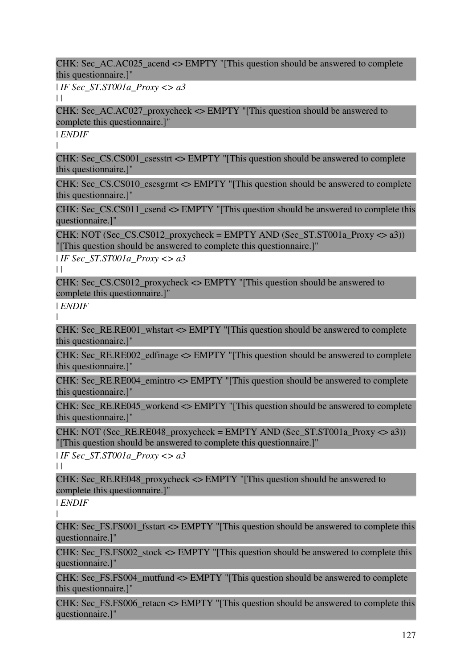CHK: Sec\_AC.AC025\_acend <> EMPTY "[This question should be answered to complete this questionnaire.]"

| *IF Sec\_ST.ST001a\_Proxy <> a3*

 $\mathbf{||}$ 

CHK: Sec\_AC.AC027\_proxycheck <> EMPTY "[This question should be answered to complete this questionnaire.]"

| *ENDIF*

|

CHK: Sec\_CS.CS001\_csesstrt <> EMPTY "[This question should be answered to complete this questionnaire.]"

CHK: Sec\_CS.CS010\_csesgrmt <> EMPTY "[This question should be answered to complete this questionnaire.]"

CHK: Sec\_CS.CS011\_csend <> EMPTY "[This question should be answered to complete this questionnaire.]"

CHK: NOT (Sec\_CS.CS012\_proxycheck = EMPTY AND (Sec\_ST.ST001a\_Proxy  $\langle \rangle$  a3)) "[This question should be answered to complete this questionnaire.]"

| *IF Sec\_ST.ST001a\_Proxy <> a3*

 $\perp$ 

CHK: Sec\_CS.CS012\_proxycheck  $\leq$  EMPTY "[This question should be answered to complete this questionnaire.]"

| *ENDIF* |

CHK: Sec\_RE.RE001\_whstart <> EMPTY "[This question should be answered to complete this questionnaire.]"

CHK: Sec\_RE.RE002\_edfinage <> EMPTY "[This question should be answered to complete this questionnaire.]"

CHK: Sec\_RE.RE004\_emintro <> EMPTY "[This question should be answered to complete this questionnaire.]"

CHK: Sec\_RE.RE045\_workend <> EMPTY "[This question should be answered to complete this questionnaire.]"

CHK: NOT (Sec\_RE.RE048\_proxycheck = EMPTY AND (Sec\_ST.ST001a\_Proxy  $\leq$  a3)) "[This question should be answered to complete this questionnaire.]"

| *IF Sec\_ST.ST001a\_Proxy <> a3*  $\|$ 

CHK: Sec\_RE.RE048\_proxycheck <> EMPTY "[This question should be answered to complete this questionnaire.]"

| *ENDIF*

| CHK: Sec\_FS.FS001\_fsstart <> EMPTY "[This question should be answered to complete this questionnaire.]"

CHK: Sec. FS.FS002 stock  $\leq$  EMPTY "[This question should be answered to complete this questionnaire.]"

CHK: Sec\_FS.FS004\_mutfund <> EMPTY "[This question should be answered to complete this questionnaire.]"

CHK: Sec\_FS.FS006\_retacn <> EMPTY "[This question should be answered to complete this questionnaire.]"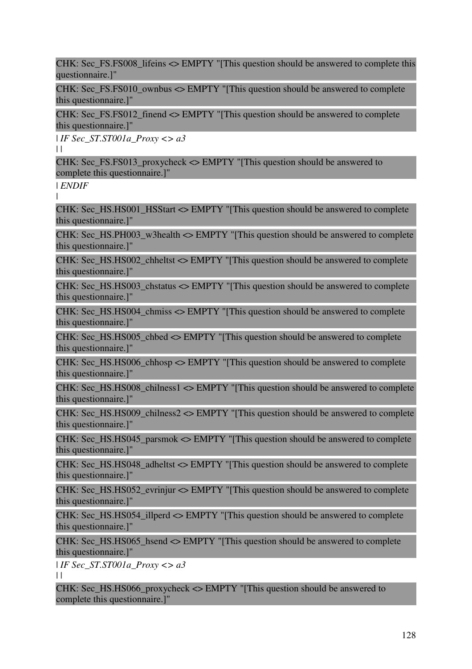CHK: Sec\_FS.FS008\_lifeins <> EMPTY "[This question should be answered to complete this questionnaire.]"

CHK: Sec\_FS.FS010\_ownbus <> EMPTY "[This question should be answered to complete this questionnaire.]"

CHK: Sec\_FS.FS012\_finend <> EMPTY "[This question should be answered to complete this questionnaire.]"

| *IF Sec\_ST.ST001a\_Proxy <> a3*

 $\mathbf{1}$ 

CHK: Sec. FS.FS013 proxycheck  $\leq$  EMPTY "[This question should be answered to complete this questionnaire.]"

| *ENDIF*

|

CHK: Sec\_HS.HS001\_HSStart <> EMPTY "[This question should be answered to complete this questionnaire.]"

CHK: Sec\_HS.PH003\_w3health <> EMPTY "[This question should be answered to complete this questionnaire.]"

CHK: Sec\_HS.HS002\_chheltst <> EMPTY "[This question should be answered to complete this questionnaire.]"

CHK: Sec\_HS.HS003\_chstatus <> EMPTY "[This question should be answered to complete this questionnaire.]"

CHK: Sec\_HS.HS004\_chmiss <> EMPTY "[This question should be answered to complete this questionnaire.]"

CHK: Sec. HS.HS005 chbed  $\leq$  EMPTY "[This question should be answered to complete this questionnaire.]"

CHK: Sec\_HS.HS006\_chhosp <> EMPTY "[This question should be answered to complete this questionnaire.]"

CHK: Sec\_HS.HS008\_chilness1 <> EMPTY "[This question should be answered to complete this questionnaire.]"

CHK: Sec. HS.HS009 chilness2  $\leq$  EMPTY "[This question should be answered to complete this questionnaire.]"

CHK: Sec. HS.HS045 parsmok  $\leq$  EMPTY "[This question should be answered to complete this questionnaire.]"

CHK: Sec\_HS.HS048\_adheltst <> EMPTY "[This question should be answered to complete this questionnaire.]"

CHK: Sec\_HS.HS052\_evrinjur <> EMPTY "[This question should be answered to complete this questionnaire.]"

CHK: Sec\_HS.HS054\_illperd <> EMPTY "[This question should be answered to complete this questionnaire.]"

CHK: Sec\_HS.HS065\_hsend <> EMPTY "[This question should be answered to complete this questionnaire.]"

| *IF Sec\_ST.ST001a\_Proxy <> a3*  $| |$ 

CHK: Sec\_HS.HS066\_proxycheck <> EMPTY "[This question should be answered to complete this questionnaire.]"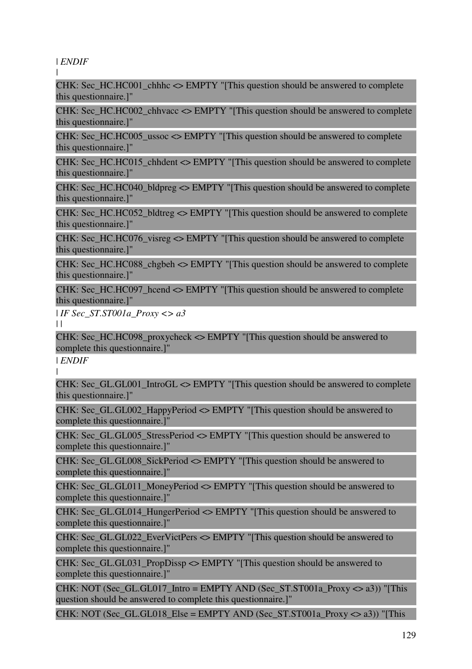| *ENDIF*

|

CHK: Sec\_HC.HC001\_chhhc <> EMPTY "[This question should be answered to complete this questionnaire.]"

CHK: Sec\_HC.HC002\_chhvacc <> EMPTY "[This question should be answered to complete this questionnaire.]"

CHK: Sec. HC.HC005 ussoc  $\leq$  EMPTY "[This question should be answered to complete this questionnaire.]"

CHK: Sec. HC.HC015 chhdent  $\leq$  EMPTY "[This question should be answered to complete this questionnaire.]"

CHK: Sec. HC.HC040 bldpreg  $\leq$  EMPTY "[This question should be answered to complete this questionnaire.]"

CHK: Sec. HC.HC052 bldtreg  $\leq$  EMPTY "[This question should be answered to complete this questionnaire.]"

CHK: Sec\_HC.HC076\_visreg <> EMPTY "[This question should be answered to complete this questionnaire.]"

CHK: Sec\_HC.HC088\_chgbeh <> EMPTY "[This question should be answered to complete this questionnaire.]"

CHK: Sec\_HC.HC097\_hcend <> EMPTY "[This question should be answered to complete this questionnaire.]"

| *IF Sec\_ST.ST001a\_Proxy <> a3*  $\|$ 

CHK: Sec\_HC.HC098\_proxycheck <> EMPTY "[This question should be answered to complete this questionnaire.]"

| *ENDIF* |

CHK: Sec. GL.GL001 IntroGL  $\leq$  EMPTY "[This question should be answered to complete this questionnaire.]"

CHK: Sec\_GL.GL002\_HappyPeriod <> EMPTY "[This question should be answered to complete this questionnaire.]"

CHK: Sec\_GL.GL005\_StressPeriod <> EMPTY "[This question should be answered to complete this questionnaire.]"

CHK: Sec\_GL.GL008\_SickPeriod <> EMPTY "[This question should be answered to complete this questionnaire.]"

CHK: Sec\_GL.GL011\_MoneyPeriod <> EMPTY "[This question should be answered to complete this questionnaire.]"

CHK: Sec\_GL.GL014\_HungerPeriod <> EMPTY "[This question should be answered to complete this questionnaire.]"

CHK: Sec\_GL.GL022\_EverVictPers <> EMPTY "[This question should be answered to complete this questionnaire.]"

CHK: Sec\_GL.GL031\_PropDissp <> EMPTY "[This question should be answered to complete this questionnaire.]"

CHK: NOT (Sec. GL.GL017. Intro = EMPTY AND (Sec. ST.ST001a. Proxy  $\langle \rangle$  a3)) "[This question should be answered to complete this questionnaire.<sup>1"</sup>

CHK: NOT (Sec\_GL.GL018\_Else = EMPTY AND (Sec\_ST.ST001a\_Proxy  $\langle > a3 \rangle$ ) "[This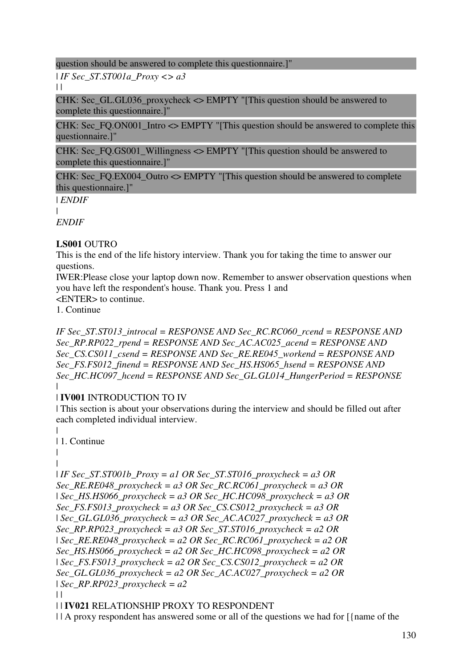question should be answered to complete this questionnaire.]"

| *IF Sec\_ST.ST001a\_Proxy <> a3*

 $\|$ 

CHK: Sec\_GL.GL036\_proxycheck  $\leq$  EMPTY "[This question should be answered to complete this questionnaire.]"

CHK: Sec\_FQ.ON001\_Intro <> EMPTY "[This question should be answered to complete this questionnaire.]"

CHK: Sec\_FQ.GS001\_Willingness <> EMPTY "[This question should be answered to complete this questionnaire.]"

CHK: Sec\_FQ.EX004\_Outro <> EMPTY "[This question should be answered to complete this questionnaire.]"

| *ENDIF*

|

*ENDIF*

## **LS001** OUTRO

This is the end of the life history interview. Thank you for taking the time to answer our questions.

IWER:Please close your laptop down now. Remember to answer observation questions when you have left the respondent's house. Thank you. Press 1 and

<ENTER> to continue.

1. Continue

*IF Sec\_ST.ST013\_introcal = RESPONSE AND Sec\_RC.RC060\_rcend = RESPONSE AND Sec\_RP.RP022\_rpend = RESPONSE AND Sec\_AC.AC025\_acend = RESPONSE AND Sec\_CS.CS011\_csend = RESPONSE AND Sec\_RE.RE045\_workend = RESPONSE AND Sec\_FS.FS012\_finend = RESPONSE AND Sec\_HS.HS065\_hsend = RESPONSE AND Sec\_HC.HC097\_hcend = RESPONSE AND Sec\_GL.GL014\_HungerPeriod = RESPONSE* |

# | **IV001** INTRODUCTION TO IV

| This section is about your observations during the interview and should be filled out after each completed individual interview.

```
| 
| 1. Continue 
| 
| 
I IF Sec_ST.ST001b_Proxy = a1 OR Sec_ST.ST016_proxycheck = a3 OR
Sec_RE.RE048_proxycheck = a3 OR Sec_RC.RC061_proxycheck = a3 OR 
| Sec_HS.HS066_proxycheck = a3 OR Sec_HC.HC098_proxycheck = a3 OR 
Sec_FS.FS013_proxycheck = a3 OR Sec_CS.CS012_proxycheck = a3 OR 
| Sec_GL.GL036_proxycheck = a3 OR Sec_AC.AC027_proxycheck = a3 OR 
Sec_RP.RP023_proxycheck = a3 OR Sec_ST.ST016_proxycheck = a2 OR 
| Sec_RE.RE048_proxycheck = a2 OR Sec_RC.RC061_proxycheck = a2 OR 
Sec_HS.HS066_proxycheck = a2 OR Sec_HC.HC098_proxycheck = a2 OR 
| Sec_FS.FS013_proxycheck = a2 OR Sec_CS.CS012_proxycheck = a2 OR 
Sec_GL.GL036_proxycheck = a2 OR Sec_AC.AC027_proxycheck = a2 OR 
| Sec_RP.RP023_proxycheck = a2
\Box
```
## | | **IV021** RELATIONSHIP PROXY TO RESPONDENT

 $|| A$  proxy respondent has answered some or all of the questions we had for  $\frac{1}{\pi}$  anne of the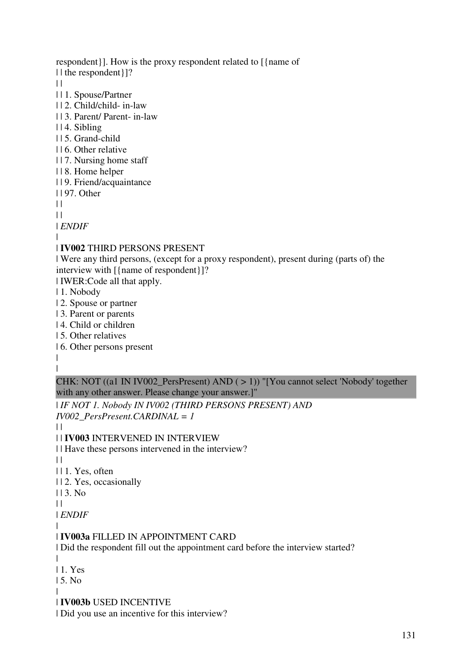respondent}]. How is the proxy respondent related to [{name of | | the respondent } ]?  $\|$ | | 1. Spouse/Partner | | 2. Child/child- in-law | | 3. Parent/ Parent- in-law | | 4. Sibling | | 5. Grand-child | | 6. Other relative | | 7. Nursing home staff | | 8. Home helper | | 9. Friend/acquaintance | | 97. Other  $\|$  $\perp$ | *ENDIF* | | **IV002** THIRD PERSONS PRESENT | Were any third persons, (except for a proxy respondent), present during (parts of) the interview with [{name of respondent}]? | IWER:Code all that apply. | 1. Nobody | 2. Spouse or partner | 3. Parent or parents | 4. Child or children

- | 5. Other relatives
- | 6. Other persons present

| |

CHK: NOT ((a1 IN IV002\_PersPresent) AND ( > 1)) "[You cannot select 'Nobody' together with any other answer. Please change your answer.]"

| *IF NOT 1. Nobody IN IV002 (THIRD PERSONS PRESENT) AND IV002\_PersPresent.CARDINAL = 1*

 $\perp$ 

| | **IV003** INTERVENED IN INTERVIEW

| | Have these persons intervened in the interview?

 $\|$ 

| | 1. Yes, often

| | 2. Yes, occasionally

 $113.$  No.

 $\|$ 

| *ENDIF*

#### | | **IV003a** FILLED IN APPOINTMENT CARD

| Did the respondent fill out the appointment card before the interview started?

| | 1. Yes

| 5. No

|

| **IV003b** USED INCENTIVE

| Did you use an incentive for this interview?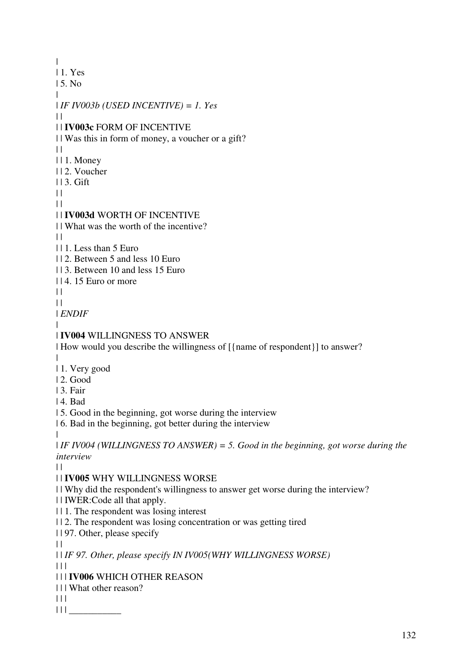| | 1. Yes | 5. No  $\blacksquare$ | *IF IV003b (USED INCENTIVE) = 1. Yes*  $| |$ | | **IV003c** FORM OF INCENTIVE | | Was this in form of money, a voucher or a gift?  $\|$ | | 1. Money | | 2. Voucher | | 3. Gift  $\|$  $| |$ | | **IV003d** WORTH OF INCENTIVE | | What was the worth of the incentive?  $\|$ | | 1. Less than 5 Euro | | 2. Between 5 and less 10 Euro | | 3. Between 10 and less 15 Euro | | 4. 15 Euro or more  $| |$  $\|$ | *ENDIF* | | **IV004** WILLINGNESS TO ANSWER | How would you describe the willingness of [{name of respondent}] to answer? | | 1. Very good | 2. Good | 3. Fair | 4. Bad | 5. Good in the beginning, got worse during the interview | 6. Bad in the beginning, got better during the interview | | *IF IV004 (WILLINGNESS TO ANSWER) = 5. Good in the beginning, got worse during the interview*  $| |$ | | **IV005** WHY WILLINGNESS WORSE | | Why did the respondent's willingness to answer get worse during the interview? | | IWER:Code all that apply. | | 1. The respondent was losing interest | | 2. The respondent was losing concentration or was getting tired | | 97. Other, please specify  $\|$ | | *IF 97. Other, please specify IN IV005(WHY WILLINGNESS WORSE)*  $| 11$ | | | **IV006** WHICH OTHER REASON | | | What other reason?  $| 11$ | | | \_\_\_\_\_\_\_\_\_\_\_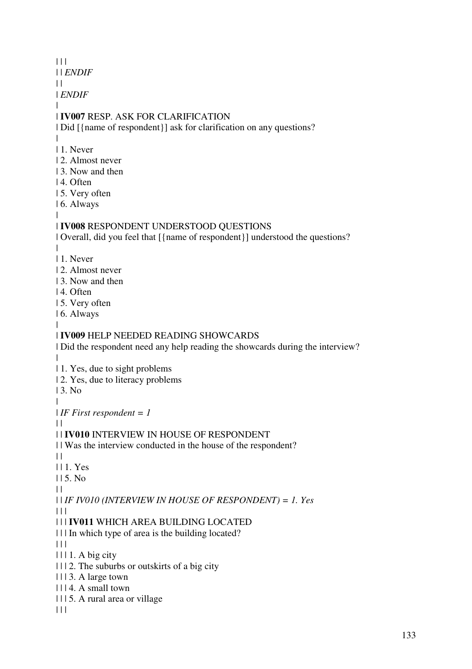$|| ||$ | | *ENDIF*  $| |$ | *ENDIF* | | **IV007** RESP. ASK FOR CLARIFICATION | Did [{name of respondent}] ask for clarification on any questions? | | 1. Never | 2. Almost never 13. Now and then | 4. Often | 5. Very often | 6. Always | | **IV008** RESPONDENT UNDERSTOOD QUESTIONS | Overall, did you feel that [{name of respondent}] understood the questions? | | 1. Never | 2. Almost never | 3. Now and then | 4. Often | 5. Very often | 6. Always | | **IV009** HELP NEEDED READING SHOWCARDS | Did the respondent need any help reading the showcards during the interview?  $\blacksquare$ | 1. Yes, due to sight problems | 2. Yes, due to literacy problems | 3. No | | *IF First respondent = 1*  $\|$ | | **IV010** INTERVIEW IN HOUSE OF RESPONDENT | | Was the interview conducted in the house of the respondent?  $| |$ | | 1. Yes | | 5. No  $\|$ | | *IF IV010 (INTERVIEW IN HOUSE OF RESPONDENT) = 1. Yes*  $| | | |$ | | | **IV011** WHICH AREA BUILDING LOCATED | | | In which type of area is the building located?  $| 11$  $|| \cdot ||$  1. A big city | | | 2. The suburbs or outskirts of a big city | | | 3. A large town  $|| \cdot || 4$ . A small town | | | 5. A rural area or village